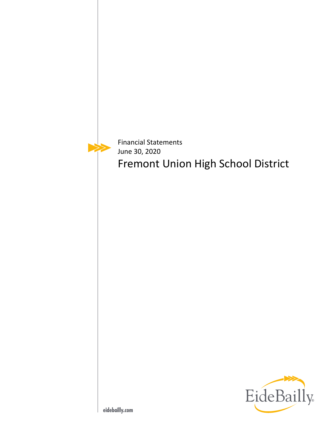Financial Statements June 30, 2020 Fremont Union High School District

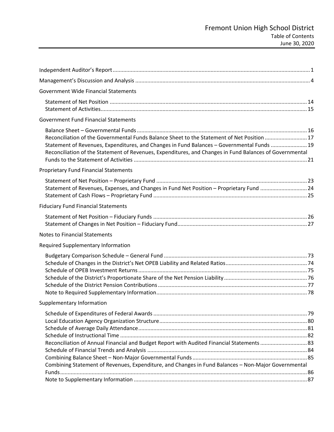| <b>Government Wide Financial Statements</b>                                                                                                                                                                                                                                                              |  |
|----------------------------------------------------------------------------------------------------------------------------------------------------------------------------------------------------------------------------------------------------------------------------------------------------------|--|
|                                                                                                                                                                                                                                                                                                          |  |
| <b>Government Fund Financial Statements</b>                                                                                                                                                                                                                                                              |  |
| Reconciliation of the Governmental Funds Balance Sheet to the Statement of Net Position  17<br>19. Statement of Revenues, Expenditures, and Changes in Fund Balances - Governmental Funds  19<br>Reconciliation of the Statement of Revenues, Expenditures, and Changes in Fund Balances of Governmental |  |
| <b>Proprietary Fund Financial Statements</b>                                                                                                                                                                                                                                                             |  |
| Statement of Revenues, Expenses, and Changes in Fund Net Position - Proprietary Fund  24                                                                                                                                                                                                                 |  |
| <b>Fiduciary Fund Financial Statements</b>                                                                                                                                                                                                                                                               |  |
|                                                                                                                                                                                                                                                                                                          |  |
| <b>Notes to Financial Statements</b>                                                                                                                                                                                                                                                                     |  |
| Required Supplementary Information                                                                                                                                                                                                                                                                       |  |
|                                                                                                                                                                                                                                                                                                          |  |
| Supplementary Information                                                                                                                                                                                                                                                                                |  |
| Reconciliation of Annual Financial and Budget Report with Audited Financial Statements  83<br>Combining Statement of Revenues, Expenditure, and Changes in Fund Balances - Non-Major Governmental                                                                                                        |  |
|                                                                                                                                                                                                                                                                                                          |  |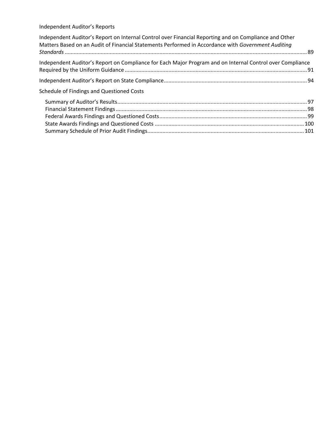Independent Auditor's Reports

| Independent Auditor's Report on Internal Control over Financial Reporting and on Compliance and Other<br>Matters Based on an Audit of Financial Statements Performed in Accordance with Government Auditing |  |
|-------------------------------------------------------------------------------------------------------------------------------------------------------------------------------------------------------------|--|
|                                                                                                                                                                                                             |  |
| Independent Auditor's Report on Compliance for Each Major Program and on Internal Control over Compliance                                                                                                   |  |
|                                                                                                                                                                                                             |  |
| Schedule of Findings and Questioned Costs                                                                                                                                                                   |  |
|                                                                                                                                                                                                             |  |
|                                                                                                                                                                                                             |  |
|                                                                                                                                                                                                             |  |
|                                                                                                                                                                                                             |  |
|                                                                                                                                                                                                             |  |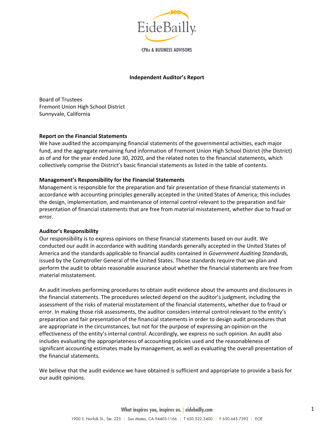

**CPAs & BUSINESS ADVISORS** 

#### **Independent Auditor's Report**

Board of Trustees Fremont Union High School District Sunnyvale, California

#### **Report on the Financial Statements**

We have audited the accompanying financial statements of the governmental activities, each major fund, and the aggregate remaining fund information of Fremont Union High School District (the District) as of and for the year ended June 30, 2020, and the related notes to the financial statements, which collectively comprise the District's basic financial statements as listed in the table of contents.

#### **Management's Responsibility for the Financial Statements**

Management is responsible for the preparation and fair presentation of these financial statements in accordance with accounting principles generally accepted in the United States of America; this includes the design, implementation, and maintenance of internal control relevant to the preparation and fair presentation of financial statements that are free from material misstatement, whether due to fraud or error.

#### **Auditor's Responsibility**

Our responsibility is to express opinions on these financial statements based on our audit. We conducted our audit in accordance with auditing standards generally accepted in the United States of America and the standards applicable to financial audits contained in *Government Auditing Standards,*  issued by the Comptroller General of the United States. Those standards require that we plan and perform the audit to obtain reasonable assurance about whether the financial statements are free from material misstatement.

An audit involves performing procedures to obtain audit evidence about the amounts and disclosures in the financial statements. The procedures selected depend on the auditor's judgment, including the assessment of the risks of material misstatement of the financial statements, whether due to fraud or error. In making those risk assessments, the auditor considers internal control relevant to the entity's preparation and fair presentation of the financial statements in order to design audit procedures that are appropriate in the circumstances, but not for the purpose of expressing an opinion on the effectiveness of the entity's internal control. Accordingly, we express no such opinion. An audit also includes evaluating the appropriateness of accounting policies used and the reasonableness of significant accounting estimates made by management, as well as evaluating the overall presentation of the financial statements.

We believe that the audit evidence we have obtained is sufficient and appropriate to provide a basis for our audit opinions.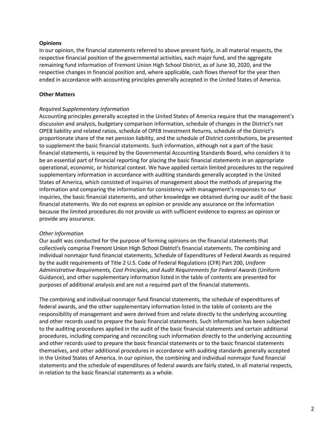# **Opinions**

In our opinion, the financial statements referred to above present fairly, in all material respects, the respective financial position of the governmental activities, each major fund, and the aggregate remaining fund information of Fremont Union High School District, as of June 30, 2020, and the respective changes in financial position and, where applicable, cash flows thereof for the year then ended in accordance with accounting principles generally accepted in the United States of America.

#### **Other Matters**

#### *Required Supplementary Information*

Accounting principles generally accepted in the United States of America require that the management's discussion and analysis, budgetary comparison information, schedule of changes in the District's net OPEB liability and related ratios, schedule of OPEB Investment Returns, schedule of the District's proportionate share of the net pension liability, and the schedule of District contributions, be presented to supplement the basic financial statements. Such information, although not a part of the basic financial statements, is required by the Governmental Accounting Standards Board, who considers it to be an essential part of financial reporting for placing the basic financial statements in an appropriate operational, economic, or historical context. We have applied certain limited procedures to the required supplementary information in accordance with auditing standards generally accepted in the United States of America, which consisted of inquiries of management about the methods of preparing the information and comparing the information for consistency with management's responses to our inquiries, the basic financial statements, and other knowledge we obtained during our audit of the basic financial statements. We do not express an opinion or provide any assurance on the information because the limited procedures do not provide us with sufficient evidence to express an opinion or provide any assurance.

# *Other Information*

Our audit was conducted for the purpose of forming opinions on the financial statements that collectively comprise Fremont Union High School District's financial statements. The combining and individual nonmajor fund financial statements, Schedule of Expenditures of Federal Awards as required by the audit requirements of Title 2 U.S. Code of Federal Regulations (CFR) Part 200, *Uniform Administrative Requirements, Cost Principles, and Audit Requirements for Federal Awards* (Uniform Guidance), and other supplementary information listed in the table of contents are presented for purposes of additional analysis and are not a required part of the financial statements.

The combining and individual nonmajor fund financial statements, the schedule of expenditures of federal awards, and the other supplementary information listed in the table of contents are the responsibility of management and were derived from and relate directly to the underlying accounting and other records used to prepare the basic financial statements. Such information has been subjected to the auditing procedures applied in the audit of the basic financial statements and certain additional procedures, including comparing and reconciling such information directly to the underlying accounting and other records used to prepare the basic financial statements or to the basic financial statements themselves, and other additional procedures in accordance with auditing standards generally accepted in the United States of America. In our opinion, the combining and individual nonmajor fund financial statements and the schedule of expenditures of federal awards are fairly stated, in all material respects, in relation to the basic financial statements as a whole.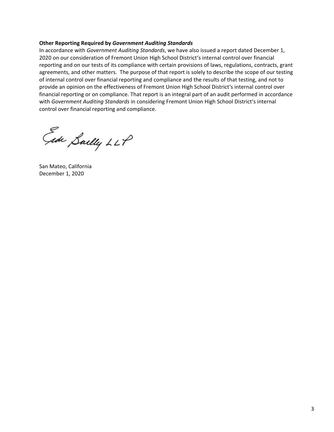#### **Other Reporting Required by** *Government Auditing Standards*

In accordance with *Government Auditing Standards*, we have also issued a report dated December 1, 2020 on our consideration of Fremont Union High School District's internal control over financial reporting and on our tests of its compliance with certain provisions of laws, regulations, contracts, grant agreements, and other matters. The purpose of that report is solely to describe the scope of our testing of internal control over financial reporting and compliance and the results of that testing, and not to provide an opinion on the effectiveness of Fremont Union High School District's internal control over financial reporting or on compliance. That report is an integral part of an audit performed in accordance with *Government Auditing Standards* in considering Fremont Union High School District's internal control over financial reporting and compliance.

Gide Sailly LLP

San Mateo, California December 1, 2020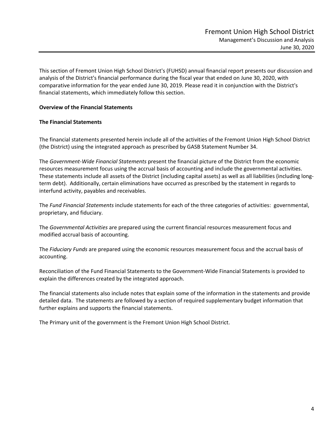This section of Fremont Union High School District's (FUHSD) annual financial report presents our discussion and analysis of the District's financial performance during the fiscal year that ended on June 30, 2020, with comparative information for the year ended June 30, 2019. Please read it in conjunction with the District's financial statements, which immediately follow this section.

# **Overview of the Financial Statements**

# **The Financial Statements**

The financial statements presented herein include all of the activities of the Fremont Union High School District (the District) using the integrated approach as prescribed by GASB Statement Number 34.

The *Government‐Wide Financial Statements* present the financial picture of the District from the economic resources measurement focus using the accrual basis of accounting and include the governmental activities. These statements include all assets of the District (including capital assets) as well as all liabilities (including long‐ term debt). Additionally, certain eliminations have occurred as prescribed by the statement in regards to interfund activity, payables and receivables.

The *Fund Financial Statements* include statements for each of the three categories of activities: governmental, proprietary, and fiduciary.

The *Governmental Activities* are prepared using the current financial resources measurement focus and modified accrual basis of accounting.

The *Fiduciary Funds* are prepared using the economic resources measurement focus and the accrual basis of accounting.

Reconciliation of the Fund Financial Statements to the Government‐Wide Financial Statements is provided to explain the differences created by the integrated approach.

The financial statements also include notes that explain some of the information in the statements and provide detailed data. The statements are followed by a section of required supplementary budget information that further explains and supports the financial statements.

The Primary unit of the government is the Fremont Union High School District.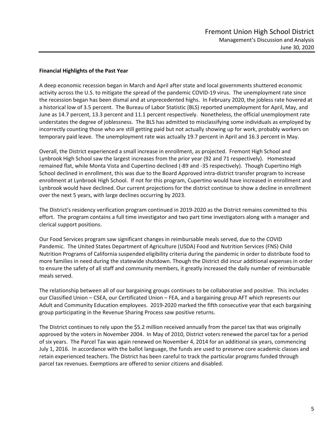# **Financial Highlights of the Past Year**

A deep economic recession began in March and April after state and local governments shuttered economic activity across the U.S. to mitigate the spread of the pandemic COVID‐19 virus. The unemployment rate since the recession began has been dismal and at unprecedented highs. In February 2020, the jobless rate hovered at a historical low of 3.5 percent. The Bureau of Labor Statistic (BLS) reported unemployment for April, May, and June as 14.7 percent, 13.3 percent and 11.1 percent respectively. Nonetheless, the official unemployment rate understates the degree of joblessness. The BLS has admitted to misclassifying some individuals as employed by incorrectly counting those who are still getting paid but not actually showing up for work, probably workers on temporary paid leave. The unemployment rate was actually 19.7 percent in April and 16.3 percent in May.

Overall, the District experienced a small increase in enrollment, as projected. Fremont High School and Lynbrook High School saw the largest increases from the prior year (92 and 71 respectively). Homestead remained flat, while Monta Vista and Cupertino declined (‐89 and ‐35 respectively). Though Cupertino High School declined in enrollment, this was due to the Board Approved intra‐district transfer program to increase enrollment at Lynbrook High School. If not for this program, Cupertino would have increased in enrollment and Lynbrook would have declined. Our current projections for the district continue to show a decline in enrollment over the next 5 years, with large declines occurring by 2023.

The District's residency verification program continued in 2019‐2020 as the District remains committed to this effort. The program contains a full time investigator and two part time investigators along with a manager and clerical support positions.

Our Food Services program saw significant changes in reimbursable meals served, due to the COVID Pandemic. The United States Department of Agriculture (USDA) Food and Nutrition Services (FNS) Child Nutrition Programs of California suspended eligibility criteria during the pandemic in order to distribute food to more families in need during the statewide shutdown. Though the District did incur additional expenses in order to ensure the safety of all staff and community members, it greatly increased the daily number of reimbursable meals served.

The relationship between all of our bargaining groups continues to be collaborative and positive. This includes our Classified Union – CSEA, our Certificated Union – FEA, and a bargaining group AFT which represents our Adult and Community Education employees. 2019‐2020 marked the fifth consecutive year that each bargaining group participating in the Revenue Sharing Process saw positive returns.

The District continues to rely upon the \$5.2 million received annually from the parcel tax that was originally approved by the voters in November 2004. In May of 2010, District voters renewed the parcel tax for a period of six years. The Parcel Tax was again renewed on November 4, 2014 for an additional six years, commencing July 1, 2016. In accordance with the ballot language, the funds are used to preserve core academic classes and retain experienced teachers. The District has been careful to track the particular programs funded through parcel tax revenues. Exemptions are offered to senior citizens and disabled.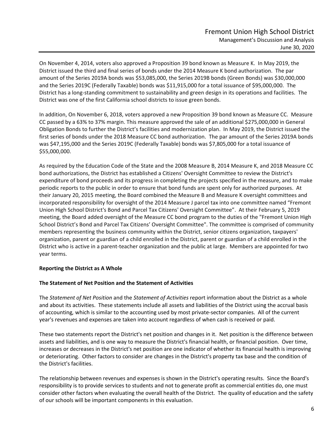On November 4, 2014, voters also approved a Proposition 39 bond known as Measure K. In May 2019, the District issued the third and final series of bonds under the 2014 Measure K bond authorization. The par amount of the Series 2019A bonds was \$53,085,000, the Series 2019B bonds (Green Bonds) was \$30,000,000 and the Series 2019C (Federally Taxable) bonds was \$11,915,000 for a total issuance of \$95,000,000. The District has a long‐standing commitment to sustainability and green design in its operations and facilities. The District was one of the first California school districts to issue green bonds.

In addition, On November 6, 2018, voters approved a new Proposition 39 bond known as Measure CC. Measure CC passed by a 63% to 37% margin. This measure approved the sale of an additional \$275,000,000 in General Obligation Bonds to further the District's facilities and modernization plan. In May 2019, the District issued the first series of bonds under the 2018 Measure CC bond authorization. The par amount of the Series 2019A bonds was \$47,195,000 and the Series 2019C (Federally Taxable) bonds was \$7,805,000 for a total issuance of \$55,000,000.

As required by the Education Code of the State and the 2008 Measure B, 2014 Measure K, and 2018 Measure CC bond authorizations, the District has established a Citizens' Oversight Committee to review the District's expenditure of bond proceeds and its progress in completing the projects specified in the measure, and to make periodic reports to the public in order to ensure that bond funds are spent only for authorized purposes. At their January 20, 2015 meeting, the Board combined the Measure B and Measure K oversight committees and incorporated responsibility for oversight of the 2014 Measure J parcel tax into one committee named "Fremont Union High School District's Bond and Parcel Tax Citizens' Oversight Committee". At their February 5, 2019 meeting, the Board added oversight of the Measure CC bond program to the duties of the "Fremont Union High School District's Bond and Parcel Tax Citizens' Oversight Committee". The committee is comprised of community members representing the business community within the District, senior citizens organization, taxpayers' organization, parent or guardian of a child enrolled in the District, parent or guardian of a child enrolled in the District who is active in a parent‐teacher organization and the public at large. Members are appointed for two year terms.

# **Reporting the District as A Whole**

# **The Statement of Net Position and the Statement of Activities**

The *Statement of Net Position* and the *Statement of Activities* report information about the District as a whole and about its activities. These statements include all assets and liabilities of the District using the accrual basis of accounting*,* which is similar to the accounting used by most private‐sector companies. All of the current year's revenues and expenses are taken into account regardless of when cash is received or paid.

These two statements report the District's net position and changes in it. Net position is the difference between assets and liabilities, and is one way to measure the District's financial health, or financial position. Over time, increases or decreases in the District's net position are one indicator of whether its financial health is improving or deteriorating. Other factors to consider are changes in the District's property tax base and the condition of the District's facilities.

The relationship between revenues and expenses is shown in the District's operating results. Since the Board's responsibility is to provide services to students and not to generate profit as commercial entities do, one must consider other factors when evaluating the overall health of the District. The quality of education and the safety of our schools will be important components in this evaluation.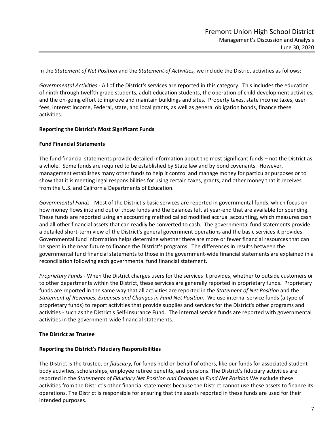In the *Statement of Net Position* and the *Statement of Activities,* we include the District activities as follows:

*Governmental Activities* ‐ All of the District's services are reported in this category. This includes the education of ninth through twelfth grade students, adult education students, the operation of child development activities, and the on‐going effort to improve and maintain buildings and sites. Property taxes, state income taxes, user fees, interest income, Federal, state, and local grants, as well as general obligation bonds, finance these activities.

#### **Reporting the District's Most Significant Funds**

#### **Fund Financial Statements**

The fund financial statements provide detailed information about the most significant funds – not the District as a whole. Some funds are required to be established by State law and by bond covenants. However, management establishes many other funds to help it control and manage money for particular purposes or to show that it is meeting legal responsibilities for using certain taxes, grants, and other money that it receives from the U.S. and California Departments of Education.

*Governmental Funds* ‐ Most of the District's basic services are reported in governmental funds, which focus on how money flows into and out of those funds and the balances left at year-end that are available for spending. These funds are reported using an accounting method called modified accrual accounting, which measures cash and all other financial assets that can readily be converted to cash. The governmental fund statements provide a detailed short‐term view of the District's general government operations and the basic services it provides. Governmental fund information helps determine whether there are more or fewer financial resources that can be spent in the near future to finance the District's programs. The differences in results between the governmental fund financial statements to those in the government‐wide financial statements are explained in a reconciliation following each governmental fund financial statement.

*Proprietary Funds* ‐ When the District charges users for the services it provides, whether to outside customers or to other departments within the District, these services are generally reported in proprietary funds. Proprietary funds are reported in the same way that all activities are reported in the *Statement of Net Position* and the *Statement of Revenues, Expenses and Changes in Fund Net Position*. We use internal service funds (a type of proprietary funds) to report activities that provide supplies and services for the District's other programs and activities ‐ such as the District's Self‐Insurance Fund. The internal service funds are reported with governmental activities in the government‐wide financial statements.

# **The District as Trustee**

#### **Reporting the District's Fiduciary Responsibilities**

The District is the trustee, or *fiduciary,* for funds held on behalf of others, like our funds for associated student body activities, scholarships, employee retiree benefits, and pensions. The District's fiduciary activities are reported in the *Statements of Fiduciary Net Position and Changes in Fund Net Position* We exclude these activities from the District's other financial statements because the District cannot use these assets to finance its operations. The District is responsible for ensuring that the assets reported in these funds are used for their intended purposes.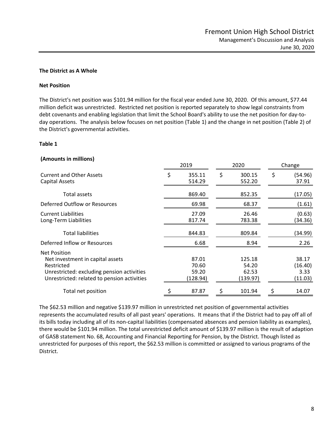#### **The District as A Whole**

#### **Net Position**

The District's net position was \$101.94 million for the fiscal year ended June 30, 2020. Of this amount, \$77.44 million deficit was unrestricted. Restricted net position is reported separately to show legal constraints from debt covenants and enabling legislation that limit the School Board's ability to use the net position for day-today operations. The analysis below focuses on net position (Table 1) and the change in net position (Table 2) of the District's governmental activities.

#### **Table 1**

#### **(Amounts in millions)**

|                                                                                                                                                                    | 2019                                | 2020                                 | Change |                                     |  |
|--------------------------------------------------------------------------------------------------------------------------------------------------------------------|-------------------------------------|--------------------------------------|--------|-------------------------------------|--|
| <b>Current and Other Assets</b><br>Capital Assets                                                                                                                  | \$<br>355.11<br>514.29              | \$<br>300.15<br>552.20               | \$     | (54.96)<br>37.91                    |  |
| Total assets                                                                                                                                                       | 869.40                              | 852.35                               |        | (17.05)                             |  |
| Deferred Outflow or Resources                                                                                                                                      | 69.98                               | 68.37                                |        | (1.61)                              |  |
| <b>Current Liabilities</b><br>Long-Term Liabilities                                                                                                                | 27.09<br>817.74                     | 26.46<br>783.38                      |        | (0.63)<br>(34.36)                   |  |
| <b>Total liabilities</b>                                                                                                                                           | 844.83                              | 809.84                               |        | (34.99)                             |  |
| Deferred Inflow or Resources                                                                                                                                       | 6.68                                | 8.94                                 |        | 2.26                                |  |
| <b>Net Position</b><br>Net investment in capital assets<br>Restricted<br>Unrestricted: excluding pension activities<br>Unrestricted: related to pension activities | 87.01<br>70.60<br>59.20<br>(128.94) | 125.18<br>54.20<br>62.53<br>(139.97) |        | 38.17<br>(16.40)<br>3.33<br>(11.03) |  |
| Total net position                                                                                                                                                 | 87.87                               | 101.94                               |        | 14.07                               |  |

The \$62.53 million and negative \$139.97 million in unrestricted net position of governmental activities represents the accumulated results of all past years' operations. It means that if the District had to pay off all of its bills today including all of its non‐capital liabilities (compensated absences and pension liability as examples), there would be \$101.94 million. The total unrestricted deficit amount of \$139.97 million is the result of adaption of GASB statement No. 68, Accounting and Financial Reporting for Pension, by the District. Though listed as unrestricted for purposes of this report, the \$62.53 million is committed or assigned to various programs of the District.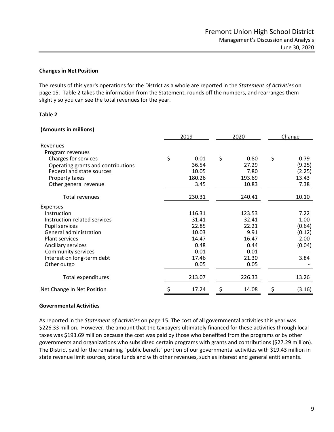#### **Changes in Net Position**

The results of this year's operations for the District as a whole are reported in the *Statement of Activities* on page 15. Table 2 takes the information from the Statement, rounds off the numbers, and rearranges them slightly so you can see the total revenues for the year.

#### **Table 2**

#### **(Amounts in millions)**

|                                    |    | 2019   |    | 2020   |    | Change            |  |
|------------------------------------|----|--------|----|--------|----|-------------------|--|
| Revenues                           |    |        |    |        |    |                   |  |
| Program revenues                   |    |        |    |        |    |                   |  |
| Charges for services               | \$ | 0.01   | \$ | 0.80   | \$ | 0.79              |  |
| Operating grants and contributions |    | 36.54  |    | 27.29  |    | (9.25)            |  |
| Federal and state sources          |    | 10.05  |    | 7.80   |    | (2.25)            |  |
| Property taxes                     |    | 180.26 |    | 193.69 |    | 13.43             |  |
| Other general revenue              |    | 3.45   |    | 10.83  |    | 7.38              |  |
| Total revenues                     |    | 230.31 |    | 240.41 |    | 10.10             |  |
| Expenses                           |    |        |    |        |    |                   |  |
| Instruction                        |    | 116.31 |    | 123.53 |    | 7.22              |  |
| Instruction-related services       |    | 31.41  |    | 32.41  |    | 1.00 <sub>1</sub> |  |
| Pupil services                     |    | 22.85  |    | 22.21  |    | (0.64)            |  |
| General administration             |    | 10.03  |    | 9.91   |    | (0.12)            |  |
| <b>Plant services</b>              |    | 14.47  |    | 16.47  |    | 2.00              |  |
| Ancillary services                 |    | 0.48   |    | 0.44   |    | (0.04)            |  |
| Community services                 |    | 0.01   |    | 0.01   |    |                   |  |
| Interest on long-term debt         |    | 17.46  |    | 21.30  |    | 3.84              |  |
| Other outgo                        |    | 0.05   |    | 0.05   |    |                   |  |
| <b>Total expenditures</b>          |    | 213.07 |    | 226.33 |    | 13.26             |  |
| Net Change In Net Position         | Ş  | 17.24  | Ş  | 14.08  | Ş  | (3.16)            |  |

# **Governmental Activities**

As reported in the *Statement of Activities* on page 15. The cost of all governmental activities this year was \$226.33 million. However, the amount that the taxpayers ultimately financed for these activities through local taxes was \$193.69 million because the cost was paid by those who benefited from the programs or by other governments and organizations who subsidized certain programs with grants and contributions (\$27.29 million). The District paid for the remaining "public benefit" portion of our governmental activities with \$19.43 million in state revenue limit sources, state funds and with other revenues, such as interest and general entitlements.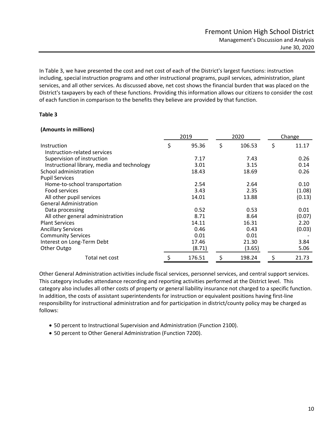In Table 3, we have presented the cost and net cost of each of the District's largest functions: instruction including, special instruction programs and other instructional programs, pupil services, administration, plant services, and all other services. As discussed above, net cost shows the financial burden that was placed on the District's taxpayers by each of these functions. Providing this information allows our citizens to consider the cost of each function in comparison to the benefits they believe are provided by that function.

# **Table 3**

#### **(Amounts in millions)**

|                                             | 2019        |    | 2020   |    | Change |
|---------------------------------------------|-------------|----|--------|----|--------|
| Instruction<br>Instruction-related services | \$<br>95.36 | \$ | 106.53 | \$ | 11.17  |
| Supervision of instruction                  | 7.17        |    | 7.43   |    | 0.26   |
| Instructional library, media and technology | 3.01        |    | 3.15   |    | 0.14   |
| School administration                       | 18.43       |    | 18.69  |    | 0.26   |
| <b>Pupil Services</b>                       |             |    |        |    |        |
| Home-to-school transportation               | 2.54        |    | 2.64   |    | 0.10   |
| Food services                               | 3.43        |    | 2.35   |    | (1.08) |
| All other pupil services                    | 14.01       |    | 13.88  |    | (0.13) |
| <b>General Administration</b>               |             |    |        |    |        |
| Data processing                             | 0.52        |    | 0.53   |    | 0.01   |
| All other general administration            | 8.71        |    | 8.64   |    | (0.07) |
| <b>Plant Services</b>                       | 14.11       |    | 16.31  |    | 2.20   |
| <b>Ancillary Services</b>                   | 0.46        |    | 0.43   |    | (0.03) |
| <b>Community Services</b>                   | 0.01        |    | 0.01   |    |        |
| Interest on Long-Term Debt                  | 17.46       |    | 21.30  |    | 3.84   |
| Other Outgo                                 | (8.71)      |    | (3.65) |    | 5.06   |
| Total net cost                              | 176.51      | S  | 198.24 | Ş  | 21.73  |

Other General Administration activities include fiscal services, personnel services, and central support services. This category includes attendance recording and reporting activities performed at the District level. This category also includes all other costs of property or general liability insurance not charged to a specific function. In addition, the costs of assistant superintendents for instruction or equivalent positions having first‐line responsibility for instructional administration and for participation in district/county policy may be charged as follows:

- 50 percent to Instructional Supervision and Administration (Function 2100).
- 50 percent to Other General Administration (Function 7200).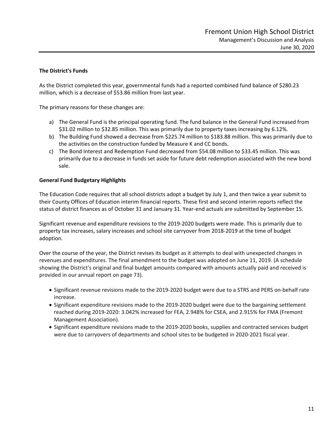# **The District's Funds**

As the District completed this year, governmental funds had a reported combined fund balance of \$280.23 million, which is a decrease of \$53.86 million from last year.

The primary reasons for these changes are:

- a) The General Fund is the principal operating fund. The fund balance in the General Fund increased from \$31.02 million to \$32.85 million. This was primarily due to property taxes increasing by 6.12%.
- b) The Building Fund showed a decrease from \$225.74 million to \$183.88 million. This was primarily due to the activities on the construction funded by Measure K and CC bonds.
- c) The Bond Interest and Redemption Fund decreased from \$54.08 million to \$33.45 million. This was primarily due to a decrease in funds set aside for future debt redemption associated with the new bond sale.

# **General Fund Budgetary Highlights**

The Education Code requires that all school districts adopt a budget by July 1, and then twice a year submit to their County Offices of Education interim financial reports. These first and second interim reports reflect the status of district finances as of October 31 and January 31. Year‐end actuals are submitted by September 15.

Significant revenue and expenditure revisions to the 2019‐2020 budgets were made. This is primarily due to property tax increases, salary increases and school site carryover from 2018‐2019 at the time of budget adoption.

Over the course of the year, the District revises its budget as it attempts to deal with unexpected changes in revenues and expenditures. The final amendment to the budget was adopted on June 11, 2019. (A schedule showing the District's original and final budget amounts compared with amounts actually paid and received is provided in our annual report on page 73).

- Significant revenue revisions made to the 2019-2020 budget were due to a STRS and PERS on-behalf rate increase.
- Significant expenditure revisions made to the 2019-2020 budget were due to the bargaining settlement reached during 2019‐2020: 3.042% increased for FEA, 2.948% for CSEA, and 2.915% for FMA (Fremont Management Association).
- Significant expenditure revisions made to the 2019-2020 books, supplies and contracted services budget were due to carryovers of departments and school sites to be budgeted in 2020-2021 fiscal year.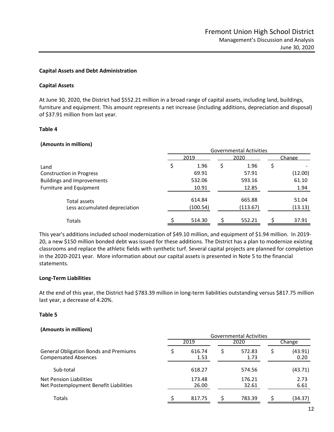Governmental Activities

#### **Capital Assets and Debt Administration**

#### **Capital Assets**

At June 30, 2020, the District had \$552.21 million in a broad range of capital assets, including land, buildings, furniture and equipment. This amount represents a net increase (including additions, depreciation and disposal) of \$37.91 million from last year.

#### **Table 4**

#### **(Amounts in millions)**

|                                               | Governmental Activities |    |                    |  |                  |  |
|-----------------------------------------------|-------------------------|----|--------------------|--|------------------|--|
|                                               | <u> 2019 </u>           |    | 2020               |  | Change           |  |
| Land                                          | \$<br>1.96              | \$ | 1.96               |  |                  |  |
| <b>Construction in Progress</b>               | 69.91                   |    | 57.91              |  | (12.00)          |  |
| <b>Buildings and Improvements</b>             | 532.06                  |    | 593.16             |  | 61.10            |  |
| <b>Furniture and Equipment</b>                | 10.91                   |    | 12.85              |  | 1.94             |  |
| Total assets<br>Less accumulated depreciation | 614.84<br>(100.54)      |    | 665.88<br>(113.67) |  | 51.04<br>(13.13) |  |
| Totals                                        | 514.30                  |    | 552.21             |  | 37.91            |  |

This year's additions included school modernization of \$49.10 million, and equipment of \$1.94 million. In 2019-20, a new \$150 million bonded debt was issued for these additions. The District has a plan to modernize existing classrooms and replace the athletic fields with synthetic turf. Several capital projects are planned for completion in the 2020‐2021 year. More information about our capital assets is presented in Note 5 to the financial statements.

# **Long‐Term Liabilities**

At the end of this year, the District had \$783.39 million in long‐term liabilities outstanding versus \$817.75 million last year, a decrease of 4.20%.

#### **Table 5**

#### **(Amounts in millions)**

|                                                                             | <b>Governmental Activities</b> |                 |  |                 |        |                 |  |
|-----------------------------------------------------------------------------|--------------------------------|-----------------|--|-----------------|--------|-----------------|--|
|                                                                             |                                | 2019            |  | 2020            | Change |                 |  |
| <b>General Obligation Bonds and Premiums</b><br><b>Compensated Absences</b> |                                | 616.74<br>1.53  |  | 572.83<br>1.73  | Ş      | (43.91)<br>0.20 |  |
| Sub-total                                                                   |                                | 618.27          |  | 574.56          |        | (43.71)         |  |
| Net Pension Liabilities<br>Net Postemployment Benefit Liabilities           |                                | 173.48<br>26.00 |  | 176.21<br>32.61 |        | 2.73<br>6.61    |  |
| Totals                                                                      |                                | 817.75          |  | 783.39          |        | (34.37)         |  |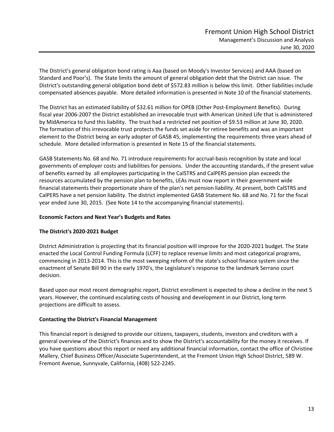The District's general obligation bond rating is Aaa (based on Moody's Investor Services) and AAA (based on Standard and Poor's). The State limits the amount of general obligation debt that the District can issue. The District's outstanding general obligation bond debt of \$572.83 million is below this limit. Other liabilities include compensated absences payable. More detailed information is presented in Note 10 of the financial statements.

The District has an estimated liability of \$32.61 million for OPEB (Other Post‐Employment Benefits). During fiscal year 2006‐2007 the District established an irrevocable trust with American United Life that is administered by MidAmerica to fund this liability. The trust had a restricted net position of \$9.53 million at June 30, 2020. The formation of this irrevocable trust protects the funds set aside for retiree benefits and was an important element to the District being an early adopter of GASB 45, implementing the requirements three years ahead of schedule. More detailed information is presented in Note 15 of the financial statements.

GASB Statements No. 68 and No. 71 introduce requirements for accrual‐basis recognition by state and local governments of employer costs and liabilities for pensions. Under the accounting standards, if the present value of benefits earned by all employees participating in the CalSTRS and CalPERS pension plan exceeds the resources accumulated by the pension plan to benefits, LEAs must now report in their government wide financial statements their proportionate share of the plan's net pension liability. At present, both CalSTRS and CalPERS have a net pension liability. The district implemented GASB Statement No. 68 and No. 71 for the fiscal year ended June 30, 2015. (See Note 14 to the accompanying financial statements).

# **Economic Factors and Next Year's Budgets and Rates**

# **The District's 2020‐2021 Budget**

District Administration is projecting that its financial position will improve for the 2020-2021 budget. The State enacted the Local Control Funding Formula (LCFF) to replace revenue limits and most categorical programs, commencing in 2013‐2014. This is the most sweeping reform of the state's school finance system since the enactment of Senate Bill 90 in the early 1970's, the Legislature's response to the landmark Serrano court decision.

Based upon our most recent demographic report, District enrollment is expected to show a decline in the next 5 years. However, the continued escalating costs of housing and development in our District, long term projections are difficult to assess.

# **Contacting the District's Financial Management**

This financial report is designed to provide our citizens, taxpayers, students, investors and creditors with a general overview of the District's finances and to show the District's accountability for the money it receives. If you have questions about this report or need any additional financial information, contact the office of Christine Mallery, Chief Business Officer/Associate Superintendent, at the Fremont Union High School District, 589 W. Fremont Avenue, Sunnyvale, California, (408) 522‐2245.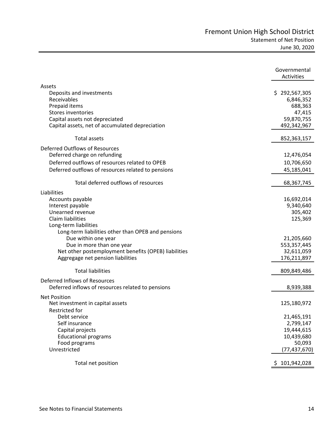|                                                                                                                                                                                                                                                                                                                                     | Governmental<br>Activities                                                                              |
|-------------------------------------------------------------------------------------------------------------------------------------------------------------------------------------------------------------------------------------------------------------------------------------------------------------------------------------|---------------------------------------------------------------------------------------------------------|
| Assets<br>Deposits and investments<br>Receivables<br>Prepaid items<br>Stores inventories<br>Capital assets not depreciated<br>Capital assets, net of accumulated depreciation                                                                                                                                                       | \$292,567,305<br>6,846,352<br>688,363<br>47,415<br>59,870,755<br>492,342,967                            |
| <b>Total assets</b>                                                                                                                                                                                                                                                                                                                 | 852,363,157                                                                                             |
| <b>Deferred Outflows of Resources</b><br>Deferred charge on refunding<br>Deferred outflows of resources related to OPEB<br>Deferred outflows of resources related to pensions                                                                                                                                                       | 12,476,054<br>10,706,650<br>45,185,041                                                                  |
| Total deferred outflows of resources                                                                                                                                                                                                                                                                                                | 68,367,745                                                                                              |
| Liabilities<br>Accounts payable<br>Interest payable<br>Unearned revenue<br><b>Claim liabilities</b><br>Long-term liabilities<br>Long-term liabilities other than OPEB and pensions<br>Due within one year<br>Due in more than one year<br>Net other postemployment benefits (OPEB) liabilities<br>Aggregage net pension liabilities | 16,692,014<br>9,340,640<br>305,402<br>125,369<br>21,205,660<br>553,357,445<br>32,611,059<br>176,211,897 |
| <b>Total liabilities</b>                                                                                                                                                                                                                                                                                                            | 809,849,486                                                                                             |
| Deferred Inflows of Resources<br>Deferred inflows of resources related to pensions                                                                                                                                                                                                                                                  | 8,939,388                                                                                               |
| <b>Net Position</b><br>Net investment in capital assets<br>Restricted for<br>Debt service<br>Self insurance<br>Capital projects<br><b>Educational programs</b><br>Food programs<br>Unrestricted                                                                                                                                     | 125,180,972<br>21,465,191<br>2,799,147<br>19,444,615<br>10,439,680<br>50,093<br>(77, 437, 670)          |
| Total net position                                                                                                                                                                                                                                                                                                                  | \$101,942,028                                                                                           |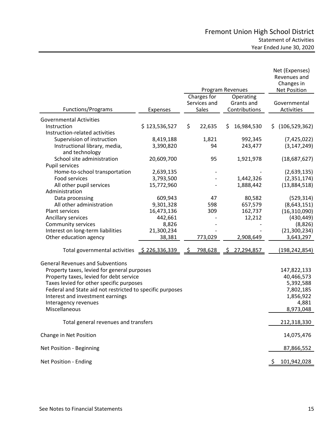|                                                           |                      |    |              | Program Revenues |            | Net (Expenses)<br>Revenues and<br>Changes in<br><b>Net Position</b> |                |
|-----------------------------------------------------------|----------------------|----|--------------|------------------|------------|---------------------------------------------------------------------|----------------|
|                                                           |                      |    | Charges for  | Operating        |            |                                                                     |                |
|                                                           |                      |    | Services and | Grants and       |            | Governmental                                                        |                |
| Functions/Programs                                        | Expenses             |    | <b>Sales</b> | Contributions    |            | Activities                                                          |                |
|                                                           |                      |    |              |                  |            |                                                                     |                |
| <b>Governmental Activities</b>                            |                      |    |              |                  |            |                                                                     |                |
| Instruction                                               | \$123,536,527        | \$ | 22,635       | \$.              | 16,984,530 | (106, 529, 362)<br>\$                                               |                |
| Instruction-related activities                            |                      |    |              |                  |            |                                                                     |                |
| Supervision of instruction                                | 8,419,188            |    | 1,821        |                  | 992,345    |                                                                     | (7,425,022)    |
| Instructional library, media,<br>and technology           | 3,390,820            |    | 94           |                  | 243,477    |                                                                     | (3, 147, 249)  |
| School site administration                                | 20,609,700           |    | 95           |                  | 1,921,978  |                                                                     | (18,687,627)   |
| <b>Pupil services</b>                                     |                      |    |              |                  |            |                                                                     |                |
| Home-to-school transportation                             | 2,639,135            |    |              |                  |            |                                                                     | (2,639,135)    |
| Food services                                             | 3,793,500            |    |              |                  | 1,442,326  |                                                                     | (2,351,174)    |
| All other pupil services                                  | 15,772,960           |    |              |                  | 1,888,442  |                                                                     | (13,884,518)   |
| Administration                                            |                      |    |              |                  |            |                                                                     |                |
| Data processing                                           | 609,943              |    | 47           |                  | 80,582     |                                                                     | (529, 314)     |
| All other administration                                  | 9,301,328            |    | 598          |                  | 657,579    |                                                                     | (8,643,151)    |
| Plant services                                            | 16,473,136           |    | 309          |                  | 162,737    |                                                                     | (16, 310, 090) |
| Ancillary services                                        | 442,661              |    |              |                  | 12,212     |                                                                     | (430, 449)     |
| <b>Community services</b>                                 | 8,826                |    |              |                  |            |                                                                     | (8,826)        |
| Interest on long-term liabilities                         | 21,300,234           |    |              |                  |            |                                                                     | (21, 300, 234) |
| Other education agency                                    | 38,381               |    | 773,029      |                  | 2,908,649  |                                                                     | 3,643,297      |
| Total governmental activities                             | <u>\$226,336,339</u> | S  | 798,628      | S                | 27,294,857 | (198, 242, 854)                                                     |                |
|                                                           |                      |    |              |                  |            |                                                                     |                |
| <b>General Revenues and Subventions</b>                   |                      |    |              |                  |            |                                                                     |                |
| Property taxes, levied for general purposes               |                      |    |              |                  |            | 147,822,133                                                         |                |
| Property taxes, levied for debt service                   |                      |    |              |                  |            |                                                                     | 40,466,573     |
| Taxes levied for other specific purposes                  |                      |    |              |                  |            |                                                                     | 5,392,588      |
| Federal and State aid not restricted to specific purposes |                      |    |              |                  |            |                                                                     | 7,802,185      |
| Interest and investment earnings                          |                      |    |              |                  |            |                                                                     | 1,856,922      |
| Interagency revenues                                      |                      |    |              |                  |            |                                                                     | 4,881          |
| Miscellaneous                                             |                      |    |              |                  |            |                                                                     | 8,973,048      |
|                                                           |                      |    |              |                  |            |                                                                     |                |
| Total general revenues and transfers                      |                      |    |              |                  |            | 212,318,330                                                         |                |
| Change in Net Position                                    |                      |    |              |                  |            |                                                                     | 14,075,476     |
| Net Position - Beginning                                  |                      |    |              |                  |            |                                                                     | 87,866,552     |
| Net Position - Ending                                     |                      |    |              |                  |            | 101,942,028                                                         |                |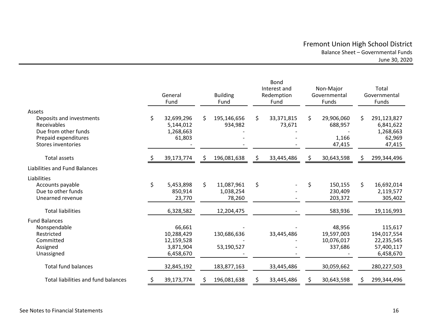# Fremont Union High School District Balance Sheet – Governmental Funds June 30, 2020

|                                                                                                                         |     | General<br>Fund                                              |    | <b>Building</b><br>Fund           |    | Bond<br>Interest and<br>Redemption<br>Fund |    | Non-Major<br>Governmental<br>Funds            |    | Total<br>Governmental<br>Funds                                  |
|-------------------------------------------------------------------------------------------------------------------------|-----|--------------------------------------------------------------|----|-----------------------------------|----|--------------------------------------------|----|-----------------------------------------------|----|-----------------------------------------------------------------|
| Assets<br>Deposits and investments<br>Receivables<br>Due from other funds<br>Prepaid expenditures<br>Stores inventories | \$. | 32,699,296<br>5,144,012<br>1,268,663<br>61,803               | S. | 195,146,656<br>934,982            | \$ | 33,371,815<br>73,671                       | \$ | 29,906,060<br>688,957<br>1,166<br>47,415      | \$ | 291,123,827<br>6,841,622<br>1,268,663<br>62,969<br>47,415       |
| Total assets                                                                                                            |     | 39,173,774                                                   | S  | 196,081,638                       | S  | 33,445,486                                 | S  | 30,643,598                                    |    | 299,344,496                                                     |
| <b>Liabilities and Fund Balances</b>                                                                                    |     |                                                              |    |                                   |    |                                            |    |                                               |    |                                                                 |
| Liabilities<br>Accounts payable<br>Due to other funds<br>Unearned revenue                                               | \$  | 5,453,898<br>850,914<br>23,770                               | Ś. | 11,087,961<br>1,038,254<br>78,260 | \$ |                                            | \$ | 150,155<br>230,409<br>203,372                 | Ś. | 16,692,014<br>2,119,577<br>305,402                              |
| <b>Total liabilities</b>                                                                                                |     | 6,328,582                                                    |    | 12,204,475                        |    |                                            |    | 583,936                                       |    | 19,116,993                                                      |
| <b>Fund Balances</b><br>Nonspendable<br>Restricted<br>Committed<br>Assigned<br>Unassigned                               |     | 66,661<br>10,288,429<br>12,159,528<br>3,871,904<br>6,458,670 |    | 130,686,636<br>53,190,527         |    | 33,445,486                                 |    | 48,956<br>19,597,003<br>10,076,017<br>337,686 |    | 115,617<br>194,017,554<br>22,235,545<br>57,400,117<br>6,458,670 |
| <b>Total fund balances</b>                                                                                              |     | 32,845,192                                                   |    | 183,877,163                       |    | 33,445,486                                 |    | 30,059,662                                    |    | 280,227,503                                                     |
| <b>Total liabilities and fund balances</b>                                                                              |     | 39,173,774                                                   |    | 196,081,638                       |    | 33,445,486                                 |    | 30,643,598                                    |    | 299,344,496                                                     |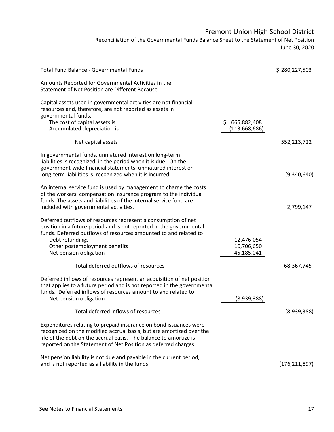Reconciliation of the Governmental Funds Balance Sheet to the Statement of Net Position

June 30, 2020

| Total Fund Balance - Governmental Funds                                                                                                                                                                                                                                          |                          | \$280,227,503   |
|----------------------------------------------------------------------------------------------------------------------------------------------------------------------------------------------------------------------------------------------------------------------------------|--------------------------|-----------------|
| Amounts Reported for Governmental Activities in the<br>Statement of Net Position are Different Because                                                                                                                                                                           |                          |                 |
| Capital assets used in governmental activities are not financial<br>resources and, therefore, are not reported as assets in<br>governmental funds.<br>The cost of capital assets is                                                                                              | 665,882,408<br>S.        |                 |
| Accumulated depreciation is                                                                                                                                                                                                                                                      | (113, 668, 686)          |                 |
| Net capital assets                                                                                                                                                                                                                                                               |                          | 552,213,722     |
| In governmental funds, unmatured interest on long-term<br>liabilities is recognized in the period when it is due. On the<br>government-wide financial statements, unmatured interest on<br>long-term liabilities is recognized when it is incurred.                              |                          | (9,340,640)     |
|                                                                                                                                                                                                                                                                                  |                          |                 |
| An internal service fund is used by management to charge the costs<br>of the workers' compensation insurance program to the individual<br>funds. The assets and liabilities of the internal service fund are                                                                     |                          |                 |
| included with governmental activities.                                                                                                                                                                                                                                           |                          | 2,799,147       |
| Deferred outflows of resources represent a consumption of net<br>position in a future period and is not reported in the governmental<br>funds. Deferred outflows of resources amounted to and related to<br>Debt refundings                                                      | 12,476,054               |                 |
| Other postemployment benefits<br>Net pension obligation                                                                                                                                                                                                                          | 10,706,650<br>45,185,041 |                 |
| Total deferred outflows of resources                                                                                                                                                                                                                                             |                          | 68,367,745      |
| Deferred inflows of resources represent an acquisition of net position<br>that applies to a future period and is not reported in the governmental<br>funds. Deferred inflows of resources amount to and related to<br>Net pension obligation                                     | (8,939,388)              |                 |
| Total deferred inflows of resources                                                                                                                                                                                                                                              |                          | (8,939,388)     |
| Expenditures relating to prepaid insurance on bond issuances were<br>recognized on the modified accrual basis, but are amortized over the<br>life of the debt on the accrual basis. The balance to amortize is<br>reported on the Statement of Net Position as deferred charges. |                          |                 |
| Net pension liability is not due and payable in the current period,<br>and is not reported as a liability in the funds.                                                                                                                                                          |                          | (176, 211, 897) |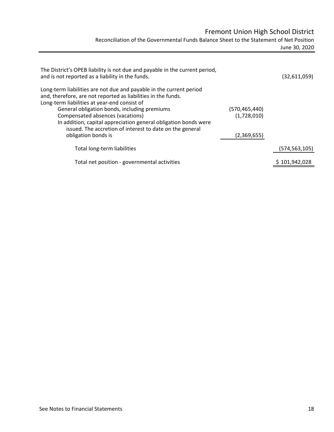| Reconciliation of the Governmental Funds Balance Sheet to the Statement of Net Position |  |               |  |
|-----------------------------------------------------------------------------------------|--|---------------|--|
|                                                                                         |  | June 30, 2020 |  |

| The District's OPEB liability is not due and payable in the current period,<br>and is not reported as a liability in the funds.                                                      |                 | (32,611,059)    |
|--------------------------------------------------------------------------------------------------------------------------------------------------------------------------------------|-----------------|-----------------|
| Long-term liabilities are not due and payable in the current period<br>and, therefore, are not reported as liabilities in the funds.<br>Long-term liabilities at year-end consist of |                 |                 |
| General obligation bonds, including premiums                                                                                                                                         | (570, 465, 440) |                 |
| Compensated absences (vacations)                                                                                                                                                     | (1,728,010)     |                 |
| In addition, capital appreciation general obligation bonds were<br>issued. The accretion of interest to date on the general                                                          |                 |                 |
| obligation bonds is                                                                                                                                                                  | (2,369,655)     |                 |
| Total long-term liabilities                                                                                                                                                          |                 | (574, 563, 105) |
| Total net position - governmental activities                                                                                                                                         |                 | \$101,942,028   |
|                                                                                                                                                                                      |                 |                 |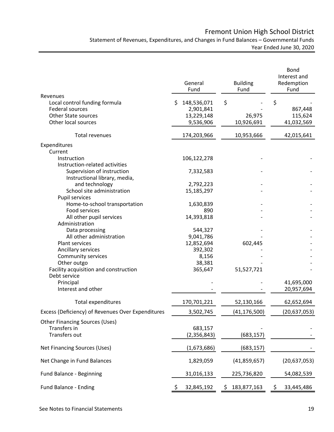Statement of Revenues, Expenditures, and Changes in Fund Balances – Governmental Funds Year Ended June 30, 2020

|                                                   | General<br>Fund         | <b>Building</b><br>Fund | <b>Bond</b><br>Interest and<br>Redemption<br>Fund |
|---------------------------------------------------|-------------------------|-------------------------|---------------------------------------------------|
| Revenues                                          |                         |                         |                                                   |
| Local control funding formula                     | 148,536,071<br>S        | \$                      | \$                                                |
| Federal sources<br><b>Other State sources</b>     | 2,901,841<br>13,229,148 | 26,975                  | 867,448<br>115,624                                |
| Other local sources                               | 9,536,906               | 10,926,691              | 41,032,569                                        |
|                                                   |                         |                         |                                                   |
| Total revenues                                    | 174,203,966             | 10,953,666              | 42,015,641                                        |
| Expenditures                                      |                         |                         |                                                   |
| Current                                           |                         |                         |                                                   |
| Instruction                                       | 106,122,278             |                         |                                                   |
| Instruction-related activities                    |                         |                         |                                                   |
| Supervision of instruction                        | 7,332,583               |                         |                                                   |
| Instructional library, media,                     |                         |                         |                                                   |
| and technology                                    | 2,792,223               |                         |                                                   |
| School site administration                        | 15,185,297              |                         |                                                   |
| <b>Pupil services</b>                             |                         |                         |                                                   |
| Home-to-school transportation                     | 1,630,839               |                         |                                                   |
| Food services                                     | 890                     |                         |                                                   |
| All other pupil services<br>Administration        | 14,393,818              |                         |                                                   |
| Data processing                                   | 544,327                 |                         |                                                   |
| All other administration                          | 9,041,786               |                         |                                                   |
| Plant services                                    | 12,852,694              | 602,445                 |                                                   |
| Ancillary services                                | 392,302                 |                         |                                                   |
| <b>Community services</b>                         | 8,156                   |                         |                                                   |
| Other outgo                                       | 38,381                  |                         |                                                   |
| Facility acquisition and construction             | 365,647                 | 51,527,721              |                                                   |
| Debt service                                      |                         |                         |                                                   |
| Principal                                         |                         |                         | 41,695,000                                        |
| Interest and other                                |                         |                         | 20,957,694                                        |
| Total expenditures                                | 170,701,221             | 52,130,166              | 62,652,694                                        |
| Excess (Deficiency) of Revenues Over Expenditures | 3,502,745               | (41, 176, 500)          | (20, 637, 053)                                    |
| <b>Other Financing Sources (Uses)</b>             |                         |                         |                                                   |
| Transfers in                                      | 683,157                 |                         |                                                   |
| <b>Transfers out</b>                              | (2,356,843)             | (683, 157)              |                                                   |
| <b>Net Financing Sources (Uses)</b>               | (1,673,686)             | (683,157)               |                                                   |
| Net Change in Fund Balances                       | 1,829,059               | (41,859,657)            | (20, 637, 053)                                    |
| Fund Balance - Beginning                          | 31,016,133              | 225,736,820             | 54,082,539                                        |
| Fund Balance - Ending                             | 32,845,192<br>S         | \$183,877,163           | 33,445,486<br>S.                                  |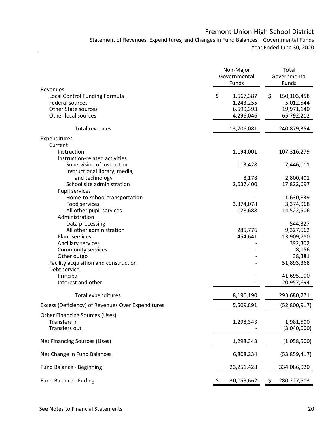Statement of Revenues, Expenditures, and Changes in Fund Balances – Governmental Funds Year Ended June 30, 2020

|                                                                                                                          | Non-Major<br>Governmental<br>Funds                     |                                                            |
|--------------------------------------------------------------------------------------------------------------------------|--------------------------------------------------------|------------------------------------------------------------|
| Revenues<br><b>Local Control Funding Formula</b><br>Federal sources<br><b>Other State sources</b><br>Other local sources | \$<br>1,567,387<br>1,243,255<br>6,599,393<br>4,296,046 | \$<br>150,103,458<br>5,012,544<br>19,971,140<br>65,792,212 |
| <b>Total revenues</b>                                                                                                    | 13,706,081                                             | 240,879,354                                                |
| Expenditures<br>Current                                                                                                  |                                                        |                                                            |
| Instruction<br>Instruction-related activities                                                                            | 1,194,001                                              | 107,316,279                                                |
| Supervision of instruction<br>Instructional library, media,                                                              | 113,428                                                | 7,446,011                                                  |
| and technology<br>School site administration<br>Pupil services                                                           | 8,178<br>2,637,400                                     | 2,800,401<br>17,822,697                                    |
| Home-to-school transportation<br>Food services<br>All other pupil services<br>Administration                             | 3,374,078<br>128,688                                   | 1,630,839<br>3,374,968<br>14,522,506                       |
| Data processing<br>All other administration<br>Plant services<br>Ancillary services                                      | 285,776<br>454,641                                     | 544,327<br>9,327,562<br>13,909,780<br>392,302              |
| Community services<br>Other outgo<br>Facility acquisition and construction<br>Debt service                               |                                                        | 8,156<br>38,381<br>51,893,368                              |
| Principal<br>Interest and other                                                                                          |                                                        | 41,695,000<br>20,957,694                                   |
| Total expenditures                                                                                                       | 8,196,190                                              | 293,680,271                                                |
| Excess (Deficiency) of Revenues Over Expenditures                                                                        | 5,509,891                                              | (52,800,917)                                               |
| <b>Other Financing Sources (Uses)</b><br>Transfers in<br>Transfers out                                                   | 1,298,343                                              | 1,981,500<br>(3,040,000)                                   |
| <b>Net Financing Sources (Uses)</b>                                                                                      | 1,298,343                                              | (1,058,500)                                                |
| Net Change in Fund Balances                                                                                              | 6,808,234                                              | (53,859,417)                                               |
| Fund Balance - Beginning                                                                                                 | 23,251,428                                             | 334,086,920                                                |
| Fund Balance - Ending                                                                                                    | \$<br>30,059,662                                       | \$<br>280,227,503                                          |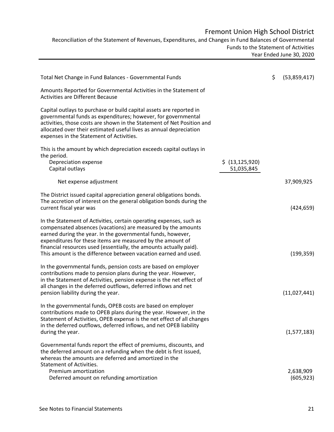Reconciliation of the Statement of Revenues, Expenditures, and Changes in Fund Balances of Governmental Funds to the Statement of Activities Year Ended June 30, 2020

| Total Net Change in Fund Balances - Governmental Funds                                                                                                                                                                                                                                                                                                                                                    |                                 | \$<br>(53,859,417)      |
|-----------------------------------------------------------------------------------------------------------------------------------------------------------------------------------------------------------------------------------------------------------------------------------------------------------------------------------------------------------------------------------------------------------|---------------------------------|-------------------------|
| Amounts Reported for Governmental Activities in the Statement of<br><b>Activities are Different Because</b>                                                                                                                                                                                                                                                                                               |                                 |                         |
| Capital outlays to purchase or build capital assets are reported in<br>governmental funds as expenditures; however, for governmental<br>activities, those costs are shown in the Statement of Net Position and<br>allocated over their estimated useful lives as annual depreciation<br>expenses in the Statement of Activities.                                                                          |                                 |                         |
| This is the amount by which depreciation exceeds capital outlays in<br>the period.<br>Depreciation expense<br>Capital outlays                                                                                                                                                                                                                                                                             | \$ (13, 125, 920)<br>51,035,845 |                         |
| Net expense adjustment                                                                                                                                                                                                                                                                                                                                                                                    |                                 | 37,909,925              |
| The District issued capital appreciation general obligations bonds.<br>The accretion of interest on the general obligation bonds during the<br>current fiscal year was                                                                                                                                                                                                                                    |                                 | (424, 659)              |
| In the Statement of Activities, certain operating expenses, such as<br>compensated absences (vacations) are measured by the amounts<br>earned during the year. In the governmental funds, however,<br>expenditures for these items are measured by the amount of<br>financial resources used (essentially, the amounts actually paid).<br>This amount is the difference between vacation earned and used. |                                 | (199, 359)              |
| In the governmental funds, pension costs are based on employer<br>contributions made to pension plans during the year. However,<br>in the Statement of Activities, pension expense is the net effect of<br>all changes in the deferred outflows, deferred inflows and net<br>pension liability during the year.                                                                                           |                                 | (11,027,441)            |
| In the governmental funds, OPEB costs are based on employer<br>contributions made to OPEB plans during the year. However, in the<br>Statement of Activities, OPEB expense is the net effect of all changes<br>in the deferred outflows, deferred inflows, and net OPEB liability<br>during the year.                                                                                                      |                                 | (1,577,183)             |
| Governmental funds report the effect of premiums, discounts, and<br>the deferred amount on a refunding when the debt is first issued,<br>whereas the amounts are deferred and amortized in the<br><b>Statement of Activities.</b>                                                                                                                                                                         |                                 |                         |
| Premium amortization<br>Deferred amount on refunding amortization                                                                                                                                                                                                                                                                                                                                         |                                 | 2,638,909<br>(605, 923) |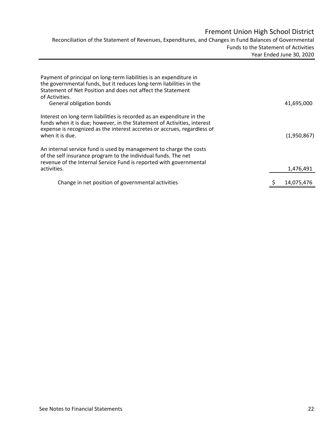Reconciliation of the Statement of Revenues, Expenditures, and Changes in Fund Balances of Governmental Funds to the Statement of Activities Year Ended June 30, 2020

| Payment of principal on long-term liabilities is an expenditure in<br>the governmental funds, but it reduces long-term liabilities in the<br>Statement of Net Position and does not affect the Statement                                         |             |
|--------------------------------------------------------------------------------------------------------------------------------------------------------------------------------------------------------------------------------------------------|-------------|
| of Activities.                                                                                                                                                                                                                                   |             |
| General obligation bonds                                                                                                                                                                                                                         | 41,695,000  |
| Interest on long-term liabilities is recorded as an expenditure in the<br>funds when it is due; however, in the Statement of Activities, interest<br>expense is recognized as the interest accretes or accrues, regardless of<br>when it is due. | (1,950,867) |
| An internal service fund is used by management to charge the costs<br>of the self insurance program to the individual funds. The net<br>revenue of the Internal Service Fund is reported with governmental<br>activities.                        | 1,476,491   |
|                                                                                                                                                                                                                                                  |             |
| Change in net position of governmental activities                                                                                                                                                                                                | 14.075.476  |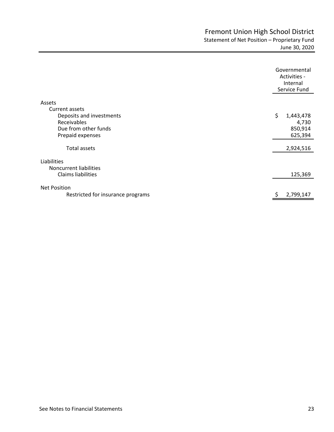# Fremont Union High School District Statement of Net Position – Proprietary Fund June 30, 2020

|                                   | Governmental<br>Activities -<br>Internal<br>Service Fund |  |
|-----------------------------------|----------------------------------------------------------|--|
| Assets                            |                                                          |  |
| Current assets                    |                                                          |  |
| Deposits and investments          | \$<br>1,443,478                                          |  |
| Receivables                       | 4,730                                                    |  |
| Due from other funds              | 850,914                                                  |  |
| Prepaid expenses                  | 625,394                                                  |  |
| <b>Total assets</b>               | 2,924,516                                                |  |
| Liabilities                       |                                                          |  |
| Noncurrent liabilities            |                                                          |  |
| <b>Claims liabilities</b>         | 125,369                                                  |  |
| <b>Net Position</b>               |                                                          |  |
| Restricted for insurance programs | 2,799,147                                                |  |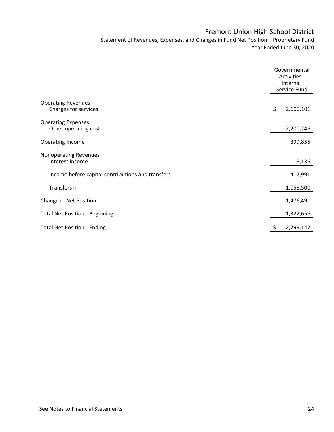Statement of Revenues, Expenses, and Changes in Fund Net Position – Proprietary Fund Year Ended June 30, 2020

|                                                   | Governmental<br>Activities -<br>Internal<br>Service Fund |           |
|---------------------------------------------------|----------------------------------------------------------|-----------|
| <b>Operating Revenues</b><br>Charges for services | \$                                                       | 2,600,101 |
| <b>Operating Expenses</b><br>Other operating cost |                                                          | 2,200,246 |
| Operating Income                                  |                                                          | 399,855   |
| <b>Nonoperating Revenues</b><br>Interest income   |                                                          | 18,136    |
| Income before capital contributions and transfers |                                                          | 417,991   |
| Transfers in                                      |                                                          | 1,058,500 |
| Change in Net Position                            |                                                          | 1,476,491 |
| <b>Total Net Position - Beginning</b>             |                                                          | 1,322,656 |
| <b>Total Net Position - Ending</b>                | \$                                                       | 2,799,147 |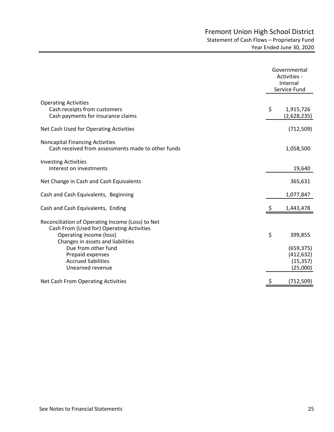|                                                                                                                                                                                                                                                            |    | Governmental<br>Activities -<br>Internal<br>Service Fund     |  |  |
|------------------------------------------------------------------------------------------------------------------------------------------------------------------------------------------------------------------------------------------------------------|----|--------------------------------------------------------------|--|--|
| <b>Operating Activities</b><br>Cash receipts from customers<br>Cash payments for insurance claims                                                                                                                                                          | \$ | 1,915,726<br>(2,628,235)                                     |  |  |
| Net Cash Used for Operating Activities                                                                                                                                                                                                                     |    | (712, 509)                                                   |  |  |
| <b>Noncapital Financing Activities</b><br>Cash received from assessments made to other funds                                                                                                                                                               |    | 1,058,500                                                    |  |  |
| <b>Investing Activities</b><br>Interest on investments                                                                                                                                                                                                     |    | 19,640                                                       |  |  |
| Net Change in Cash and Cash Equivalents                                                                                                                                                                                                                    |    | 365,631                                                      |  |  |
| Cash and Cash Equivalents, Beginning                                                                                                                                                                                                                       |    | 1,077,847                                                    |  |  |
| Cash and Cash Equivalents, Ending                                                                                                                                                                                                                          | \$ | 1,443,478                                                    |  |  |
| Reconciliation of Operating Income (Loss) to Net<br>Cash From (Used for) Operating Activities<br>Operating income (loss)<br>Changes in assets and liabilities<br>Due from other fund<br>Prepaid expenses<br><b>Accrued liabilities</b><br>Unearned revenue | \$ | 399,855<br>(659, 375)<br>(412, 632)<br>(15, 357)<br>(25,000) |  |  |
| Net Cash From Operating Activities                                                                                                                                                                                                                         |    | (712, 509)                                                   |  |  |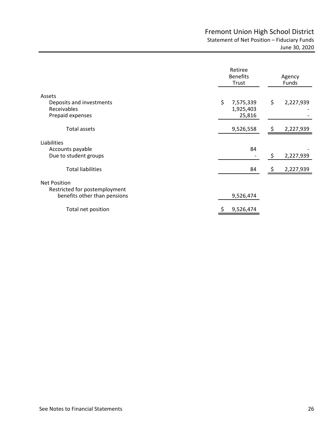# Fremont Union High School District Statement of Net Position – Fiduciary Funds June 30, 2020

|                                                                                      | Retiree<br><b>Benefits</b><br>Trust    |    | Agency<br>Funds |
|--------------------------------------------------------------------------------------|----------------------------------------|----|-----------------|
| Assets<br>Deposits and investments<br>Receivables<br>Prepaid expenses                | \$<br>7,575,339<br>1,925,403<br>25,816 | \$ | 2,227,939       |
| <b>Total assets</b>                                                                  | 9,526,558                              | \$ | 2,227,939       |
| Liabilities<br>Accounts payable<br>Due to student groups                             | 84                                     | \$ | 2,227,939       |
| <b>Total liabilities</b>                                                             | 84                                     | Ş  | 2,227,939       |
| <b>Net Position</b><br>Restricted for postemployment<br>benefits other than pensions | 9,526,474                              |    |                 |
| Total net position                                                                   | 9,526,474                              |    |                 |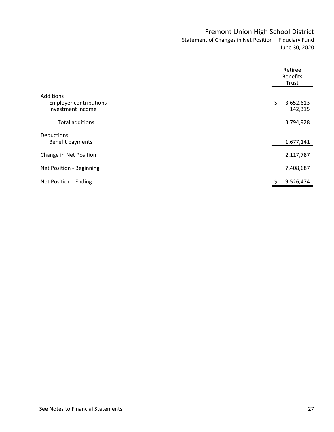Statement of Changes in Net Position – Fiduciary Fund June 30, 2020

|                                                                 | Retiree<br><b>Benefits</b><br>Trust |  |
|-----------------------------------------------------------------|-------------------------------------|--|
| Additions<br><b>Employer contributions</b><br>Investment income | \$<br>3,652,613<br>142,315          |  |
| <b>Total additions</b>                                          | 3,794,928                           |  |
| Deductions<br>Benefit payments                                  | 1,677,141                           |  |
| Change in Net Position                                          | 2,117,787                           |  |
| Net Position - Beginning                                        | 7,408,687                           |  |
| Net Position - Ending                                           | 9,526,474<br>Ş                      |  |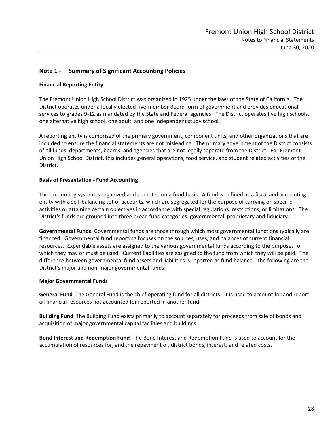# **Note 1 ‐ Summary of Significant Accounting Policies**

### **Financial Reporting Entity**

The Fremont Union High School District was organized in 1925 under the laws of the State of California. The District operates under a locally elected five‐member Board form of government and provides educational services to grades 9-12 as mandated by the State and Federal agencies. The District operates five high schools, one alternative high school, one adult, and one independent study school.

A reporting entity is comprised of the primary government, component units, and other organizations that are included to ensure the financial statements are not misleading. The primary government of the District consists of all funds, departments, boards, and agencies that are not legally separate from the District. For Fremont Union High School District, this includes general operations, food service, and student related activities of the District.

#### **Basis of Presentation ‐ Fund Accounting**

The accounting system is organized and operated on a fund basis. A fund is defined as a fiscal and accounting entity with a self-balancing set of accounts, which are segregated for the purpose of carrying on specific activities or attaining certain objectives in accordance with special regulations, restrictions, or limitations. The District's funds are grouped into three broad fund categories: governmental, proprietary and fiduciary.

**Governmental Funds** Governmental funds are those through which most governmental functions typically are financed. Governmental fund reporting focuses on the sources, uses, and balances of current financial resources. Expendable assets are assigned to the various governmental funds according to the purposes for which they may or must be used. Current liabilities are assigned to the fund from which they will be paid. The difference between governmental fund assets and liabilities is reported as fund balance. The following are the District's major and non‐major governmental funds:

#### **Major Governmental Funds**

**General Fund** The General Fund is the chief operating fund for all districts. It is used to account for and report all financial resources not accounted for reported in another fund.

**Building Fund** The Building Fund exists primarily to account separately for proceeds from sale of bonds and acquisition of major governmental capital facilities and buildings.

**Bond Interest and Redemption Fund** The Bond Interest and Redemption Fund is used to account for the accumulation of resources for, and the repayment of, district bonds, interest, and related costs.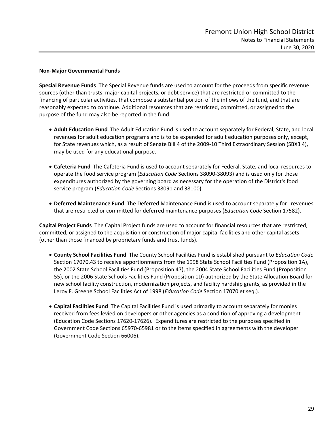# **Non‐Major Governmental Funds**

**Special Revenue Funds** The Special Revenue funds are used to account for the proceeds from specific revenue sources (other than trusts, major capital projects, or debt service) that are restricted or committed to the financing of particular activities, that compose a substantial portion of the inflows of the fund, and that are reasonably expected to continue. Additional resources that are restricted, committed, or assigned to the purpose of the fund may also be reported in the fund.

- **Adult Education Fund** The Adult Education Fund is used to account separately for Federal, State, and local revenues for adult education programs and is to be expended for adult education purposes only, except, for State revenues which, as a result of Senate Bill 4 of the 2009-10 Third Extraordinary Session (SBX3 4), may be used for any educational purpose.
- **Cafeteria Fund** The Cafeteria Fund is used to account separately for Federal, State, and local resources to operate the food service program (*Education Code* Sections 38090‐38093) and is used only for those expenditures authorized by the governing board as necessary for the operation of the District's food service program (*Education Code* Sections 38091 and 38100).
- **Deferred Maintenance Fund** The Deferred Maintenance Fund is used to account separately for revenues that are restricted or committed for deferred maintenance purposes (*Education Code* Section 17582).

**Capital Project Funds** The Capital Project funds are used to account for financial resources that are restricted, committed, or assigned to the acquisition or construction of major capital facilities and other capital assets (other than those financed by proprietary funds and trust funds).

- **County School Facilities Fund**  The County School Facilities Fund is established pursuant to *Education Code* Section 17070.43 to receive apportionments from the 1998 State School Facilities Fund (Proposition 1A), the 2002 State School Facilities Fund (Proposition 47), the 2004 State School Facilities Fund (Proposition 55), or the 2006 State Schools Facilities Fund (Proposition 1D) authorized by the State Allocation Board for new school facility construction, modernization projects, and facility hardship grants, as provided in the Leroy F. Greene School Facilities Act of 1998 (*Education Code* Section 17070 et seq.).
- **Capital Facilities Fund** The Capital Facilities Fund is used primarily to account separately for monies received from fees levied on developers or other agencies as a condition of approving a development (Education Code Sections 17620‐17626). Expenditures are restricted to the purposes specified in Government Code Sections 65970‐65981 or to the items specified in agreements with the developer (Government Code Section 66006).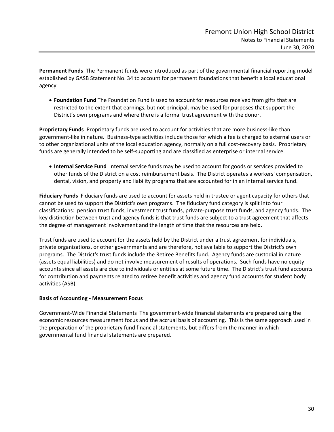**Permanent Funds** The Permanent funds were introduced as part of the governmental financial reporting model established by GASB Statement No. 34 to account for permanent foundations that benefit a local educational agency.

 **Foundation Fund** The Foundation Fund is used to account for resources received from gifts that are restricted to the extent that earnings, but not principal, may be used for purposes that support the District's own programs and where there is a formal trust agreement with the donor.

**Proprietary Funds** Proprietary funds are used to account for activities that are more business‐like than government‐like in nature. Business‐type activities include those for which a fee is charged to external users or to other organizational units of the local education agency, normally on a full cost-recovery basis. Proprietary funds are generally intended to be self-supporting and are classified as enterprise or internal service.

 **Internal Service Fund** Internal service funds may be used to account for goods or services provided to other funds of the District on a cost reimbursement basis. The District operates a workers' compensation, dental, vision, and property and liability programs that are accounted for in an internal service fund.

**Fiduciary Funds** Fiduciary funds are used to account for assets held in trustee or agent capacity for others that cannot be used to support the District's own programs. The fiduciary fund category is split into four classifications: pension trust funds, investment trust funds, private‐purpose trust funds, and agency funds. The key distinction between trust and agency funds is that trust funds are subject to a trust agreement that affects the degree of management involvement and the length of time that the resources are held.

Trust funds are used to account for the assets held by the District under a trust agreement for individuals, private organizations, or other governments and are therefore, not available to support the District's own programs. The District's trust funds include the Retiree Benefits fund. Agency funds are custodial in nature (assets equal liabilities) and do not involve measurement of results of operations. Such funds have no equity accounts since all assets are due to individuals or entities at some future time. The District's trust fund accounts for contribution and payments related to retiree benefit activities and agency fund accounts for student body activities (ASB).

# **Basis of Accounting ‐ Measurement Focus**

Government‐Wide Financial Statements The government‐wide financial statements are prepared using the economic resources measurement focus and the accrual basis of accounting. This is the same approach used in the preparation of the proprietary fund financial statements, but differs from the manner in which governmental fund financial statements are prepared.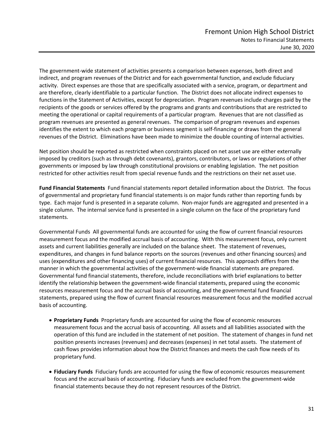The government‐wide statement of activities presents a comparison between expenses, both direct and indirect, and program revenues of the District and for each governmental function, and exclude fiduciary activity. Direct expenses are those that are specifically associated with a service, program, or department and are therefore, clearly identifiable to a particular function. The District does not allocate indirect expenses to functions in the Statement of Activities, except for depreciation. Program revenues include charges paid by the recipients of the goods or services offered by the programs and grants and contributions that are restricted to meeting the operational or capital requirements of a particular program. Revenues that are not classified as program revenues are presented as general revenues. The comparison of program revenues and expenses identifies the extent to which each program or business segment is self‐financing or draws from the general revenues of the District. Eliminations have been made to minimize the double counting of internal activities.

Net position should be reported as restricted when constraints placed on net asset use are either externally imposed by creditors (such as through debt covenants), grantors, contributors, or laws or regulations of other governments or imposed by law through constitutional provisions or enabling legislation. The net position restricted for other activities result from special revenue funds and the restrictions on their net asset use.

**Fund Financial Statements** Fund financial statements report detailed information about the District. The focus of governmental and proprietary fund financial statements is on major funds rather than reporting funds by type. Each major fund is presented in a separate column. Non‐major funds are aggregated and presented in a single column. The internal service fund is presented in a single column on the face of the proprietary fund statements.

Governmental Funds All governmental funds are accounted for using the flow of current financial resources measurement focus and the modified accrual basis of accounting. With this measurement focus, only current assets and current liabilities generally are included on the balance sheet. The statement of revenues, expenditures, and changes in fund balance reports on the sources (revenues and other financing sources) and uses (expenditures and other financing uses) of current financial resources. This approach differs from the manner in which the governmental activities of the government-wide financial statements are prepared. Governmental fund financial statements, therefore, include reconciliations with brief explanations to better identify the relationship between the government‐wide financial statements, prepared using the economic resources measurement focus and the accrual basis of accounting, and the governmental fund financial statements, prepared using the flow of current financial resources measurement focus and the modified accrual basis of accounting.

- **Proprietary Funds** Proprietary funds are accounted for using the flow of economic resources measurement focus and the accrual basis of accounting. All assets and all liabilities associated with the operation of this fund are included in the statement of net position. The statement of changes in fund net position presents increases (revenues) and decreases (expenses) in net total assets. The statement of cash flows provides information about how the District finances and meets the cash flow needs of its proprietary fund.
- **Fiduciary Funds** Fiduciary funds are accounted for using the flow of economic resources measurement focus and the accrual basis of accounting. Fiduciary funds are excluded from the government‐wide financial statements because they do not represent resources of the District.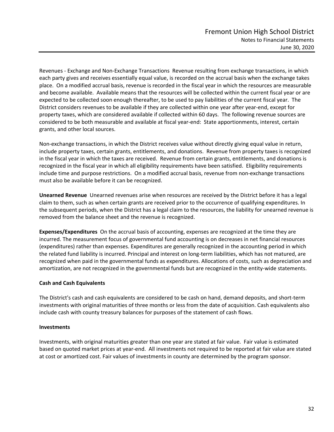Revenues ‐ Exchange and Non‐Exchange Transactions Revenue resulting from exchange transactions, in which each party gives and receives essentially equal value, is recorded on the accrual basis when the exchange takes place. On a modified accrual basis, revenue is recorded in the fiscal year in which the resources are measurable and become available. Available means that the resources will be collected within the current fiscal year or are expected to be collected soon enough thereafter, to be used to pay liabilities of the current fiscal year. The District considers revenues to be available if they are collected within one year after year-end, except for property taxes, which are considered available if collected within 60 days. The following revenue sources are considered to be both measurable and available at fiscal year‐end: State apportionments, interest, certain grants, and other local sources.

Non‐exchange transactions, in which the District receives value without directly giving equal value in return, include property taxes, certain grants, entitlements, and donations. Revenue from property taxes is recognized in the fiscal year in which the taxes are received. Revenue from certain grants, entitlements, and donations is recognized in the fiscal year in which all eligibility requirements have been satisfied. Eligibility requirements include time and purpose restrictions. On a modified accrual basis, revenue from non‐exchange transactions must also be available before it can be recognized.

**Unearned Revenue** Unearned revenues arise when resources are received by the District before it has a legal claim to them, such as when certain grants are received prior to the occurrence of qualifying expenditures. In the subsequent periods, when the District has a legal claim to the resources, the liability for unearned revenue is removed from the balance sheet and the revenue is recognized.

**Expenses/Expenditures** On the accrual basis of accounting, expenses are recognized at the time they are incurred. The measurement focus of governmental fund accounting is on decreases in net financial resources (expenditures) rather than expenses. Expenditures are generally recognized in the accounting period in which the related fund liability is incurred. Principal and interest on long-term liabilities, which has not matured, are recognized when paid in the governmental funds as expenditures. Allocations of costs, such as depreciation and amortization, are not recognized in the governmental funds but are recognized in the entity-wide statements.

# **Cash and Cash Equivalents**

The District's cash and cash equivalents are considered to be cash on hand, demand deposits, and short‐term investments with original maturities of three months or less from the date of acquisition. Cash equivalents also include cash with county treasury balances for purposes of the statement of cash flows.

# **Investments**

Investments, with original maturities greater than one year are stated at fair value. Fair value is estimated based on quoted market prices at year‐end. All investments not required to be reported at fair value are stated at cost or amortized cost. Fair values of investments in county are determined by the program sponsor.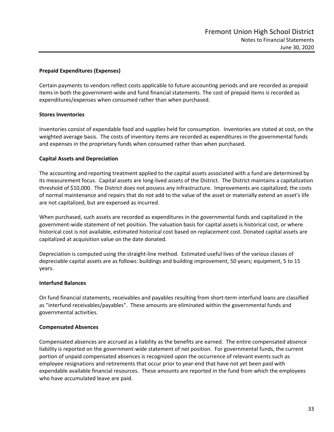# **Prepaid Expenditures (Expenses)**

Certain payments to vendors reflect costs applicable to future accounting periods and are recorded as prepaid items in both the government‐wide and fund financial statements. The cost of prepaid items is recorded as expenditures/expenses when consumed rather than when purchased.

# **Stores Inventories**

Inventories consist of expendable food and supplies held for consumption. Inventories are stated at cost, on the weighted average basis. The costs of inventory items are recorded as expenditures in the governmental funds and expenses in the proprietary funds when consumed rather than when purchased.

# **Capital Assets and Depreciation**

The accounting and reporting treatment applied to the capital assets associated with a fund are determined by its measurement focus. Capital assets are long‐lived assets of the District. The District maintains a capitalization threshold of \$10,000. The District does not possess any infrastructure. Improvements are capitalized; the costs of normal maintenance and repairs that do not add to the value of the asset or materially extend an asset's life are not capitalized, but are expensed as incurred.

When purchased, such assets are recorded as expenditures in the governmental funds and capitalized in the government‐wide statement of net position. The valuation basis for capital assets is historical cost, or where historical cost is not available, estimated historical cost based on replacement cost. Donated capital assets are capitalized at acquisition value on the date donated.

Depreciation is computed using the straight‐line method. Estimated useful lives of the various classes of depreciable capital assets are as follows: buildings and building improvement, 50 years; equipment, 5 to 15 years.

# **Interfund Balances**

On fund financial statements, receivables and payables resulting from short‐term interfund loans are classified as "interfund receivables/payables". These amounts are eliminated within the governmental funds and governmental activities.

# **Compensated Absences**

Compensated absences are accrued as a liability as the benefits are earned. The entire compensated absence liability is reported on the government‐wide statement of net position. For governmental funds, the current portion of unpaid compensated absences is recognized upon the occurrence of relevant events such as employee resignations and retirements that occur prior to year‐end that have not yet been paid with expendable available financial resources. These amounts are reported in the fund from which the employees who have accumulated leave are paid.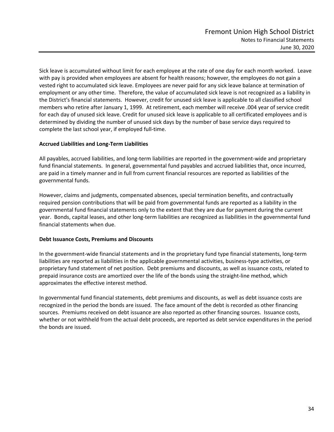Sick leave is accumulated without limit for each employee at the rate of one day for each month worked. Leave with pay is provided when employees are absent for health reasons; however, the employees do not gain a vested right to accumulated sick leave. Employees are never paid for any sick leave balance at termination of employment or any other time. Therefore, the value of accumulated sick leave is not recognized as a liability in the District's financial statements. However, credit for unused sick leave is applicable to all classified school members who retire after January 1, 1999. At retirement, each member will receive .004 year of service credit for each day of unused sick leave. Credit for unused sick leave is applicable to all certificated employees and is determined by dividing the number of unused sick days by the number of base service days required to complete the last school year, if employed full‐time.

## **Accrued Liabilities and Long‐Term Liabilities**

All payables, accrued liabilities, and long‐term liabilities are reported in the government‐wide and proprietary fund financial statements. In general, governmental fund payables and accrued liabilities that, once incurred, are paid in a timely manner and in full from current financial resources are reported as liabilities of the governmental funds.

However, claims and judgments, compensated absences, special termination benefits, and contractually required pension contributions that will be paid from governmental funds are reported as a liability in the governmental fund financial statements only to the extent that they are due for payment during the current year. Bonds, capital leases, and other long‐term liabilities are recognized as liabilities in the governmental fund financial statements when due.

## **Debt Issuance Costs, Premiums and Discounts**

In the government-wide financial statements and in the proprietary fund type financial statements, long-term liabilities are reported as liabilities in the applicable governmental activities, business‐type activities, or proprietary fund statement of net position. Debt premiums and discounts, as well as issuance costs, related to prepaid insurance costs are amortized over the life of the bonds using the straight‐line method, which approximates the effective interest method.

In governmental fund financial statements, debt premiums and discounts, as well as debt issuance costs are recognized in the period the bonds are issued. The face amount of the debt is recorded as other financing sources. Premiums received on debt issuance are also reported as other financing sources. Issuance costs, whether or not withheld from the actual debt proceeds, are reported as debt service expenditures in the period the bonds are issued.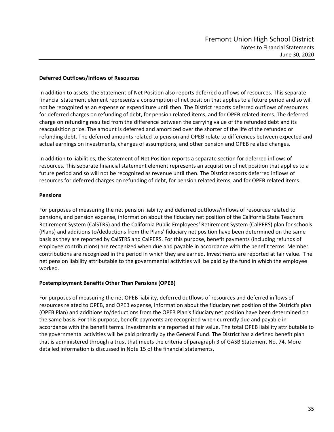## **Deferred Outflows/Inflows of Resources**

In addition to assets, the Statement of Net Position also reports deferred outflows of resources. This separate financial statement element represents a consumption of net position that applies to a future period and so will not be recognized as an expense or expenditure until then. The District reports deferred outflows of resources for deferred charges on refunding of debt, for pension related items, and for OPEB related items. The deferred charge on refunding resulted from the difference between the carrying value of the refunded debt and its reacquisition price. The amount is deferred and amortized over the shorter of the life of the refunded or refunding debt. The deferred amounts related to pension and OPEB relate to differences between expected and actual earnings on investments, changes of assumptions, and other pension and OPEB related changes.

In addition to liabilities, the Statement of Net Position reports a separate section for deferred inflows of resources. This separate financial statement element represents an acquisition of net position that applies to a future period and so will not be recognized as revenue until then. The District reports deferred inflows of resources for deferred charges on refunding of debt, for pension related items, and for OPEB related items.

## **Pensions**

For purposes of measuring the net pension liability and deferred outflows/inflows of resources related to pensions, and pension expense, information about the fiduciary net position of the California State Teachers Retirement System (CalSTRS) and the California Public Employees' Retirement System (CalPERS) plan for schools (Plans) and additions to/deductions from the Plans' fiduciary net position have been determined on the same basis as they are reported by CalSTRS and CalPERS. For this purpose, benefit payments (including refunds of employee contributions) are recognized when due and payable in accordance with the benefit terms. Member contributions are recognized in the period in which they are earned. Investments are reported at fair value. The net pension liability attributable to the governmental activities will be paid by the fund in which the employee worked.

## **Postemployment Benefits Other Than Pensions (OPEB)**

For purposes of measuring the net OPEB liability, deferred outflows of resources and deferred inflows of resources related to OPEB, and OPEB expense, information about the fiduciary net position of the District's plan (OPEB Plan) and additions to/deductions from the OPEB Plan's fiduciary net position have been determined on the same basis. For this purpose, benefit payments are recognized when currently due and payable in accordance with the benefit terms. Investments are reported at fair value. The total OPEB liability attributable to the governmental activities will be paid primarily by the General Fund. The District has a defined benefit plan that is administered through a trust that meets the criteria of paragraph 3 of GASB Statement No. 74. More detailed information is discussed in Note 15 of the financial statements.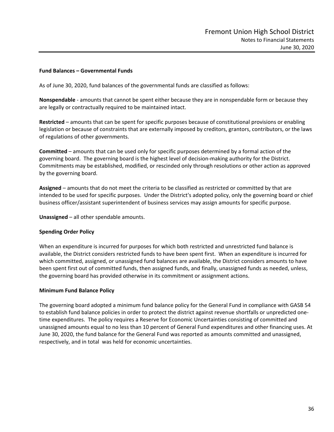## **Fund Balances – Governmental Funds**

As of June 30, 2020, fund balances of the governmental funds are classified as follows:

**Nonspendable** ‐ amounts that cannot be spent either because they are in nonspendable form or because they are legally or contractually required to be maintained intact.

**Restricted** – amounts that can be spent for specific purposes because of constitutional provisions or enabling legislation or because of constraints that are externally imposed by creditors, grantors, contributors, or the laws of regulations of other governments.

**Committed** – amounts that can be used only for specific purposes determined by a formal action of the governing board. The governing board is the highest level of decision‐making authority for the District. Commitments may be established, modified, or rescinded only through resolutions or other action as approved by the governing board.

**Assigned** – amounts that do not meet the criteria to be classified as restricted or committed by that are intended to be used for specific purposes. Under the District's adopted policy, only the governing board or chief business officer/assistant superintendent of business services may assign amounts for specific purpose.

**Unassigned** – all other spendable amounts.

## **Spending Order Policy**

When an expenditure is incurred for purposes for which both restricted and unrestricted fund balance is available, the District considers restricted funds to have been spent first. When an expenditure is incurred for which committed, assigned, or unassigned fund balances are available, the District considers amounts to have been spent first out of committed funds, then assigned funds, and finally, unassigned funds as needed, unless, the governing board has provided otherwise in its commitment or assignment actions.

#### **Minimum Fund Balance Policy**

The governing board adopted a minimum fund balance policy for the General Fund in compliance with GASB 54 to establish fund balance policies in order to protect the district against revenue shortfalls or unpredicted one‐ time expenditures. The policy requires a Reserve for Economic Uncertainties consisting of committed and unassigned amounts equal to no less than 10 percent of General Fund expenditures and other financing uses. At June 30, 2020, the fund balance for the General Fund was reported as amounts committed and unassigned, respectively, and in total was held for economic uncertainties.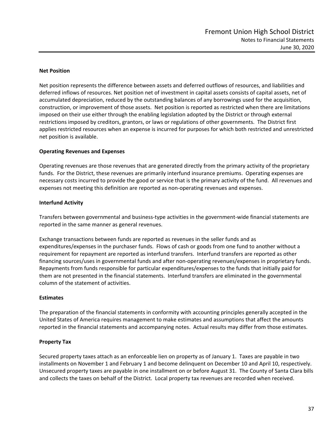## **Net Position**

Net position represents the difference between assets and deferred outflows of resources, and liabilities and deferred inflows of resources. Net position net of investment in capital assets consists of capital assets, net of accumulated depreciation, reduced by the outstanding balances of any borrowings used for the acquisition, construction, or improvement of those assets. Net position is reported as restricted when there are limitations imposed on their use either through the enabling legislation adopted by the District or through external restrictions imposed by creditors, grantors, or laws or regulations of other governments. The District first applies restricted resources when an expense is incurred for purposes for which both restricted and unrestricted net position is available.

## **Operating Revenues and Expenses**

Operating revenues are those revenues that are generated directly from the primary activity of the proprietary funds. For the District, these revenues are primarily interfund insurance premiums. Operating expenses are necessary costs incurred to provide the good or service that is the primary activity of the fund. All revenues and expenses not meeting this definition are reported as non‐operating revenues and expenses.

## **Interfund Activity**

Transfers between governmental and business‐type activities in the government‐wide financial statements are reported in the same manner as general revenues.

Exchange transactions between funds are reported as revenues in the seller funds and as expenditures/expenses in the purchaser funds. Flows of cash or goods from one fund to another without a requirement for repayment are reported as interfund transfers. Interfund transfers are reported as other financing sources/uses in governmental funds and after non-operating revenues/expenses in proprietary funds. Repayments from funds responsible for particular expenditures/expenses to the funds that initially paid for them are not presented in the financial statements. Interfund transfers are eliminated in the governmental column of the statement of activities.

## **Estimates**

The preparation of the financial statements in conformity with accounting principles generally accepted in the United States of America requires management to make estimates and assumptions that affect the amounts reported in the financial statements and accompanying notes. Actual results may differ from those estimates.

# **Property Tax**

Secured property taxes attach as an enforceable lien on property as of January 1. Taxes are payable in two installments on November 1 and February 1 and become delinquent on December 10 and April 10, respectively. Unsecured property taxes are payable in one installment on or before August 31. The County of Santa Clara bills and collects the taxes on behalf of the District. Local property tax revenues are recorded when received.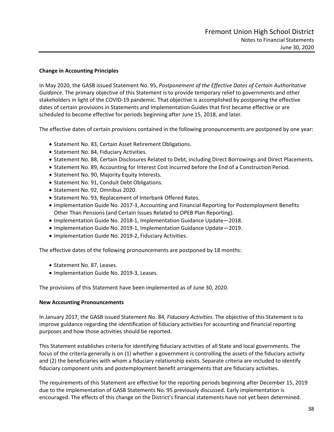## **Change in Accounting Principles**

In May 2020, the GASB issued Statement No. 95, *Postponement of the Effective Dates of Certain Authoritative Guidance*. The primary objective of this Statement is to provide temporary relief to governments and other stakeholders in light of the COVID‐19 pandemic. That objective is accomplished by postponing the effective dates of certain provisions in Statements and Implementation Guides that first became effective or are scheduled to become effective for periods beginning after June 15, 2018, and later.

The effective dates of certain provisions contained in the following pronouncements are postponed by one year:

- Statement No. 83, Certain Asset Retirement Obligations.
- **Statement No. 84, Fiduciary Activities.**
- Statement No. 88, Certain Disclosures Related to Debt, including Direct Borrowings and Direct Placements.
- Statement No. 89, Accounting for Interest Cost Incurred before the End of a Construction Period.
- Statement No. 90, Majority Equity Interests.
- Statement No. 91, Conduit Debt Obligations.
- Statement No. 92, Omnibus 2020.
- Statement No. 93, Replacement of Interbank Offered Rates.
- Implementation Guide No. 2017-3, Accounting and Financial Reporting for Postemployment Benefits Other Than Pensions (and Certain Issues Related to OPEB Plan Reporting).
- Implementation Guide No. 2018-1, Implementation Guidance Update-2018.
- Implementation Guide No. 2019-1, Implementation Guidance Update-2019.
- Implementation Guide No. 2019-2, Fiduciary Activities.

The effective dates of the following pronouncements are postponed by 18 months:

- Statement No. 87, Leases.
- Implementation Guide No. 2019-3, Leases.

The provisions of this Statement have been implemented as of June 30, 2020.

## **New Accounting Pronouncements**

In January 2017, the GASB issued Statement No. 84, *Fiduciary Activities*. The objective of this Statement is to improve guidance regarding the identification of fiduciary activities for accounting and financial reporting purposes and how those activities should be reported.

This Statement establishes criteria for identifying fiduciary activities of all State and local governments. The focus of the criteria generally is on (1) whether a government is controlling the assets of the fiduciary activity and (2) the beneficiaries with whom a fiduciary relationship exists. Separate criteria are included to identify fiduciary component units and postemployment benefit arrangements that are fiduciary activities.

The requirements of this Statement are effective for the reporting periods beginning after December 15, 2019 due to the implementation of GASB Statements No. 95 previously discussed. Early implementation is encouraged. The effects of this change on the District's financial statements have not yet been determined.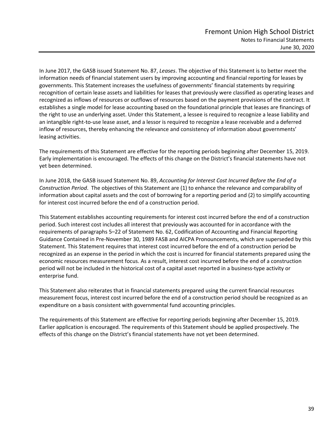In June 2017, the GASB issued Statement No. 87, *Leases*. The objective of this Statement is to better meet the information needs of financial statement users by improving accounting and financial reporting for leases by governments. This Statement increases the usefulness of governments' financial statements by requiring recognition of certain lease assets and liabilities for leases that previously were classified as operating leases and recognized as inflows of resources or outflows of resources based on the payment provisions of the contract. It establishes a single model for lease accounting based on the foundational principle that leases are financings of the right to use an underlying asset. Under this Statement, a lessee is required to recognize a lease liability and an intangible right‐to‐use lease asset, and a lessor is required to recognize a lease receivable and a deferred inflow of resources, thereby enhancing the relevance and consistency of information about governments' leasing activities.

The requirements of this Statement are effective for the reporting periods beginning after December 15, 2019. Early implementation is encouraged. The effects of this change on the District's financial statements have not yet been determined.

In June 2018, the GASB issued Statement No. 89, *Accounting for Interest Cost Incurred Before the End of a Construction Period*. The objectives of this Statement are (1) to enhance the relevance and comparability of information about capital assets and the cost of borrowing for a reporting period and (2) to simplify accounting for interest cost incurred before the end of a construction period.

This Statement establishes accounting requirements for interest cost incurred before the end of a construction period. Such interest cost includes all interest that previously was accounted for in accordance with the requirements of paragraphs 5–22 of Statement No. 62, Codification of Accounting and Financial Reporting Guidance Contained in Pre‐November 30, 1989 FASB and AICPA Pronouncements, which are superseded by this Statement. This Statement requires that interest cost incurred before the end of a construction period be recognized as an expense in the period in which the cost is incurred for financial statements prepared using the economic resources measurement focus. As a result, interest cost incurred before the end of a construction period will not be included in the historical cost of a capital asset reported in a business‐type activity or enterprise fund.

This Statement also reiterates that in financial statements prepared using the current financial resources measurement focus, interest cost incurred before the end of a construction period should be recognized as an expenditure on a basis consistent with governmental fund accounting principles.

The requirements of this Statement are effective for reporting periods beginning after December 15, 2019. Earlier application is encouraged. The requirements of this Statement should be applied prospectively. The effects of this change on the District's financial statements have not yet been determined.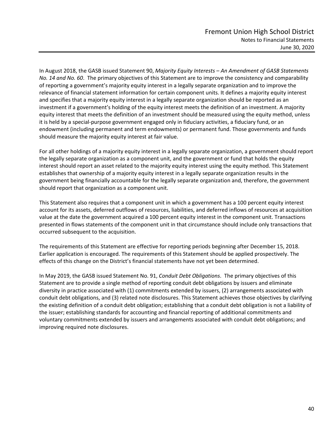In August 2018, the GASB issued Statement 90, *Majority Equity Interests – An Amendment of GASB Statements No. 14 and No. 60*. The primary objectives of this Statement are to improve the consistency and comparability of reporting a government's majority equity interest in a legally separate organization and to improve the relevance of financial statement information for certain component units. It defines a majority equity interest and specifies that a majority equity interest in a legally separate organization should be reported as an investment if a government's holding of the equity interest meets the definition of an investment. A majority equity interest that meets the definition of an investment should be measured using the equity method, unless it is held by a special‐purpose government engaged only in fiduciary activities, a fiduciary fund, or an endowment (including permanent and term endowments) or permanent fund. Those governments and funds should measure the majority equity interest at fair value.

For all other holdings of a majority equity interest in a legally separate organization, a government should report the legally separate organization as a component unit, and the government or fund that holds the equity interest should report an asset related to the majority equity interest using the equity method. This Statement establishes that ownership of a majority equity interest in a legally separate organization results in the government being financially accountable for the legally separate organization and, therefore, the government should report that organization as a component unit.

This Statement also requires that a component unit in which a government has a 100 percent equity interest account for its assets, deferred outflows of resources, liabilities, and deferred inflows of resources at acquisition value at the date the government acquired a 100 percent equity interest in the component unit. Transactions presented in flows statements of the component unit in that circumstance should include only transactions that occurred subsequent to the acquisition.

The requirements of this Statement are effective for reporting periods beginning after December 15, 2018. Earlier application is encouraged. The requirements of this Statement should be applied prospectively. The effects of this change on the District's financial statements have not yet been determined.

In May 2019, the GASB issued Statement No. 91, *Conduit Debt Obligations*. The primary objectives of this Statement are to provide a single method of reporting conduit debt obligations by issuers and eliminate diversity in practice associated with (1) commitments extended by issuers, (2) arrangements associated with conduit debt obligations, and (3) related note disclosures. This Statement achieves those objectives by clarifying the existing definition of a conduit debt obligation; establishing that a conduit debt obligation is not a liability of the issuer; establishing standards for accounting and financial reporting of additional commitments and voluntary commitments extended by issuers and arrangements associated with conduit debt obligations; and improving required note disclosures.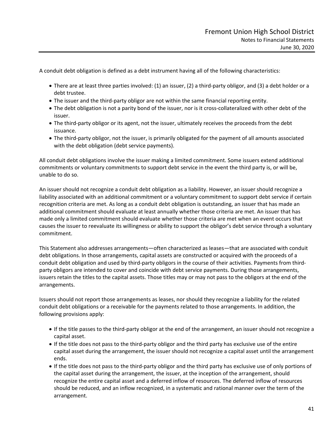A conduit debt obligation is defined as a debt instrument having all of the following characteristics:

- There are at least three parties involved: (1) an issuer, (2) a third‐party obligor, and (3) a debt holder or a debt trustee.
- The issuer and the third-party obligor are not within the same financial reporting entity.
- The debt obligation is not a parity bond of the issuer, nor is it cross‐collateralized with other debt of the issuer.
- The third-party obligor or its agent, not the issuer, ultimately receives the proceeds from the debt issuance.
- The third-party obligor, not the issuer, is primarily obligated for the payment of all amounts associated with the debt obligation (debt service payments).

All conduit debt obligations involve the issuer making a limited commitment. Some issuers extend additional commitments or voluntary commitments to support debt service in the event the third party is, or will be, unable to do so.

An issuer should not recognize a conduit debt obligation as a liability. However, an issuer should recognize a liability associated with an additional commitment or a voluntary commitment to support debt service if certain recognition criteria are met. As long as a conduit debt obligation is outstanding, an issuer that has made an additional commitment should evaluate at least annually whether those criteria are met. An issuer that has made only a limited commitment should evaluate whether those criteria are met when an event occurs that causes the issuer to reevaluate its willingness or ability to support the obligor's debt service through a voluntary commitment.

This Statement also addresses arrangements—often characterized as leases—that are associated with conduit debt obligations. In those arrangements, capital assets are constructed or acquired with the proceeds of a conduit debt obligation and used by third‐party obligors in the course of their activities. Payments from third‐ party obligors are intended to cover and coincide with debt service payments. During those arrangements, issuers retain the titles to the capital assets. Those titles may or may not pass to the obligors at the end of the arrangements.

Issuers should not report those arrangements as leases, nor should they recognize a liability for the related conduit debt obligations or a receivable for the payments related to those arrangements. In addition, the following provisions apply:

- If the title passes to the third-party obligor at the end of the arrangement, an issuer should not recognize a capital asset.
- If the title does not pass to the third-party obligor and the third party has exclusive use of the entire capital asset during the arrangement, the issuer should not recognize a capital asset until the arrangement ends.
- If the title does not pass to the third-party obligor and the third party has exclusive use of only portions of the capital asset during the arrangement, the issuer, at the inception of the arrangement, should recognize the entire capital asset and a deferred inflow of resources. The deferred inflow of resources should be reduced, and an inflow recognized, in a systematic and rational manner over the term of the arrangement.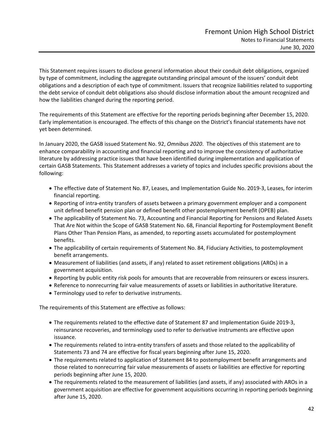This Statement requires issuers to disclose general information about their conduit debt obligations, organized by type of commitment, including the aggregate outstanding principal amount of the issuers' conduit debt obligations and a description of each type of commitment. Issuers that recognize liabilities related to supporting the debt service of conduit debt obligations also should disclose information about the amount recognized and how the liabilities changed during the reporting period.

The requirements of this Statement are effective for the reporting periods beginning after December 15, 2020. Early implementation is encouraged. The effects of this change on the District's financial statements have not yet been determined.

In January 2020, the GASB issued Statement No. 92, *Omnibus 2020*. The objectives of this statement are to enhance comparability in accounting and financial reporting and to improve the consistency of authoritative literature by addressing practice issues that have been identified during implementation and application of certain GASB Statements. This Statement addresses a variety of topics and includes specific provisions about the following:

- The effective date of Statement No. 87, Leases, and Implementation Guide No. 2019‐3, Leases, for interim financial reporting.
- Reporting of intra-entity transfers of assets between a primary government employer and a component unit defined benefit pension plan or defined benefit other postemployment benefit (OPEB) plan.
- The applicability of Statement No. 73, Accounting and Financial Reporting for Pensions and Related Assets That Are Not within the Scope of GASB Statement No. 68, Financial Reporting for Postemployment Benefit Plans Other Than Pension Plans, as amended, to reporting assets accumulated for postemployment benefits.
- The applicability of certain requirements of Statement No. 84, Fiduciary Activities, to postemployment benefit arrangements.
- Measurement of liabilities (and assets, if any) related to asset retirement obligations (AROs) in a government acquisition.
- Reporting by public entity risk pools for amounts that are recoverable from reinsurers or excess insurers.
- Reference to nonrecurring fair value measurements of assets or liabilities in authoritative literature.
- Terminology used to refer to derivative instruments.

The requirements of this Statement are effective as follows:

- The requirements related to the effective date of Statement 87 and Implementation Guide 2019‐3, reinsurance recoveries, and terminology used to refer to derivative instruments are effective upon issuance.
- The requirements related to intra‐entity transfers of assets and those related to the applicability of Statements 73 and 74 are effective for fiscal years beginning after June 15, 2020.
- The requirements related to application of Statement 84 to postemployment benefit arrangements and those related to nonrecurring fair value measurements of assets or liabilities are effective for reporting periods beginning after June 15, 2020.
- The requirements related to the measurement of liabilities (and assets, if any) associated with AROs in a government acquisition are effective for government acquisitions occurring in reporting periods beginning after June 15, 2020.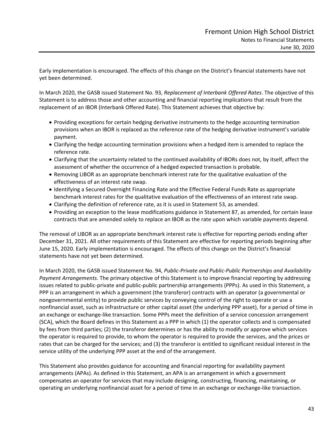Early implementation is encouraged. The effects of this change on the District's financial statements have not yet been determined.

In March 2020, the GASB issued Statement No. 93, *Replacement of Interbank Offered Rates*. The objective of this Statement is to address those and other accounting and financial reporting implications that result from the replacement of an IBOR (Interbank Offered Rate). This Statement achieves that objective by:

- Providing exceptions for certain hedging derivative instruments to the hedge accounting termination provisions when an IBOR is replaced as the reference rate of the hedging derivative instrument's variable payment.
- Clarifying the hedge accounting termination provisions when a hedged item is amended to replace the reference rate.
- Clarifying that the uncertainty related to the continued availability of IBORs does not, by itself, affect the assessment of whether the occurrence of a hedged expected transaction is probable.
- Removing LIBOR as an appropriate benchmark interest rate for the qualitative evaluation of the effectiveness of an interest rate swap.
- Identifying a Secured Overnight Financing Rate and the Effective Federal Funds Rate as appropriate benchmark interest rates for the qualitative evaluation of the effectiveness of an interest rate swap.
- Clarifying the definition of reference rate, as it is used in Statement 53, as amended.
- Providing an exception to the lease modifications guidance in Statement 87, as amended, for certain lease contracts that are amended solely to replace an IBOR as the rate upon which variable payments depend.

The removal of LIBOR as an appropriate benchmark interest rate is effective for reporting periods ending after December 31, 2021. All other requirements of this Statement are effective for reporting periods beginning after June 15, 2020. Early implementation is encouraged. The effects of this change on the District's financial statements have not yet been determined.

In March 2020, the GASB issued Statement No. 94, *Public‐Private and Public‐Public Partnerships and Availability Payment Arrangements*. The primary objective of this Statement is to improve financial reporting by addressing issues related to public‐private and public‐public partnership arrangements (PPPs). As used in this Statement, a PPP is an arrangement in which a government (the transferor) contracts with an operator (a governmental or nongovernmental entity) to provide public services by conveying control of the right to operate or use a nonfinancial asset, such as infrastructure or other capital asset (the underlying PPP asset), for a period of time in an exchange or exchange‐like transaction. Some PPPs meet the definition of a service concession arrangement (SCA), which the Board defines in this Statement as a PPP in which (1) the operator collects and is compensated by fees from third parties; (2) the transferor determines or has the ability to modify or approve which services the operator is required to provide, to whom the operator is required to provide the services, and the prices or rates that can be charged for the services; and (3) the transferor is entitled to significant residual interest in the service utility of the underlying PPP asset at the end of the arrangement.

This Statement also provides guidance for accounting and financial reporting for availability payment arrangements (APAs). As defined in this Statement, an APA is an arrangement in which a government compensates an operator for services that may include designing, constructing, financing, maintaining, or operating an underlying nonfinancial asset for a period of time in an exchange or exchange‐like transaction.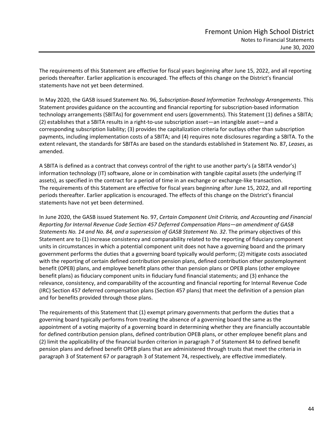The requirements of this Statement are effective for fiscal years beginning after June 15, 2022, and all reporting periods thereafter. Earlier application is encouraged. The effects of this change on the District's financial statements have not yet been determined.

In May 2020, the GASB issued Statement No. 96, *Subscription‐Based Information Technology Arrangements*. This Statement provides guidance on the accounting and financial reporting for subscription‐based information technology arrangements (SBITAs) for government end users (governments). This Statement (1) defines a SBITA; (2) establishes that a SBITA results in a right‐to‐use subscription asset—an intangible asset—and a corresponding subscription liability; (3) provides the capitalization criteria for outlays other than subscription payments, including implementation costs of a SBITA; and (4) requires note disclosures regarding a SBITA. To the extent relevant, the standards for SBITAs are based on the standards established in Statement No. 87, *Leases*, as amended.

A SBITA is defined as a contract that conveys control of the right to use another party's (a SBITA vendor's) information technology (IT) software, alone or in combination with tangible capital assets (the underlying IT assets), as specified in the contract for a period of time in an exchange or exchange‐like transaction. The requirements of this Statement are effective for fiscal years beginning after June 15, 2022, and all reporting periods thereafter. Earlier application is encouraged. The effects of this change on the District's financial statements have not yet been determined.

In June 2020, the GASB issued Statement No. 97, *Certain Component Unit Criteria, and Accounting and Financial Reporting for Internal Revenue Code Section 457 Deferred Compensation Plans—an amendment of GASB Statements No. 14 and No. 84, and a supersession of GASB Statement No. 32*. The primary objectives of this Statement are to (1) increase consistency and comparability related to the reporting of fiduciary component units in circumstances in which a potential component unit does not have a governing board and the primary government performs the duties that a governing board typically would perform; (2) mitigate costs associated with the reporting of certain defined contribution pension plans, defined contribution other postemployment benefit (OPEB) plans, and employee benefit plans other than pension plans or OPEB plans (other employee benefit plans) as fiduciary component units in fiduciary fund financial statements; and (3) enhance the relevance, consistency, and comparability of the accounting and financial reporting for Internal Revenue Code (IRC) Section 457 deferred compensation plans (Section 457 plans) that meet the definition of a pension plan and for benefits provided through those plans.

The requirements of this Statement that (1) exempt primary governments that perform the duties that a governing board typically performs from treating the absence of a governing board the same as the appointment of a voting majority of a governing board in determining whether they are financially accountable for defined contribution pension plans, defined contribution OPEB plans, or other employee benefit plans and (2) limit the applicability of the financial burden criterion in paragraph 7 of Statement 84 to defined benefit pension plans and defined benefit OPEB plans that are administered through trusts that meet the criteria in paragraph 3 of Statement 67 or paragraph 3 of Statement 74, respectively, are effective immediately.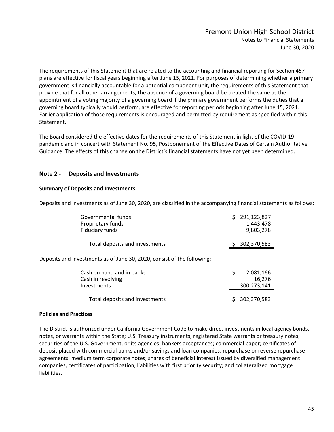The requirements of this Statement that are related to the accounting and financial reporting for Section 457 plans are effective for fiscal years beginning after June 15, 2021. For purposes of determining whether a primary government is financially accountable for a potential component unit, the requirements of this Statement that provide that for all other arrangements, the absence of a governing board be treated the same as the appointment of a voting majority of a governing board if the primary government performs the duties that a governing board typically would perform, are effective for reporting periods beginning after June 15, 2021. Earlier application of those requirements is encouraged and permitted by requirement as specified within this Statement.

The Board considered the effective dates for the requirements of this Statement in light of the COVID‐19 pandemic and in concert with Statement No. 95, Postponement of the Effective Dates of Certain Authoritative Guidance. The effects of this change on the District's financial statements have not yet been determined.

# **Note 2 ‐ Deposits and Investments**

## **Summary of Deposits and Investments**

Deposits and investments as of June 30, 2020, are classified in the accompanying financial statements as follows:

| Governmental funds<br>Proprietary funds<br>Fiduciary funds              | 291,123,827<br>1,443,478<br>9,803,278    |
|-------------------------------------------------------------------------|------------------------------------------|
| Total deposits and investments                                          | 302,370,583                              |
| Deposits and investments as of June 30, 2020, consist of the following: |                                          |
| Cash on hand and in banks<br>Cash in revolving<br><b>Investments</b>    | \$<br>2,081,166<br>16,276<br>300,273,141 |
| Total deposits and investments                                          | 302,370,583                              |

## **Policies and Practices**

The District is authorized under California Government Code to make direct investments in local agency bonds, notes, or warrants within the State; U.S. Treasury instruments; registered State warrants or treasury notes; securities of the U.S. Government, or its agencies; bankers acceptances; commercial paper; certificates of deposit placed with commercial banks and/or savings and loan companies; repurchase or reverse repurchase agreements; medium term corporate notes; shares of beneficial interest issued by diversified management companies, certificates of participation, liabilities with first priority security; and collateralized mortgage liabilities.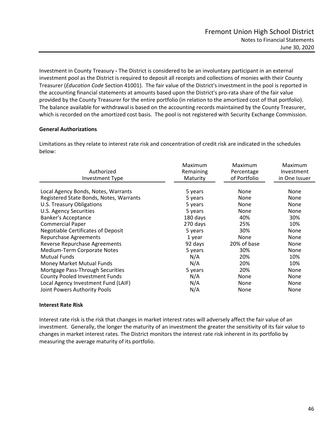Investment in County Treasury **‐** The District is considered to be an involuntary participant in an external investment pool as the District is required to deposit all receipts and collections of monies with their County Treasurer (*Education Code* Section 41001). The fair value of the District's investment in the pool is reported in the accounting financial statements at amounts based upon the District's pro-rata share of the fair value provided by the County Treasurer for the entire portfolio (in relation to the amortized cost of that portfolio). The balance available for withdrawal is based on the accounting records maintained by the County Treasurer, which is recorded on the amortized cost basis. The pool is not registered with Security Exchange Commission.

#### **General Authorizations**

Limitations as they relate to interest rate risk and concentration of credit risk are indicated in the schedules below:

| Authorized<br><b>Investment Type</b>                                                                                                                                | Maximum<br>Remaining<br>Maturity            | Maximum<br>Percentage<br>of Portfolio           | Maximum<br>Investment<br>in One Issuer |
|---------------------------------------------------------------------------------------------------------------------------------------------------------------------|---------------------------------------------|-------------------------------------------------|----------------------------------------|
| Local Agency Bonds, Notes, Warrants<br>Registered State Bonds, Notes, Warrants<br>U.S. Treasury Obligations<br>U.S. Agency Securities                               | 5 years<br>5 years<br>5 years<br>5 years    | None<br><b>None</b><br><b>None</b><br>None      | None<br>None<br>None<br>None           |
| <b>Banker's Acceptance</b><br><b>Commercial Paper</b><br><b>Negotiable Certificates of Deposit</b><br><b>Repurchase Agreements</b><br>Reverse Repurchase Agreements | 180 days<br>270 days<br>5 years<br>1 year   | 40%<br>25%<br>30%<br><b>None</b><br>20% of base | 30%<br>10%<br>None<br>None<br>None     |
| Medium-Term Corporate Notes<br><b>Mutual Funds</b><br>Money Market Mutual Funds<br>Mortgage Pass-Through Securities                                                 | 92 days<br>5 years<br>N/A<br>N/A<br>5 years | 30%<br>20%<br>20%<br>20%                        | None<br>10%<br>10%<br>None             |
| <b>County Pooled Investment Funds</b><br>Local Agency Investment Fund (LAIF)<br>Joint Powers Authority Pools                                                        | N/A<br>N/A<br>N/A                           | None<br><b>None</b><br>None                     | None<br>None<br>None                   |

#### **Interest Rate Risk**

Interest rate risk is the risk that changes in market interest rates will adversely affect the fair value of an investment. Generally, the longer the maturity of an investment the greater the sensitivity of its fair value to changes in market interest rates. The District monitors the interest rate risk inherent in its portfolio by measuring the average maturity of its portfolio.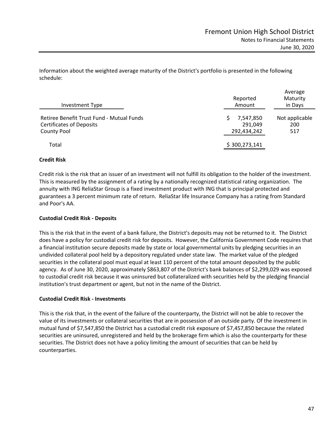Information about the weighted average maturity of the District's portfolio is presented in the following schedule:

| Investment Type                                                                                    | Reported<br>Amount                  | Average<br>Maturity<br>in Days |
|----------------------------------------------------------------------------------------------------|-------------------------------------|--------------------------------|
| Retiree Benefit Trust Fund - Mutual Funds<br><b>Certificates of Deposits</b><br><b>County Pool</b> | 7,547,850<br>291,049<br>292,434,242 | Not applicable<br>200<br>517   |
| Total                                                                                              | \$300,273,141                       |                                |

## **Credit Risk**

Credit risk is the risk that an issuer of an investment will not fulfill its obligation to the holder of the investment. This is measured by the assignment of a rating by a nationally recognized statistical rating organization. The annuity with ING ReliaStar Group is a fixed investment product with ING that is principal protected and guarantees a 3 percent minimum rate of return. ReliaStar life Insurance Company has a rating from Standard and Poor's AA.

## **Custodial Credit Risk ‐ Deposits**

This is the risk that in the event of a bank failure, the District's deposits may not be returned to it. The District does have a policy for custodial credit risk for deposits. However, the California Government Code requires that a financial institution secure deposits made by state or local governmental units by pledging securities in an undivided collateral pool held by a depository regulated under state law. The market value of the pledged securities in the collateral pool must equal at least 110 percent of the total amount deposited by the public agency. As of June 30, 2020, approximately \$863,807 of the District's bank balances of \$2,299,029 was exposed to custodial credit risk because it was uninsured but collateralized with securities held by the pledging financial institution's trust department or agent, but not in the name of the District.

# **Custodial Credit Risk ‐ Investments**

This is the risk that, in the event of the failure of the counterparty, the District will not be able to recover the value of its investments or collateral securities that are in possession of an outside party. Of the investment in mutual fund of \$7,547,850 the District has a custodial credit risk exposure of \$7,457,850 because the related securities are uninsured, unregistered and held by the brokerage firm which is also the counterparty for these securities. The District does not have a policy limiting the amount of securities that can be held by counterparties.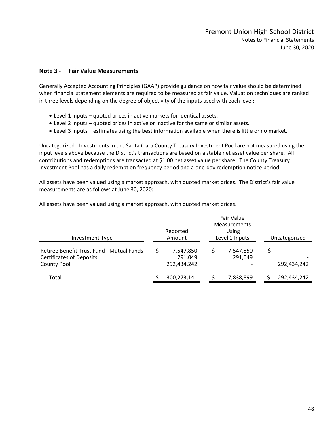# **Note 3 ‐ Fair Value Measurements**

Generally Accepted Accounting Principles (GAAP) provide guidance on how fair value should be determined when financial statement elements are required to be measured at fair value. Valuation techniques are ranked in three levels depending on the degree of objectivity of the inputs used with each level:

- Level 1 inputs quoted prices in active markets for identical assets.
- Level 2 inputs quoted prices in active or inactive for the same or similar assets.
- Level 3 inputs estimates using the best information available when there is little or no market.

Uncategorized ‐ Investments in the Santa Clara County Treasury Investment Pool are not measured using the input levels above because the District's transactions are based on a stable net asset value per share. All contributions and redemptions are transacted at \$1.00 net asset value per share. The County Treasury Investment Pool has a daily redemption frequency period and a one‐day redemption notice period.

All assets have been valued using a market approach, with quoted market prices. The District's fair value measurements are as follows at June 30, 2020:

| <b>Investment Type</b>                                                                             |   | Reported<br>Amount                  |   | <b>Fair Value</b><br><b>Measurements</b><br><b>Using</b><br>Level 1 Inputs | Uncategorized |
|----------------------------------------------------------------------------------------------------|---|-------------------------------------|---|----------------------------------------------------------------------------|---------------|
| Retiree Benefit Trust Fund - Mutual Funds<br><b>Certificates of Deposits</b><br><b>County Pool</b> | Ś | 7,547,850<br>291,049<br>292,434,242 | Ś | 7,547,850<br>291,049                                                       | 292,434,242   |
| Total                                                                                              |   | 300,273,141                         |   | 7,838,899                                                                  | 292,434,242   |

All assets have been valued using a market approach, with quoted market prices.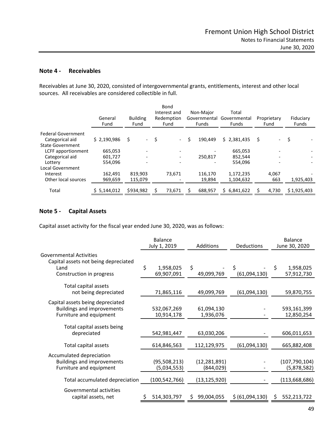## **Note 4 ‐ Receivables**

Receivables at June 30, 2020, consisted of intergovernmental grants, entitlements, interest and other local sources. All receivables are considered collectible in full.

|                           | <b>Building</b><br>General<br>Fund<br>Fund |                                 |    | <b>Bond</b><br>Non-Major<br>Interest and<br>Redemption<br>Governmental<br>Fund<br><b>Funds</b> |    | Total<br>Funds |                 |     |       |             | Governmental |  | Proprietary<br>Fund | Fiduciary<br><b>Funds</b> |
|---------------------------|--------------------------------------------|---------------------------------|----|------------------------------------------------------------------------------------------------|----|----------------|-----------------|-----|-------|-------------|--------------|--|---------------------|---------------------------|
| <b>Federal Government</b> |                                            |                                 |    |                                                                                                |    |                |                 |     |       |             |              |  |                     |                           |
| Categorical aid           | \$2,190,986                                | \$.<br>$\overline{\phantom{0}}$ | \$ |                                                                                                | \$ | 190.449        | \$2,381,435     | \$. |       | \$          |              |  |                     |                           |
| <b>State Government</b>   |                                            |                                 |    |                                                                                                |    |                |                 |     |       |             |              |  |                     |                           |
| LCFF apportionment        | 665,053                                    |                                 |    |                                                                                                |    |                | 665,053         |     |       |             |              |  |                     |                           |
| Categorical aid           | 601,727                                    |                                 |    |                                                                                                |    | 250,817        | 852,544         |     |       |             |              |  |                     |                           |
| Lottery                   | 554,096                                    |                                 |    |                                                                                                |    |                | 554,096         |     |       |             |              |  |                     |                           |
| <b>Local Government</b>   |                                            |                                 |    |                                                                                                |    |                |                 |     |       |             |              |  |                     |                           |
| Interest                  | 162,491                                    | 819,903                         |    | 73,671                                                                                         |    | 116,170        | 1,172,235       |     | 4,067 |             |              |  |                     |                           |
| Other local sources       | 969,659                                    | 115,079                         |    |                                                                                                |    | 19,894         | 1,104,632       |     | 663   | 1,925,403   |              |  |                     |                           |
| Total                     | \$5.144.012                                | \$934.982                       |    | 73,671                                                                                         |    | 688,957        | 6,841,622<br>S. |     | 4,730 | \$1,925,403 |              |  |                     |                           |

# **Note 5 ‐ Capital Assets**

Capital asset activity for the fiscal year ended June 30, 2020, was as follows:

|                                                                 | <b>Balance</b><br>July 1, 2019 | <b>Additions</b> | Deductions      |    | Balance<br>June 30, 2020 |
|-----------------------------------------------------------------|--------------------------------|------------------|-----------------|----|--------------------------|
| Governmental Activities<br>Capital assets not being depreciated |                                |                  |                 |    |                          |
| Land                                                            | \$<br>1,958,025                | \$               | \$              | \$ | 1,958,025                |
| Construction in progress                                        | 69,907,091                     | 49,099,769       | (61,094,130)    |    | 57,912,730               |
| Total capital assets                                            |                                |                  |                 |    |                          |
| not being depreciated                                           | 71,865,116                     | 49,099,769       | (61,094,130)    |    | 59,870,755               |
| Capital assets being depreciated                                |                                |                  |                 |    |                          |
| <b>Buildings and improvements</b>                               | 532,067,269                    | 61,094,130       |                 |    | 593,161,399              |
| Furniture and equipment                                         | 10,914,178                     | 1,936,076        |                 |    | 12,850,254               |
| Total capital assets being                                      |                                |                  |                 |    |                          |
| depreciated                                                     | 542,981,447                    | 63,030,206       |                 |    | 606,011,653              |
| Total capital assets                                            | 614,846,563                    | 112,129,975      | (61,094,130)    |    | 665,882,408              |
| Accumulated depreciation<br><b>Buildings and improvements</b>   | (95,508,213)                   | (12, 281, 891)   |                 |    | (107, 790, 104)          |
| Furniture and equipment                                         | (5,034,553)                    | (844, 029)       |                 |    | (5,878,582)              |
| Total accumulated depreciation                                  | (100, 542, 766)                | (13, 125, 920)   |                 |    | (113, 668, 686)          |
| Governmental activities                                         |                                |                  |                 |    |                          |
| capital assets, net                                             | 514,303,797                    | 99,004,055<br>S  | \$ (61,094,130) |    | 552,213,722              |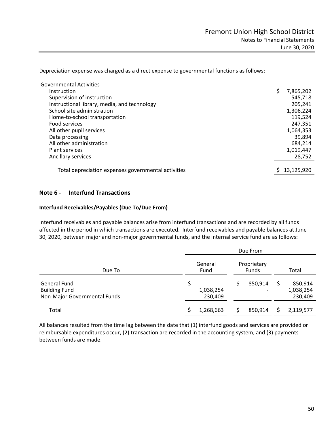Depreciation expense was charged as a direct expense to governmental functions as follows:

| <b>Governmental Activities</b>                      |                 |
|-----------------------------------------------------|-----------------|
| Instruction                                         | \$<br>7,865,202 |
| Supervision of instruction                          | 545,718         |
| Instructional library, media, and technology        | 205,241         |
| School site administration                          | 1,306,224       |
| Home-to-school transportation                       | 119,524         |
| Food services                                       | 247,351         |
| All other pupil services                            | 1,064,353       |
| Data processing                                     | 39,894          |
| All other administration                            | 684,214         |
| <b>Plant services</b>                               | 1,019,447       |
| Ancillary services                                  | 28,752          |
|                                                     |                 |
| Total depreciation expenses governmental activities | 13,125,920      |

# **Note 6 ‐ Interfund Transactions**

#### **Interfund Receivables/Payables (Due To/Due From)**

Interfund receivables and payable balances arise from interfund transactions and are recorded by all funds affected in the period in which transactions are executed. Interfund receivables and payable balances at June 30, 2020, between major and non‐major governmental funds, and the internal service fund are as follows:

|                                                                             | Due From                   |  |                                     |   |                                 |  |  |  |  |  |  |
|-----------------------------------------------------------------------------|----------------------------|--|-------------------------------------|---|---------------------------------|--|--|--|--|--|--|
| Due To                                                                      | General<br>Fund            |  | Proprietary<br>Funds                |   | Total                           |  |  |  |  |  |  |
| <b>General Fund</b><br><b>Building Fund</b><br>Non-Major Governmental Funds | \$<br>1,038,254<br>230,409 |  | 850,914<br>$\overline{\phantom{0}}$ | S | 850,914<br>1,038,254<br>230,409 |  |  |  |  |  |  |
| Total                                                                       | 1,268,663                  |  | 850,914                             |   | 2,119,577                       |  |  |  |  |  |  |

All balances resulted from the time lag between the date that (1) interfund goods and services are provided or reimbursable expenditures occur, (2) transaction are recorded in the accounting system, and (3) payments between funds are made.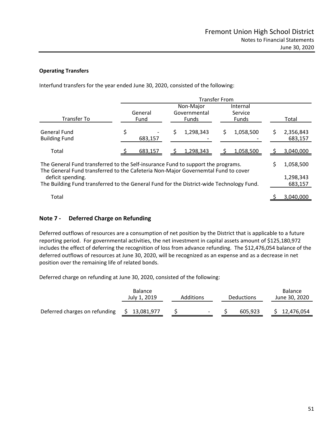# **Operating Transfers**

Interfund transfers for the year ended June 30, 2020, consisted of the following:

|                                                                                                                                                                       |                 | <b>Transfer From</b> |   |                                           |   |                                     |   |                      |  |  |  |
|-----------------------------------------------------------------------------------------------------------------------------------------------------------------------|-----------------|----------------------|---|-------------------------------------------|---|-------------------------------------|---|----------------------|--|--|--|
| <b>Transfer To</b>                                                                                                                                                    | General<br>Fund |                      |   | Non-Major<br>Governmental<br><b>Funds</b> |   | Internal<br>Service<br><b>Funds</b> |   | Total                |  |  |  |
| <b>General Fund</b><br><b>Building Fund</b>                                                                                                                           | \$              | 683,157              | S | 1,298,343                                 | S | 1,058,500                           | S | 2,356,843<br>683,157 |  |  |  |
| Total                                                                                                                                                                 |                 | 683,157              |   | 1,298,343                                 |   | 1,058,500                           |   | 3,040,000            |  |  |  |
| The General Fund transferred to the Self-insurance Fund to support the programs.<br>The General Fund transferred to the Cafeteria Non-Major Governemtal Fund to cover |                 |                      |   |                                           |   |                                     |   | 1,058,500            |  |  |  |
| deficit spending.<br>The Building Fund transferred to the General Fund for the District-wide Technology Fund.                                                         |                 |                      |   |                                           |   |                                     |   | 1,298,343<br>683,157 |  |  |  |
| Total                                                                                                                                                                 |                 |                      |   |                                           |   |                                     |   | 3,040,000            |  |  |  |

# **Note 7 ‐ Deferred Charge on Refunding**

Deferred outflows of resources are a consumption of net position by the District that is applicable to a future reporting period. For governmental activities, the net investment in capital assets amount of \$125,180,972 includes the effect of deferring the recognition of loss from advance refunding. The \$12,476,054 balance of the deferred outflows of resources at June 30, 2020, will be recognized as an expense and as a decrease in net position over the remaining life of related bonds.

Deferred charge on refunding at June 30, 2020, consisted of the following:

|                               | <b>Balance</b><br>July 1, 2019 | Additions                | <b>Deductions</b> | <b>Balance</b><br>June 30, 2020 |  |  |
|-------------------------------|--------------------------------|--------------------------|-------------------|---------------------------------|--|--|
| Deferred charges on refunding | \$13,081,977                   | $\overline{\phantom{a}}$ | 605,923           | 12,476,054                      |  |  |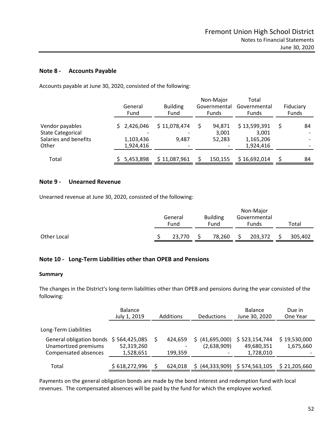## **Note 8 ‐ Accounts Payable**

Accounts payable at June 30, 2020, consisted of the following:

|                          | General<br>Fund | <b>Building</b><br>Fund | Non-Major<br>Governmental<br><b>Funds</b> | Total<br>Governmental<br><b>Funds</b> |   | Fiduciary<br><b>Funds</b> |
|--------------------------|-----------------|-------------------------|-------------------------------------------|---------------------------------------|---|---------------------------|
| Vendor payables          | \$2,426,046     | \$11,078,474            | 94,871                                    | \$13,599,391                          | S | 84                        |
| <b>State Categorical</b> |                 |                         | 3,001                                     | 3,001                                 |   |                           |
| Salaries and benefits    | 1,103,436       | 9,487                   | 52,283                                    | 1,165,206                             |   |                           |
| Other                    | 1,924,416       |                         |                                           | 1,924,416                             |   |                           |
|                          |                 |                         |                                           |                                       |   |                           |
| Total                    | 5,453,898       | \$11,087,961            | 150,155                                   | \$16,692,014                          |   | 84                        |

## **Note 9 ‐ Unearned Revenue**

Unearned revenue at June 30, 2020, consisted of the following:

|             | General<br>Fund | <b>Building</b><br>Fund |        | Non-Major<br>Governmental<br><b>Funds</b> |         | Total |         |
|-------------|-----------------|-------------------------|--------|-------------------------------------------|---------|-------|---------|
| Other Local | 23,770          |                         | 78,260 |                                           | 203,372 |       | 305,402 |

# **Note 10 ‐ Long‐Term Liabilities other than OPEB and Pensions**

#### **Summary**

The changes in the District's long-term liabilities other than OPEB and pensions during the year consisted of the following:

|                                                                                        | Balance<br>July 1, 2019 | Additions          | <b>Deductions</b>              | <b>Balance</b><br>June 30, 2020          | Due in<br>One Year        |
|----------------------------------------------------------------------------------------|-------------------------|--------------------|--------------------------------|------------------------------------------|---------------------------|
| Long-Term Liabilities                                                                  |                         |                    |                                |                                          |                           |
| General obligation bonds \$564,425,085<br>Unamortized premiums<br>Compensated absences | 52,319,260<br>1,528,651 | 424.659<br>199,359 | \$ (41,695,000)<br>(2,638,909) | \$523,154,744<br>49,680,351<br>1,728,010 | \$19,530,000<br>1,675,660 |
| Total                                                                                  | \$618,272,996           | 624,018            | \$ (44,333,909)                | \$574,563,105                            | \$21,205,660              |

Payments on the general obligation bonds are made by the bond interest and redemption fund with local revenues. The compensated absences will be paid by the fund for which the employee worked.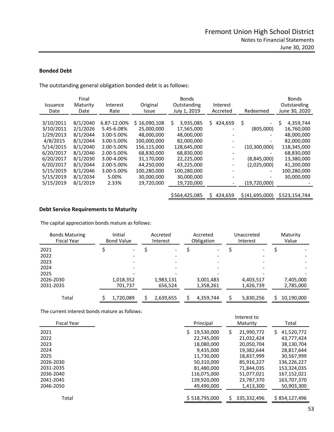# **Bonded Debt**

The outstanding general obligation bonded debt is as follows:

| Issuance<br>Date | Final<br>Maturity<br>Date | Interest<br>Rate | Original<br><b>Issue</b> | <b>Bonds</b><br>Outstanding<br>July 1, 2019 | Interest<br>Accreted | Redeemed                       | <b>Bonds</b><br>Outstanding<br>June 30, 2020 |
|------------------|---------------------------|------------------|--------------------------|---------------------------------------------|----------------------|--------------------------------|----------------------------------------------|
|                  |                           |                  |                          |                                             |                      |                                |                                              |
| 3/10/2011        | 8/1/2040                  | 6.87-12.00%      | \$16,090,108             | Ś<br>3,935,085                              | 424,659<br>S.        | \$<br>$\overline{\phantom{0}}$ | 4,359,744                                    |
| 3/10/2011        | 2/1/2026                  | 5.45-6.08%       | 25,000,000               | 17,565,000                                  |                      | (805,000)                      | 16,760,000                                   |
| 1/29/2013        | 8/1/2044                  | 3.00-5.00%       | 48,000,000               | 48,000,000                                  |                      |                                | 48,000,000                                   |
| 4/8/2015         | 8/1/2044                  | 3.00-5.00%       | 100,000,000              | 82,000,000                                  |                      |                                | 82,000,000                                   |
| 5/14/2015        | 8/1/2040                  | 2.00-5.00%       | 156,115,000              | 128,645,000                                 |                      | (10, 300, 000)                 | 118,345,000                                  |
| 6/20/2017        | 8/1/2046                  | 2.00-5.00%       | 68,830,000               | 68,830,000                                  |                      |                                | 68,830,000                                   |
| 6/20/2017        | 8/1/2030                  | 3.00-4.00%       | 31.170.000               | 22,225,000                                  |                      | (8,845,000)                    | 13,380,000                                   |
| 6/20/2017        | 8/1/2044                  | 2.00-5.00%       | 44,250,000               | 43,225,000                                  |                      | (2,025,000)                    | 41,200,000                                   |
| 5/15/2019        | 8/1/2046                  | 3.00-5.00%       | 100,280,000              | 100,280,000                                 |                      |                                | 100,280,000                                  |
| 5/15/2019        | 8/1/2034                  | 5.00%            | 30,000,000               | 30,000,000                                  |                      |                                | 30,000,000                                   |
| 5/15/2019        | 8/1/2019                  | 2.33%            | 19,720,000               | 19,720,000                                  |                      | (19,720,000)                   |                                              |
|                  |                           |                  |                          |                                             |                      |                                |                                              |
|                  |                           |                  |                          | \$564,425,085                               | 424,659<br>S.        | \$ (41,695,000)                | \$523,154,744                                |

### **Debt Service Requirements to Maturity**

The capital appreciation bonds mature as follows:

| <b>Bonds Maturing</b><br><b>Fiscal Year</b> | Initial<br><b>Bond Value</b> | Accreted<br>Interest | Accreted<br>Obligation   | Unaccreted<br>Interest | Maturity<br>Value |
|---------------------------------------------|------------------------------|----------------------|--------------------------|------------------------|-------------------|
| 2021                                        |                              |                      |                          |                        |                   |
| 2022                                        |                              |                      | $\overline{\phantom{a}}$ |                        |                   |
| 2023                                        |                              |                      |                          |                        |                   |
| 2024                                        |                              |                      |                          |                        |                   |
| 2025                                        |                              |                      |                          |                        |                   |
| 2026-2030                                   | 1,018,352                    | 1,983,131            | 3,001,483                | 4,403,517              | 7,405,000         |
| 2031-2035                                   | 701,737                      | 656,524              | 1,358,261                | 1,426,739              | 2,785,000         |
| Total                                       | 1,720,089                    | 2,639,655            | 4,359,744                | 5,830,256              | 10,190,000        |

The current interest bonds mature as follows:

| <b>Fiscal Year</b> | Principal     |   | Interest to<br>Maturity |   | Total         |
|--------------------|---------------|---|-------------------------|---|---------------|
| 2021               | 19,530,000    | Ś | 21,990,772              | S | 41,520,772    |
| 2022               | 22,745,000    |   | 21,032,424              |   | 43,777,424    |
| 2023               | 18,080,000    |   | 20,050,704              |   | 38,130,704    |
| 2024               | 9,435,000     |   | 19,382,644              |   | 28,817,644    |
| 2025               | 11,730,000    |   | 18,837,999              |   | 30,567,999    |
| 2026-2030          | 50,310,000    |   | 85,916,227              |   | 136,226,227   |
| 2031-2035          | 81,480,000    |   | 71,844,035              |   | 153,324,035   |
| 2036-2040          | 116,075,000   |   | 51,077,021              |   | 167,152,021   |
| 2041-2045          | 139,920,000   |   | 23,787,370              |   | 163,707,370   |
| 2046-2050          | 49.490.000    |   | 1,413,300               |   | 50,903,300    |
|                    |               |   |                         |   |               |
| Total              | \$518,795,000 |   | 335,332,496             |   | \$854,127,496 |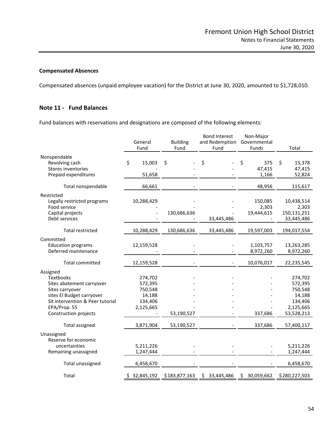### **Compensated Absences**

Compensated absences (unpaid employee vacation) for the District at June 30, 2020, amounted to \$1,728,010.

# **Note 11 ‐ Fund Balances**

Fund balances with reservations and designations are composed of the following elements:

|                                  | General      | <b>Building</b><br>Fund<br>Fund |                  | Non-Major<br>and Redemption<br>Governmental<br>Funds | Total         |
|----------------------------------|--------------|---------------------------------|------------------|------------------------------------------------------|---------------|
|                                  |              |                                 | Fund             |                                                      |               |
| Nonspendable                     |              |                                 |                  |                                                      |               |
| Revolving cash                   | \$<br>15,003 | \$                              | \$               | \$<br>375                                            | \$<br>15,378  |
| Stores inventories               |              |                                 |                  | 47,415                                               | 47,415        |
| Prepaid expenditures             | 51,658       |                                 |                  | 1,166                                                | 52,824        |
| Total nonspendable               | 66,661       |                                 |                  | 48,956                                               | 115,617       |
| Restricted                       |              |                                 |                  |                                                      |               |
| Legally restricted programs      | 10,288,429   |                                 |                  | 150,085                                              | 10,438,514    |
| Food service                     |              |                                 |                  | 2,303                                                | 2,303         |
| Capital projects                 |              | 130,686,636                     |                  | 19,444,615                                           | 150,131,251   |
| Debt services                    |              |                                 | 33,445,486       |                                                      | 33,445,486    |
| <b>Total restricted</b>          | 10,288,429   | 130,686,636                     | 33,445,486       | 19,597,003                                           | 194,017,554   |
| Committed                        |              |                                 |                  |                                                      |               |
| <b>Education programs</b>        | 12,159,528   |                                 |                  | 1,103,757                                            | 13,263,285    |
| Deferred maintenance             |              |                                 |                  | 8,972,260                                            | 8,972,260     |
|                                  |              |                                 |                  |                                                      |               |
| <b>Total committed</b>           | 12,159,528   |                                 |                  | 10,076,017                                           | 22,235,545    |
| Assigned                         |              |                                 |                  |                                                      |               |
| <b>Textbooks</b>                 | 274,702      |                                 |                  |                                                      | 274,702       |
| Sites abatement carryover        | 572,395      |                                 |                  |                                                      | 572,395       |
| Sites carryover                  | 750,548      |                                 |                  |                                                      | 750,548       |
| sites El Budget carryover        | 14,188       |                                 |                  |                                                      | 14,188        |
| Sit intervention & Peer tutorial | 134,406      |                                 |                  |                                                      | 134,406       |
| EPA/Prop. 55                     | 2,125,665    |                                 |                  |                                                      | 2,125,665     |
| Construction projects            |              | 53,190,527                      |                  | 337,686                                              | 53,528,213    |
| <b>Total assigned</b>            | 3,871,904    | 53,190,527                      |                  | 337,686                                              | 57,400,117    |
| Unassigned                       |              |                                 |                  |                                                      |               |
| Reserve for economic             |              |                                 |                  |                                                      |               |
| uncertainties                    | 5,211,226    |                                 |                  |                                                      | 5,211,226     |
|                                  | 1,247,444    |                                 |                  |                                                      |               |
| Remaining unassigned             |              |                                 |                  |                                                      | 1,247,444     |
| Total unassigned                 | 6,458,670    |                                 |                  |                                                      | 6,458,670     |
| Total                            | \$32,845,192 | \$183,877,163                   | \$<br>33,445,486 | 30,059,662<br>\$                                     | \$280,227,503 |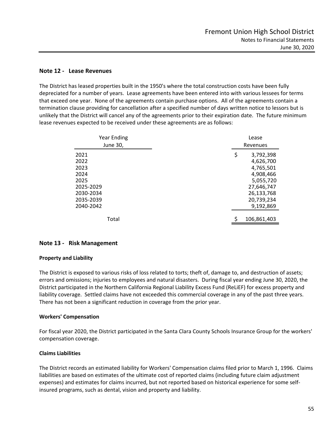## **Note 12 ‐ Lease Revenues**

The District has leased properties built in the 1950's where the total construction costs have been fully depreciated for a number of years. Lease agreements have been entered into with various lessees for terms that exceed one year. None of the agreements contain purchase options. All of the agreements contain a termination clause providing for cancellation after a specified number of days written notice to lessors but is unlikely that the District will cancel any of the agreements prior to their expiration date. The future minimum lease revenues expected to be received under these agreements are as follows:

| <b>Year Ending</b>                                                                       | Lease                                                                                                                      |
|------------------------------------------------------------------------------------------|----------------------------------------------------------------------------------------------------------------------------|
| June 30,                                                                                 | Revenues                                                                                                                   |
| 2021<br>2022<br>2023<br>2024<br>2025<br>2025-2029<br>2030-2034<br>2035-2039<br>2040-2042 | \$<br>3,792,398<br>4,626,700<br>4,765,501<br>4,908,466<br>5,055,720<br>27,646,747<br>26,133,768<br>20,739,234<br>9,192,869 |
|                                                                                          |                                                                                                                            |
| Total                                                                                    | 106,861,403                                                                                                                |

# **Note 13 ‐ Risk Management**

## **Property and Liability**

The District is exposed to various risks of loss related to torts; theft of, damage to, and destruction of assets; errors and omissions; injuries to employees and natural disasters. During fiscal year ending June 30, 2020, the District participated in the Northern California Regional Liability Excess Fund (ReLiEF) for excess property and liability coverage. Settled claims have not exceeded this commercial coverage in any of the past three years. There has not been a significant reduction in coverage from the prior year.

## **Workers' Compensation**

For fiscal year 2020, the District participated in the Santa Clara County Schools Insurance Group for the workers' compensation coverage.

## **Claims Liabilities**

The District records an estimated liability for Workers' Compensation claims filed prior to March 1, 1996. Claims liabilities are based on estimates of the ultimate cost of reported claims (including future claim adjustment expenses) and estimates for claims incurred, but not reported based on historical experience for some self‐ insured programs, such as dental, vision and property and liability.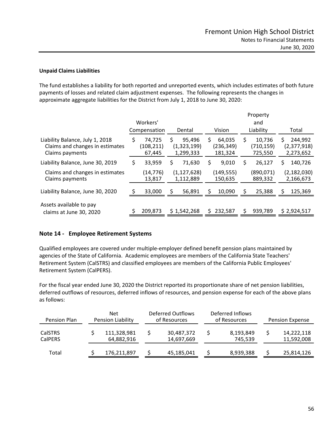## **Unpaid Claims Liabilities**

The fund establishes a liability for both reported and unreported events, which includes estimates of both future payments of losses and related claim adjustment expenses. The following represents the changes in approximate aggregate liabilities for the District from July 1, 2018 to June 30, 2020:

|                                                                                       |    |                                |    |                                    |     |                                 |    | Property                        |    |                                     |
|---------------------------------------------------------------------------------------|----|--------------------------------|----|------------------------------------|-----|---------------------------------|----|---------------------------------|----|-------------------------------------|
|                                                                                       |    | Workers'                       |    |                                    | and |                                 |    |                                 |    |                                     |
|                                                                                       |    | Compensation                   |    | Dental                             |     | Vision                          |    | Liability                       |    | Total                               |
| Liability Balance, July 1, 2018<br>Claims and changes in estimates<br>Claims payments | \$ | 74,725<br>(108, 211)<br>67,445 | Ś. | 95,496<br>(1,323,199)<br>1,299,333 | Ś.  | 64.035<br>(236, 349)<br>181,324 | S. | 10,736<br>(710, 159)<br>725,550 | Ś. | 244,992<br>(2,377,918)<br>2,273,652 |
| Liability Balance, June 30, 2019                                                      | S  | 33,959                         | \$ | 71,630                             | S   | 9.010                           | \$ | 26,127                          | \$ | 140,726                             |
| Claims and changes in estimates<br>Claims payments                                    |    | (14, 776)<br>13,817            |    | (1, 127, 628)<br>1,112,889         |     | (149,555)<br>150,635            |    | (890, 071)<br>889,332           |    | (2, 182, 030)<br>2,166,673          |
| Liability Balance, June 30, 2020                                                      |    | 33,000                         | S. | 56,891                             | Ś   | 10.090                          | S. | 25,388                          | S. | 125,369                             |
| Assets available to pay<br>claims at June 30, 2020                                    |    | 209,873                        |    | \$1,542,268                        | \$. | 232,587                         | Ś  | 939,789                         |    | \$2,924,517                         |

# **Note 14 ‐ Employee Retirement Systems**

Qualified employees are covered under multiple‐employer defined benefit pension plans maintained by agencies of the State of California. Academic employees are members of the California State Teachers' Retirement System (CalSTRS) and classified employees are members of the California Public Employees' Retirement System (CalPERS).

For the fiscal year ended June 30, 2020 the District reported its proportionate share of net pension liabilities, deferred outflows of resources, deferred inflows of resources, and pension expense for each of the above plans as follows:

| Pension Plan                     | Net<br>Pension Liability  | Deferred Outflows<br>of Resources |  | Deferred Inflows<br>of Resources | <b>Pension Expense</b>   |
|----------------------------------|---------------------------|-----------------------------------|--|----------------------------------|--------------------------|
| <b>CalSTRS</b><br><b>CalPERS</b> | 111,328,981<br>64,882,916 | 30,487,372<br>14,697,669          |  | 8,193,849<br>745,539             | 14,222,118<br>11,592,008 |
| Total                            | 176,211,897               | 45,185,041                        |  | 8,939,388                        | 25,814,126               |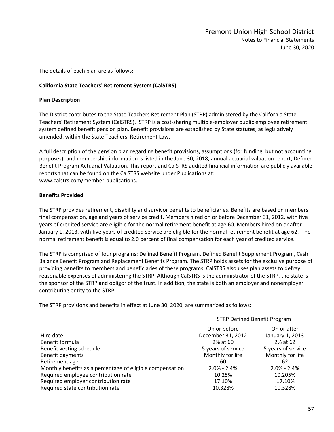The details of each plan are as follows:

#### **California State Teachers' Retirement System (CalSTRS)**

#### **Plan Description**

The District contributes to the State Teachers Retirement Plan (STRP) administered by the California State Teachers' Retirement System (CalSTRS). STRP is a cost‐sharing multiple‐employer public employee retirement system defined benefit pension plan. Benefit provisions are established by State statutes, as legislatively amended, within the State Teachers' Retirement Law.

A full description of the pension plan regarding benefit provisions, assumptions (for funding, but not accounting purposes), and membership information is listed in the June 30, 2018, annual actuarial valuation report, Defined Benefit Program Actuarial Valuation. This report and CalSTRS audited financial information are publicly available reports that can be found on the CalSTRS website under Publications at: www.calstrs.com/member‐publications.

#### **Benefits Provided**

The STRP provides retirement, disability and survivor benefits to beneficiaries. Benefits are based on members' final compensation, age and years of service credit. Members hired on or before December 31, 2012, with five years of credited service are eligible for the normal retirement benefit at age 60. Members hired on or after January 1, 2013, with five years of credited service are eligible for the normal retirement benefit at age 62. The normal retirement benefit is equal to 2.0 percent of final compensation for each year of credited service.

The STRP is comprised of four programs: Defined Benefit Program, Defined Benefit Supplement Program, Cash Balance Benefit Program and Replacement Benefits Program. The STRP holds assets for the exclusive purpose of providing benefits to members and beneficiaries of these programs. CalSTRS also uses plan assets to defray reasonable expenses of administering the STRP. Although CalSTRS is the administrator of the STRP, the state is the sponsor of the STRP and obligor of the trust. In addition, the state is both an employer and nonemployer contributing entity to the STRP.

The STRP provisions and benefits in effect at June 30, 2020, are summarized as follows:

|                                                           | <b>STRP Defined Benefit Program</b> |                    |  |  |
|-----------------------------------------------------------|-------------------------------------|--------------------|--|--|
|                                                           | On or before                        | On or after        |  |  |
| Hire date                                                 | December 31, 2012                   | January 1, 2013    |  |  |
| Benefit formula                                           | 2% at 60                            | 2% at 62           |  |  |
| Benefit vesting schedule                                  | 5 years of service                  | 5 years of service |  |  |
| Benefit payments                                          | Monthly for life                    | Monthly for life   |  |  |
| Retirement age                                            | 60                                  | 62                 |  |  |
| Monthly benefits as a percentage of eligible compensation | $2.0\% - 2.4\%$                     | $2.0\% - 2.4\%$    |  |  |
| Required employee contribution rate                       | 10.25%                              | 10.205%            |  |  |
| Required employer contribution rate                       | 17.10%                              | 17.10%             |  |  |
| Required state contribution rate                          | 10.328%                             | 10.328%            |  |  |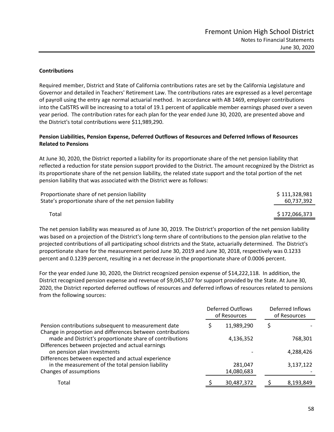## **Contributions**

Required member, District and State of California contributions rates are set by the California Legislature and Governor and detailed in Teachers' Retirement Law. The contributions rates are expressed as a level percentage of payroll using the entry age normal actuarial method. In accordance with AB 1469, employer contributions into the CalSTRS will be increasing to a total of 19.1 percent of applicable member earnings phased over a seven year period. The contribution rates for each plan for the year ended June 30, 2020, are presented above and the District's total contributions were \$11,989,290.

# **Pension Liabilities, Pension Expense, Deferred Outflows of Resources and Deferred Inflows of Resources Related to Pensions**

At June 30, 2020, the District reported a liability for its proportionate share of the net pension liability that reflected a reduction for state pension support provided to the District. The amount recognized by the District as its proportionate share of the net pension liability, the related state support and the total portion of the net pension liability that was associated with the District were as follows:

| Proportionate share of net pension liability             | \$111.328.981 |
|----------------------------------------------------------|---------------|
| State's proportionate share of the net pension liability | 60,737,392    |
| Total                                                    | \$172,066,373 |

The net pension liability was measured as of June 30, 2019. The District's proportion of the net pension liability was based on a projection of the District's long-term share of contributions to the pension plan relative to the projected contributions of all participating school districts and the State, actuarially determined. The District's proportionate share for the measurement period June 30, 2019 and June 30, 2018, respectively was 0.1233 percent and 0.1239 percent, resulting in a net decrease in the proportionate share of 0.0006 percent.

For the year ended June 30, 2020, the District recognized pension expense of \$14,222,118. In addition, the District recognized pension expense and revenue of \$9,045,107 for support provided by the State. At June 30, 2020, the District reported deferred outflows of resources and deferred inflows of resources related to pensions from the following sources:

|                                                                                                                                   | <b>Deferred Outflows</b><br>of Resources | Deferred Inflows<br>of Resources |
|-----------------------------------------------------------------------------------------------------------------------------------|------------------------------------------|----------------------------------|
| Pension contributions subsequent to measurement date<br>Change in proportion and differences between contributions                | 11,989,290                               |                                  |
| made and District's proportionate share of contributions                                                                          | 4,136,352                                | 768,301                          |
| Differences between projected and actual earnings<br>on pension plan investments                                                  |                                          | 4,288,426                        |
| Differences between expected and actual experience<br>in the measurement of the total pension liability<br>Changes of assumptions | 281,047<br>14,080,683                    | 3,137,122                        |
|                                                                                                                                   |                                          |                                  |
| Total                                                                                                                             | 30,487,372                               | 8,193,849                        |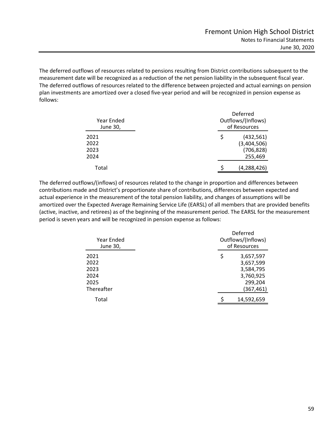The deferred outflows of resources related to pensions resulting from District contributions subsequent to the measurement date will be recognized as a reduction of the net pension liability in the subsequent fiscal year. The deferred outflows of resources related to the difference between projected and actual earnings on pension plan investments are amortized over a closed five‐year period and will be recognized in pension expense as follows:

| Year Ended<br>June 30,       | Deferred<br>Outflows/(Inflows)<br>of Resources           |
|------------------------------|----------------------------------------------------------|
| 2021<br>2022<br>2023<br>2024 | (432, 561)<br>\$<br>(3,404,506)<br>(706, 828)<br>255,469 |
| Total                        | (4, 288, 426)                                            |

The deferred outflows/(inflows) of resources related to the change in proportion and differences between contributions made and District's proportionate share of contributions, differences between expected and actual experience in the measurement of the total pension liability, and changes of assumptions will be amortized over the Expected Average Remaining Service Life (EARSL) of all members that are provided benefits (active, inactive, and retirees) as of the beginning of the measurement period. The EARSL for the measurement period is seven years and will be recognized in pension expense as follows:

| Year Ended<br>June 30,                             |    | Deferred<br>Outflows/(Inflows)<br>of Resources                            |  |  |  |
|----------------------------------------------------|----|---------------------------------------------------------------------------|--|--|--|
| 2021<br>2022<br>2023<br>2024<br>2025<br>Thereafter | \$ | 3,657,597<br>3,657,599<br>3,584,795<br>3,760,925<br>299,204<br>(367, 461) |  |  |  |
| Total                                              |    | 14,592,659                                                                |  |  |  |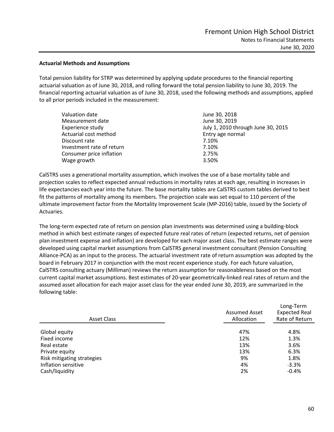#### **Actuarial Methods and Assumptions**

Total pension liability for STRP was determined by applying update procedures to the financial reporting actuarial valuation as of June 30, 2018, and rolling forward the total pension liability to June 30, 2019. The financial reporting actuarial valuation as of June 30, 2018, used the following methods and assumptions, applied to all prior periods included in the measurement:

| June 30, 2018                      |
|------------------------------------|
| June 30, 2019                      |
| July 1, 2010 through June 30, 2015 |
| Entry age normal                   |
| 7.10%                              |
| 7.10%                              |
| 2.75%                              |
| 3.50%                              |
|                                    |

CalSTRS uses a generational mortality assumption, which involves the use of a base mortality table and projection scales to reflect expected annual reductions in mortality rates at each age, resulting in increases in life expectancies each year into the future. The base mortality tables are CalSTRS custom tables derived to best fit the patterns of mortality among its members. The projection scale was set equal to 110 percent of the ultimate improvement factor from the Mortality Improvement Scale (MP‐2016) table, issued by the Society of Actuaries.

The long‐term expected rate of return on pension plan investments was determined using a building‐block method in which best estimate ranges of expected future real rates of return (expected returns, net of pension plan investment expense and inflation) are developed for each major asset class. The best estimate ranges were developed using capital market assumptions from CalSTRS general investment consultant (Pension Consulting Alliance‐PCA) as an input to the process. The actuarial investment rate of return assumption was adopted by the board in February 2017 in conjunction with the most recent experience study. For each future valuation, CalSTRS consulting actuary (Milliman) reviews the return assumption for reasonableness based on the most current capital market assumptions. Best estimates of 20‐year geometrically‐linked real rates of return and the assumed asset allocation for each major asset class for the year ended June 30, 2019, are summarized in the following table:

| <b>Asset Class</b>         | Assumed Asset<br>Allocation | Long-Term<br><b>Expected Real</b><br>Rate of Return |  |  |
|----------------------------|-----------------------------|-----------------------------------------------------|--|--|
| Global equity              | 47%                         | 4.8%                                                |  |  |
| Fixed income               | 12%                         | 1.3%                                                |  |  |
| Real estate                | 13%                         | 3.6%                                                |  |  |
| Private equity             | 13%                         | 6.3%                                                |  |  |
| Risk mitigating strategies | 9%                          | 1.8%                                                |  |  |
| Inflation sensitive        | 4%                          | $-3.3%$                                             |  |  |
| Cash/liquidity             | 2%                          | $-0.4%$                                             |  |  |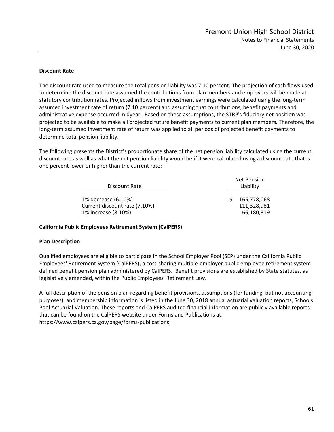## **Discount Rate**

The discount rate used to measure the total pension liability was 7.10 percent. The projection of cash flows used to determine the discount rate assumed the contributions from plan members and employers will be made at statutory contribution rates. Projected inflows from investment earnings were calculated using the long‐term assumed investment rate of return (7.10 percent) and assuming that contributions, benefit payments and administrative expense occurred midyear. Based on these assumptions, the STRP's fiduciary net position was projected to be available to make all projected future benefit payments to current plan members. Therefore, the long‐term assumed investment rate of return was applied to all periods of projected benefit payments to determine total pension liability.

The following presents the District's proportionate share of the net pension liability calculated using the current discount rate as well as what the net pension liability would be if it were calculated using a discount rate that is one percent lower or higher than the current rate:

| Discount Rate                                                               |  |  |                                          |
|-----------------------------------------------------------------------------|--|--|------------------------------------------|
| 1% decrease (6.10%)<br>Current discount rate (7.10%)<br>1% increase (8.10%) |  |  | 165,778,068<br>111.328.981<br>66,180,319 |

## **California Public Employees Retirement System (CalPERS)**

## **Plan Description**

Qualified employees are eligible to participate in the School Employer Pool (SEP) under the California Public Employees' Retirement System (CalPERS), a cost‐sharing multiple‐employer public employee retirement system defined benefit pension plan administered by CalPERS. Benefit provisions are established by State statutes, as legislatively amended, within the Public Employees' Retirement Law.

A full description of the pension plan regarding benefit provisions, assumptions (for funding, but not accounting purposes), and membership information is listed in the June 30, 2018 annual actuarial valuation reports, Schools Pool Actuarial Valuation. These reports and CalPERS audited financial information are publicly available reports that can be found on the CalPERS website under Forms and Publications at: https://www.calpers.ca.gov/page/forms‐publications.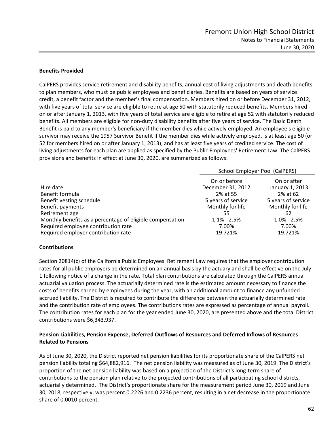### **Benefits Provided**

CalPERS provides service retirement and disability benefits, annual cost of living adjustments and death benefits to plan members, who must be public employees and beneficiaries. Benefits are based on years of service credit, a benefit factor and the member's final compensation. Members hired on or before December 31, 2012, with five years of total service are eligible to retire at age 50 with statutorily reduced benefits. Members hired on or after January 1, 2013, with five years of total service are eligible to retire at age 52 with statutorily reduced benefits. All members are eligible for non‐duty disability benefits after five years of service. The Basic Death Benefit is paid to any member's beneficiary if the member dies while actively employed. An employee's eligible survivor may receive the 1957 Survivor Benefit if the member dies while actively employed, is at least age 50 (or 52 for members hired on or after January 1, 2013), and has at least five years of credited service. The cost of living adjustments for each plan are applied as specified by the Public Employees' Retirement Law. The CalPERS provisions and benefits in effect at June 30, 2020, are summarized as follows:

|                                                           | School Employer Pool (CalPERS) |                    |  |  |
|-----------------------------------------------------------|--------------------------------|--------------------|--|--|
|                                                           | On or before                   | On or after        |  |  |
| Hire date                                                 | December 31, 2012              | January 1, 2013    |  |  |
| Benefit formula                                           | 2% at 55                       | 2% at 62           |  |  |
| Benefit vesting schedule                                  | 5 years of service             | 5 years of service |  |  |
| Benefit payments                                          | Monthly for life               | Monthly for life   |  |  |
| Retirement age                                            | 55                             | 62                 |  |  |
| Monthly benefits as a percentage of eligible compensation | $1.1\% - 2.5\%$                | $1.0\% - 2.5\%$    |  |  |
| Required employee contribution rate                       | 7.00%                          | 7.00%              |  |  |
| Required employer contribution rate                       | 19.721%                        | 19.721%            |  |  |

#### **Contributions**

Section 20814(c) of the California Public Employees' Retirement Law requires that the employer contribution rates for all public employers be determined on an annual basis by the actuary and shall be effective on the July 1 following notice of a change in the rate. Total plan contributions are calculated through the CalPERS annual actuarial valuation process. The actuarially determined rate is the estimated amount necessary to finance the costs of benefits earned by employees during the year, with an additional amount to finance any unfunded accrued liability. The District is required to contribute the difference between the actuarially determined rate and the contribution rate of employees. The contributions rates are expressed as percentage of annual payroll. The contribution rates for each plan for the year ended June 30, 2020, are presented above and the total District contributions were \$6,343,937.

## **Pension Liabilities, Pension Expense, Deferred Outflows of Resources and Deferred Inflows of Resources Related to Pensions**

As of June 30, 2020, the District reported net pension liabilities for its proportionate share of the CalPERS net pension liability totaling \$64,882,916. The net pension liability was measured as of June 30, 2019. The District's proportion of the net pension liability was based on a projection of the District's long‐term share of contributions to the pension plan relative to the projected contributions of all participating school districts, actuarially determined. The District's proportionate share for the measurement period June 30, 2019 and June 30, 2018, respectively, was percent 0.2226 and 0.2236 percent, resulting in a net decrease in the proportionate share of 0.0010 percent.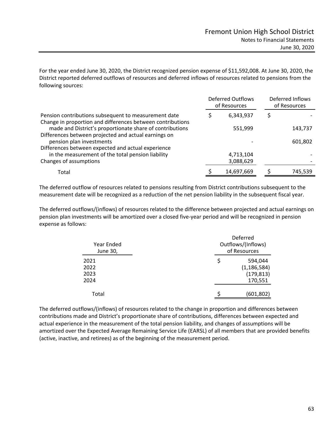For the year ended June 30, 2020, the District recognized pension expense of \$11,592,008. At June 30, 2020, the District reported deferred outflows of resources and deferred inflows of resources related to pensions from the following sources:

|                                                                                                                    | Deferred Outflows<br>of Resources | Deferred Inflows<br>of Resources |         |
|--------------------------------------------------------------------------------------------------------------------|-----------------------------------|----------------------------------|---------|
| Pension contributions subsequent to measurement date<br>Change in proportion and differences between contributions | 6,343,937                         |                                  |         |
| made and District's proportionate share of contributions                                                           | 551,999                           |                                  | 143,737 |
| Differences between projected and actual earnings on<br>pension plan investments                                   |                                   |                                  | 601,802 |
| Differences between expected and actual experience                                                                 |                                   |                                  |         |
| in the measurement of the total pension liability                                                                  | 4,713,104                         |                                  |         |
| Changes of assumptions                                                                                             | 3,088,629                         |                                  |         |
| Total                                                                                                              | 14,697,669                        |                                  | 745,539 |

The deferred outflow of resources related to pensions resulting from District contributions subsequent to the measurement date will be recognized as a reduction of the net pension liability in the subsequent fiscal year.

The deferred outflows/(inflows) of resources related to the difference between projected and actual earnings on pension plan investments will be amortized over a closed five‐year period and will be recognized in pension expense as follows:

| Year Ended<br>June 30,       |   | Deferred<br>Outflows/(Inflows)<br>of Resources    |
|------------------------------|---|---------------------------------------------------|
| 2021<br>2022<br>2023<br>2024 | Ş | 594,044<br>(1, 186, 584)<br>(179, 813)<br>170,551 |
| Total                        |   | (601, 802)                                        |

The deferred outflows/(inflows) of resources related to the change in proportion and differences between contributions made and District's proportionate share of contributions, differences between expected and actual experience in the measurement of the total pension liability, and changes of assumptions will be amortized over the Expected Average Remaining Service Life (EARSL) of all members that are provided benefits (active, inactive, and retirees) as of the beginning of the measurement period.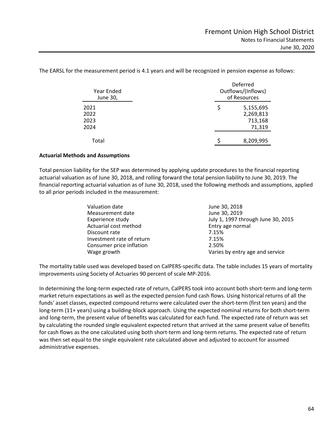| Year Ended<br>June 30,       | Deferred<br>Outflows/(Inflows)<br>of Resources    |
|------------------------------|---------------------------------------------------|
| 2021<br>2022<br>2023<br>2024 | \$<br>5,155,695<br>2,269,813<br>713,168<br>71,319 |
| Total                        | 8,209,995                                         |

The EARSL for the measurement period is 4.1 years and will be recognized in pension expense as follows:

#### **Actuarial Methods and Assumptions**

Total pension liability for the SEP was determined by applying update procedures to the financial reporting actuarial valuation as of June 30, 2018, and rolling forward the total pension liability to June 30, 2019. The financial reporting actuarial valuation as of June 30, 2018, used the following methods and assumptions, applied to all prior periods included in the measurement:

| Valuation date            | June 30, 2018                      |
|---------------------------|------------------------------------|
| Measurement date          | June 30, 2019                      |
| Experience study          | July 1, 1997 through June 30, 2015 |
| Actuarial cost method     | Entry age normal                   |
| Discount rate             | 7.15%                              |
| Investment rate of return | 7.15%                              |
| Consumer price inflation  | 2.50%                              |
| Wage growth               | Varies by entry age and service    |

The mortality table used was developed based on CalPERS‐specific data. The table includes 15 years of mortality improvements using Society of Actuaries 90 percent of scale MP‐2016.

In determining the long‐term expected rate of return, CalPERS took into account both short‐term and long‐term market return expectations as well as the expected pension fund cash flows. Using historical returns of all the funds' asset classes, expected compound returns were calculated over the short-term (first ten years) and the long-term (11+ years) using a building-block approach. Using the expected nominal returns for both short-term and long‐term, the present value of benefits was calculated for each fund. The expected rate of return was set by calculating the rounded single equivalent expected return that arrived at the same present value of benefits for cash flows as the one calculated using both short-term and long-term returns. The expected rate of return was then set equal to the single equivalent rate calculated above and adjusted to account for assumed administrative expenses.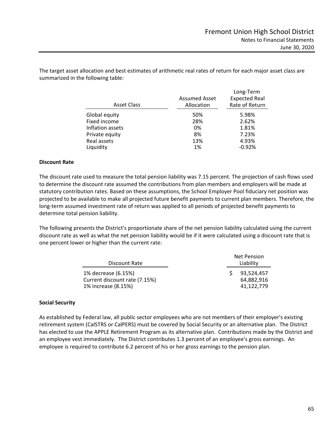The target asset allocation and best estimates of arithmetic real rates of return for each major asset class are summarized in the following table:

| <b>Asset Class</b> | <b>Assumed Asset</b><br>Allocation | Long-Term<br><b>Expected Real</b><br>Rate of Return |
|--------------------|------------------------------------|-----------------------------------------------------|
| Global equity      | 50%                                | 5.98%                                               |
| Fixed income       | 28%                                | 2.62%                                               |
| Inflation assets   | 0%                                 | 1.81%                                               |
| Private equity     | 8%                                 | 7.23%                                               |
| Real assets        | 13%                                | 4.93%                                               |
| Liquidity          | 1%                                 | $-0.92%$                                            |

## **Discount Rate**

The discount rate used to measure the total pension liability was 7.15 percent. The projection of cash flows used to determine the discount rate assumed the contributions from plan members and employers will be made at statutory contribution rates. Based on these assumptions, the School Employer Pool fiduciary net position was projected to be available to make all projected future benefit payments to current plan members. Therefore, the long‐term assumed investment rate of return was applied to all periods of projected benefit payments to determine total pension liability.

The following presents the District's proportionate share of the net pension liability calculated using the current discount rate as well as what the net pension liability would be if it were calculated using a discount rate that is one percent lower or higher than the current rate:

| Discount Rate                                                               |  |  | <b>Net Pension</b><br>Liability        |  |  |
|-----------------------------------------------------------------------------|--|--|----------------------------------------|--|--|
| 1% decrease (6.15%)<br>Current discount rate (7.15%)<br>1% increase (8.15%) |  |  | 93,524,457<br>64,882,916<br>41,122,779 |  |  |

## **Social Security**

As established by Federal law, all public sector employees who are not members of their employer's existing retirement system (CalSTRS or CalPERS) must be covered by Social Security or an alternative plan. The District has elected to use the APPLE Retirement Program as its alternative plan. Contributions made by the District and an employee vest immediately. The District contributes 1.3 percent of an employee's gross earnings. An employee is required to contribute 6.2 percent of his or her gross earnings to the pension plan.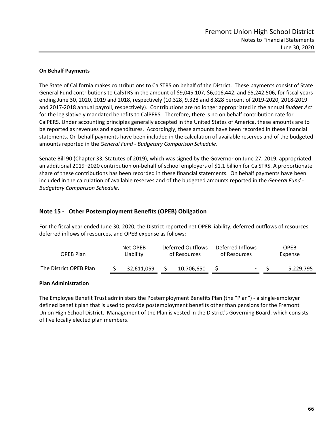## **On Behalf Payments**

The State of California makes contributions to CalSTRS on behalf of the District. These payments consist of State General Fund contributions to CalSTRS in the amount of \$9,045,107, \$6,016,442, and \$5,242,506, for fiscal years ending June 30, 2020, 2019 and 2018, respectively (10.328, 9.328 and 8.828 percent of 2019‐2020, 2018‐2019 and 2017‐2018 annual payroll, respectively). Contributions are no longer appropriated in the annual *Budget Act* for the legislatively mandated benefits to CalPERS. Therefore, there is no on behalf contribution rate for CalPERS. Under accounting principles generally accepted in the United States of America, these amounts are to be reported as revenues and expenditures. Accordingly, these amounts have been recorded in these financial statements. On behalf payments have been included in the calculation of available reserves and of the budgeted amounts reported in the *General Fund ‐ Budgetary Comparison Schedule*.

Senate Bill 90 (Chapter 33, Statutes of 2019), which was signed by the Governor on June 27, 2019, appropriated an additional 2019–2020 contribution on-behalf of school employers of \$1.1 billion for CalSTRS. A proportionate share of these contributions has been recorded in these financial statements. On behalf payments have been included in the calculation of available reserves and of the budgeted amounts reported in the *General Fund ‐ Budgetary Comparison Schedule*.

# **Note 15 ‐ Other Postemployment Benefits (OPEB) Obligation**

For the fiscal year ended June 30, 2020, the District reported net OPEB liability, deferred outflows of resources, deferred inflows of resources, and OPEB expense as follows:

| OPEB Plan              | Net OPEB<br>Liabilitv | Deferred Outflows<br>of Resources |            | Deferred Inflows<br>of Resources |   | <b>OPEB</b><br>Expense |           |
|------------------------|-----------------------|-----------------------------------|------------|----------------------------------|---|------------------------|-----------|
| The District OPEB Plan | 32.611.059            |                                   | 10,706,650 |                                  | - |                        | 5,229,795 |

## **Plan Administration**

The Employee Benefit Trust administers the Postemployment Benefits Plan (the "Plan") ‐ a single‐employer defined benefit plan that is used to provide postemployment benefits other than pensions for the Fremont Union High School District. Management of the Plan is vested in the District's Governing Board, which consists of five locally elected plan members.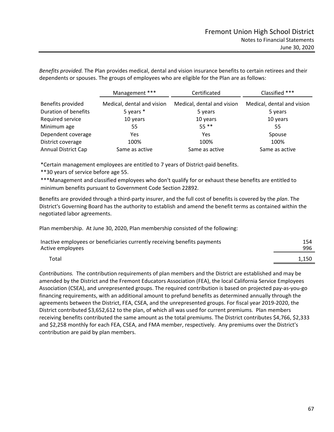*Benefits provided.* The Plan provides medical, dental and vision insurance benefits to certain retirees and their dependents or spouses. The groups of employees who are eligible for the Plan are as follows:

|                            | Management ***             | Certificated               | Classified ***             |
|----------------------------|----------------------------|----------------------------|----------------------------|
| Benefits provided          | Medical, dental and vision | Medical, dental and vision | Medical, dental and vision |
| Duration of benefits       | 5 years *                  | 5 years                    | 5 years                    |
| Required service           | 10 years                   | 10 years                   | 10 years                   |
| Minimum age                | 55                         | $55***$                    | 55                         |
| Dependent coverage         | <b>Yes</b>                 | Yes                        | Spouse                     |
| District coverage          | 100%                       | 100%                       | 100%                       |
| <b>Annual District Cap</b> | Same as active             | Same as active             | Same as active             |

\*Certain management employees are entitled to 7 years of District‐paid benefits.

\*\*30 years of service before age 55.

\*\*\*Management and classified employees who don't qualify for or exhaust these benefits are entitled to minimum benefits pursuant to Government Code Section 22892.

Benefits are provided through a third‐party insurer, and the full cost of benefits is covered by the *plan*. The District's Governing Board has the authority to establish and amend the benefit terms as contained within the negotiated labor agreements.

Plan membership. At June 30, 2020, Plan membership consisted of the following:

| Inactive employees or beneficiaries currently receiving benefits payments | 154   |
|---------------------------------------------------------------------------|-------|
| Active employees                                                          | 996   |
| Total                                                                     | 1.150 |

*Contributions.* The contribution requirements of plan members and the District are established and may be amended by the District and the Fremont Educators Association (FEA), the local California Service Employees Association (CSEA), and unrepresented groups. The required contribution is based on projected pay‐as‐you‐go financing requirements, with an additional amount to prefund benefits as determined annually through the agreements between the District, FEA, CSEA, and the unrepresented groups. For fiscal year 2019‐2020, the District contributed \$3,652,612 to the plan, of which all was used for current premiums. Plan members receiving benefits contributed the same amount as the total premiums. The District contributes \$4,766, \$2,333 and \$2,258 monthly for each FEA, CSEA, and FMA member, respectively. Any premiums over the District's contribution are paid by plan members.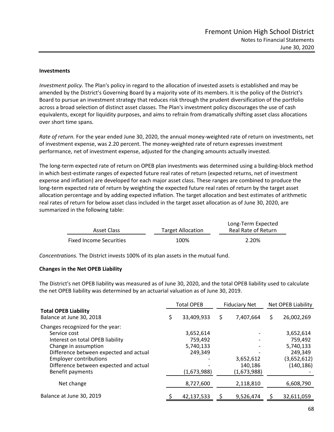#### **Investments**

*Investment policy.* The Plan's policy in regard to the allocation of invested assets is established and may be amended by the District's Governing Board by a majority vote of its members. It is the policy of the District's Board to pursue an investment strategy that reduces risk through the prudent diversification of the portfolio across a broad selection of distinct asset classes. The Plan's investment policy discourages the use of cash equivalents, except for liquidity purposes, and aims to refrain from dramatically shifting asset class allocations over short time spans.

*Rate of return.* For the year ended June 30, 2020, the annual money‐weighted rate of return on investments, net of investment expense, was 2.20 percent. The money-weighted rate of return expresses investment performance, net of investment expense, adjusted for the changing amounts actually invested.

The long‐term expected rate of return on OPEB plan investments was determined using a building‐block method in which best‐estimate ranges of expected future real rates of return (expected returns, net of investment expense and inflation) are developed for each major asset class. These ranges are combined to produce the long-term expected rate of return by weighting the expected future real rates of return by the target asset allocation percentage and by adding expected inflation. The target allocation and best estimates of arithmetic real rates of return for below asset class included in the target asset allocation as of June 30, 2020, are summarized in the following table:

| Asset Class                    | <b>Target Allocation</b> | Long-Term Expected<br>Real Rate of Return |  |  |
|--------------------------------|--------------------------|-------------------------------------------|--|--|
| <b>Fixed Income Securities</b> | 100%                     | 2.20%                                     |  |  |

*Concentrations.* The District invests 100% of its plan assets in the mutual fund.

## **Changes in the Net OPEB Liability**

The District's net OPEB liability was measured as of June 30, 2020, and the total OPEB liability used to calculate the net OPEB liability was determined by an actuarial valuation as of June 30, 2019.

|                                                                                                                                                                                                                                                       |    | <b>Total OPEB</b>                                           |   | <b>Fiduciary Net</b>                |   | <b>Net OPEB Liability</b>                                                 |  |
|-------------------------------------------------------------------------------------------------------------------------------------------------------------------------------------------------------------------------------------------------------|----|-------------------------------------------------------------|---|-------------------------------------|---|---------------------------------------------------------------------------|--|
| <b>Total OPEB Liability</b><br>Balance at June 30, 2018                                                                                                                                                                                               | \$ | 33,409,933                                                  | Ś | 7,407,664                           | S | 26,002,269                                                                |  |
| Changes recognized for the year:<br>Service cost<br>Interest on total OPEB liability<br>Change in assumption<br>Difference between expected and actual<br><b>Employer contributions</b><br>Difference between expected and actual<br>Benefit payments |    | 3,652,614<br>759,492<br>5,740,133<br>249,349<br>(1,673,988) |   | 3,652,612<br>140,186<br>(1,673,988) |   | 3,652,614<br>759,492<br>5,740,133<br>249,349<br>(3,652,612)<br>(140, 186) |  |
| Net change                                                                                                                                                                                                                                            |    | 8,727,600                                                   |   | 2,118,810                           |   | 6,608,790                                                                 |  |
| Balance at June 30, 2019                                                                                                                                                                                                                              |    | 42,137,533                                                  |   | 9,526,474                           |   | 32,611,059                                                                |  |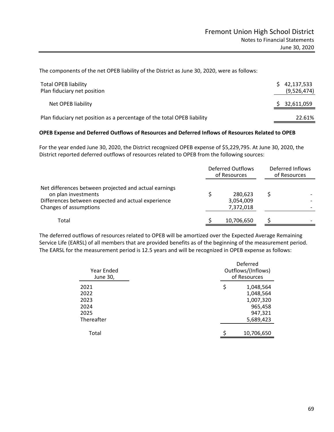The components of the net OPEB liability of the District as June 30, 2020, were as follows:

| <b>Total OPEB liability</b><br>Plan fiduciary net position              |             | 42,137,533<br>(9,526,474) |
|-------------------------------------------------------------------------|-------------|---------------------------|
| Net OPEB liability                                                      | $\varsigma$ | 32,611,059                |
| Plan fiduciary net position as a percentage of the total OPEB liability |             | 22.61%                    |

#### **OPEB Expense and Deferred Outflows of Resources and Deferred Inflows of Resources Related to OPEB**

For the year ended June 30, 2020, the District recognized OPEB expense of \$5,229,795. At June 30, 2020, the District reported deferred outflows of resources related to OPEB from the following sources:

|                                                                                                                                                              | Deferred Outflows<br>of Resources |                                   | Deferred Inflows<br>of Resources |  |
|--------------------------------------------------------------------------------------------------------------------------------------------------------------|-----------------------------------|-----------------------------------|----------------------------------|--|
| Net differences between projected and actual earnings<br>on plan investments<br>Differences between expected and actual experience<br>Changes of assumptions |                                   | 280,623<br>3,054,009<br>7,372,018 |                                  |  |
| Total                                                                                                                                                        |                                   | 10,706,650                        |                                  |  |

The deferred outflows of resources related to OPEB will be amortized over the Expected Average Remaining Service Life (EARSL) of all members that are provided benefits as of the beginning of the measurement period. The EARSL for the measurement period is 12.5 years and will be recognized in OPEB expense as follows:

| Year Ended<br>June 30,                             | Deferred<br>Outflows/(Inflows)<br>of Resources                               |
|----------------------------------------------------|------------------------------------------------------------------------------|
| 2021<br>2022<br>2023<br>2024<br>2025<br>Thereafter | \$<br>1,048,564<br>1,048,564<br>1,007,320<br>965,458<br>947,321<br>5,689,423 |
| Total                                              | 10,706,650                                                                   |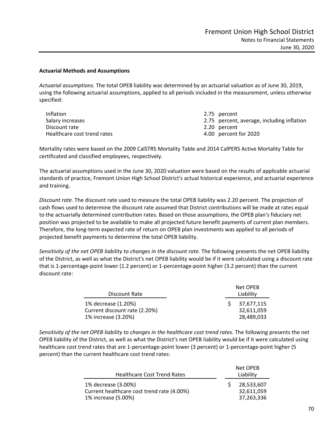#### **Actuarial Methods and Assumptions**

*Actuarial assumptions.* The total OPEB liability was determined by an actuarial valuation as of June 30, 2019, using the following actuarial assumptions, applied to all periods included in the measurement, unless otherwise specified:

| Inflation                   | 2.75 percent                               |
|-----------------------------|--------------------------------------------|
| Salary increases            | 2.75 percent, average, including inflation |
| Discount rate               | 2.20 percent                               |
| Healthcare cost trend rates | 4.00 percent for 2020                      |

Mortality rates were based on the 2009 CalSTRS Mortality Table and 2014 CalPERS Active Mortality Table for certificated and classified employees, respectively.

The actuarial assumptions used in the June 30, 2020 valuation were based on the results of applicable actuarial standards of practice, Fremont Union High School District's actual historical experience, and actuarial experience and training.

*Discount rate.* The discount rate used to measure the total OPEB liability was 2.20 percent. The projection of cash flows used to determine the discount rate assumed that District contributions will be made at rates equal to the actuarially determined contribution rates. Based on those assumptions, the OPEB plan's fiduciary net position was projected to be available to make all projected future benefit payments of current plan members. Therefore, the long‐term expected rate of return on OPEB plan investments was applied to all periods of projected benefit payments to determine the total OPEB liability.

*Sensitivity of the net OPEB liability to changes in the discount rate.* The following presents the net OPEB liability of the District, as well as what the District's net OPEB liability would be if it were calculated using a discount rate that is 1‐percentage‐point lower (1.2 percent) or 1‐percentage‐point higher (3.2 percent) than the current discount rate:

| Discount Rate                                                               |  | Net OPEB<br>Liability                  |
|-----------------------------------------------------------------------------|--|----------------------------------------|
| 1% decrease (1.20%)<br>Current discount rate (2.20%)<br>1% increase (3.20%) |  | 37,677,115<br>32,611,059<br>28,489,033 |

*Sensitivity of the net OPEB liability to changes in the healthcare cost trend rates.* The following presents the net OPEB liability of the District, as well as what the District's net OPEB liability would be if it were calculated using healthcare cost trend rates that are 1-percentage-point lower (3 percent) or 1-percentage-point higher (5 percent) than the current healthcare cost trend rates:

| <b>Healthcare Cost Trend Rates</b>                                                       | Net OPEB<br>Liability                  |
|------------------------------------------------------------------------------------------|----------------------------------------|
| 1% decrease (3.00%)<br>Current healthcare cost trend rate (4.00%)<br>1% increase (5.00%) | 28,533,607<br>32,611,059<br>37,263,336 |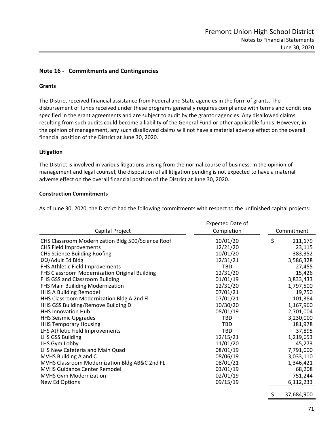# **Note 16 ‐ Commitments and Contingencies**

#### **Grants**

The District received financial assistance from Federal and State agencies in the form of grants. The disbursement of funds received under these programs generally requires compliance with terms and conditions specified in the grant agreements and are subject to audit by the grantor agencies. Any disallowed claims resulting from such audits could become a liability of the General Fund or other applicable funds. However, in the opinion of management, any such disallowed claims will not have a material adverse effect on the overall financial position of the District at June 30, 2020.

#### **Litigation**

The District is involved in various litigations arising from the normal course of business. In the opinion of management and legal counsel, the disposition of all litigation pending is not expected to have a material adverse effect on the overall financial position of the District at June 30, 2020.

#### **Construction Commitments**

As of June 30, 2020, the District had the following commitments with respect to the unfinished capital projects:

|                                                   | <b>Expected Date of</b> |               |
|---------------------------------------------------|-------------------------|---------------|
| Capital Project                                   | Completion              | Commitment    |
| CHS Classroom Modernization Bldg 500/Science Roof | 10/01/20                | \$<br>211,179 |
| <b>CHS Field Improvements</b>                     | 12/21/20                | 23,115        |
| <b>CHS Science Building Roofing</b>               | 10/01/20                | 383,352       |
| DO/Adult Ed Bldg                                  | 12/31/21                | 3,586,328     |
| FHS Athletic Field Improvements                   | <b>TBD</b>              | 27,455        |
| FHS Classroom Modernization Original Building     | 12/31/20                | 15,426        |
| FHS GSS and Classroom Building                    | 01/01/19                | 3,833,433     |
| FHS Main Builiding Modernization                  | 12/31/20                | 1,797,500     |
| <b>HHS A Building Remodel</b>                     | 07/01/21                | 19,750        |
| HHS Classroom Modernization Bldg A 2nd Fl         | 07/01/21                | 101,384       |
| HHS GSS Building/Remove Building D                | 10/30/20                | 1,167,960     |
| <b>HHS Innovation Hub</b>                         | 08/01/19                | 2,701,004     |
| <b>HHS Seismic Upgrades</b>                       | <b>TBD</b>              | 3,230,000     |
| <b>HHS Temporary Housing</b>                      | <b>TBD</b>              | 181,978       |
| LHS Athletic Field Improvements                   | <b>TBD</b>              | 37,895        |
| LHS GSS Building                                  | 12/15/21                | 1,219,653     |
| LHS Gym Lobby                                     | 11/01/20                | 45,273        |
| LHS New Cafeteria and Main Quad                   | 08/01/19                | 7,791,000     |
| MVHS Building A and C                             | 08/06/19                | 3,033,110     |
| MVHS Classroom Modernization Bldg AB&C 2nd FL     | 08/01/21                | 1,346,421     |
| <b>MVHS Guidance Center Remodel</b>               | 03/01/19                | 68,208        |
| <b>MVHS Gym Modernization</b>                     | 02/01/19                | 751,244       |
| New Ed Options                                    | 09/15/19                | 6,112,233     |
|                                                   |                         |               |

\$ 37,684,900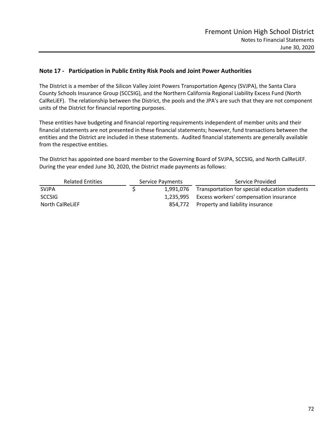# **Note 17 ‐ Participation in Public Entity Risk Pools and Joint Power Authorities**

The District is a member of the Silicon Valley Joint Powers Transportation Agency (SVJPA), the Santa Clara County Schools Insurance Group (SCCSIG), and the Northern California Regional Liability Excess Fund (North CalReLiEF). The relationship between the District, the pools and the JPA's are such that they are not component units of the District for financial reporting purposes.

These entities have budgeting and financial reporting requirements independent of member units and their financial statements are not presented in these financial statements; however, fund transactions between the entities and the District are included in these statements. Audited financial statements are generally available from the respective entities.

The District has appointed one board member to the Governing Board of SVJPA, SCCSIG, and North CalReLiEF. During the year ended June 30, 2020, the District made payments as follows:

| <b>Related Entities</b> | Service Payments |           | Service Provided                              |
|-------------------------|------------------|-----------|-----------------------------------------------|
| SVJPA                   |                  | 1.991.076 | Transportation for special education students |
| SCCSIG                  |                  | 1.235.995 | Excess workers' compensation insurance        |
| <b>North CalReLiEF</b>  |                  |           | 854,772 Property and liability insurance      |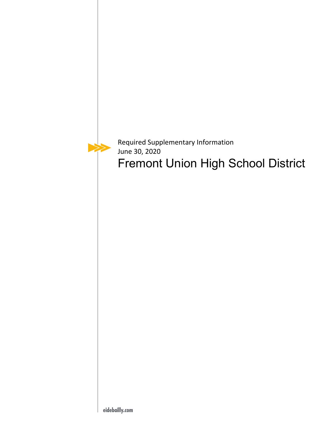

Required Supplementary Information June 30, 2020 Fremont Union High School District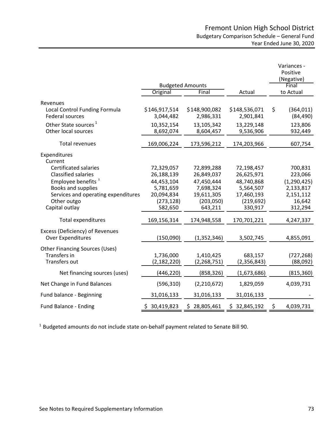|                                                                        |                            |                            |                            | Variances -<br>Positive       |  |
|------------------------------------------------------------------------|----------------------------|----------------------------|----------------------------|-------------------------------|--|
|                                                                        |                            |                            |                            | (Negative)                    |  |
|                                                                        | <b>Budgeted Amounts</b>    |                            |                            | Final                         |  |
|                                                                        | Original                   | Final                      | Actual                     | to Actual                     |  |
| Revenues                                                               |                            |                            |                            |                               |  |
| <b>Local Control Funding Formula</b><br><b>Federal sources</b>         | \$146,917,514<br>3,044,482 | \$148,900,082<br>2,986,331 | \$148,536,071<br>2,901,841 | \$<br>(364, 011)<br>(84, 490) |  |
| Other State sources <sup>1</sup><br>Other local sources                | 10,352,154<br>8,692,074    | 13,105,342<br>8,604,457    | 13,229,148<br>9,536,906    | 123,806<br>932,449            |  |
| Total revenues                                                         | 169,006,224                | 173,596,212                | 174,203,966                | 607,754                       |  |
| Expenditures<br>Current                                                |                            |                            |                            |                               |  |
| <b>Certificated salaries</b>                                           | 72,329,057                 | 72,899,288                 | 72,198,457                 | 700,831                       |  |
| <b>Classified salaries</b>                                             | 26,188,139                 | 26,849,037                 | 26,625,971                 | 223,066                       |  |
| Employee benefits <sup>1</sup><br>Books and supplies                   | 44,453,104                 | 47,450,444                 | 48,740,868                 | (1, 290, 425)                 |  |
| Services and operating expenditures                                    | 5,781,659<br>20,094,834    | 7,698,324<br>19,611,305    | 5,564,507<br>17,460,193    | 2,133,817<br>2,151,112        |  |
| Other outgo                                                            | (273, 128)                 | (203,050)                  | (219, 692)                 | 16,642                        |  |
| Capital outlay                                                         | 582,650                    | 643,211                    | 330,917                    | 312,294                       |  |
| <b>Total expenditures</b>                                              | 169,156,314                | 174,948,558                | 170,701,221                | 4,247,337                     |  |
| Excess (Deficiency) of Revenues<br>Over Expenditures                   | (150,090)                  | (1, 352, 346)              | 3,502,745                  | 4,855,091                     |  |
| <b>Other Financing Sources (Uses)</b><br>Transfers in<br>Transfers out | 1,736,000<br>(2, 182, 220) | 1,410,425<br>(2, 268, 751) | 683,157<br>(2,356,843)     | (727, 268)<br>(88,092)        |  |
| Net financing sources (uses)                                           | (446, 220)                 | (858, 326)                 | (1,673,686)                | (815, 360)                    |  |
| Net Change in Fund Balances                                            | (596, 310)                 | (2,210,672)                | 1,829,059                  | 4,039,731                     |  |
| Fund balance - Beginning                                               | 31,016,133                 | 31,016,133                 | 31,016,133                 |                               |  |
| Fund Balance - Ending                                                  | \$30,419,823               | \$28,805,461               | \$32,845,192               | 4,039,731<br>\$               |  |

<sup>1</sup> Budgeted amounts do not include state on-behalf payment related to Senate Bill 90.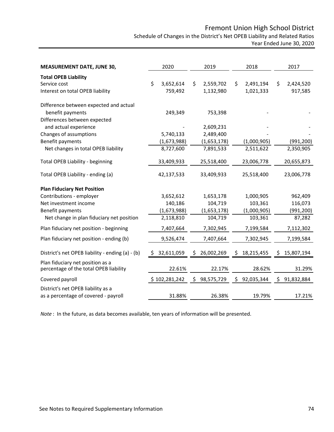# Fremont Union High School District

Schedule of Changes in the District's Net OPEB Liability and Related Ratios

Year Ended June 30, 2020

| <b>MEASUREMENT DATE, JUNE 30,</b>                                          | 2020                             | 2019             | 2018              | 2017             |
|----------------------------------------------------------------------------|----------------------------------|------------------|-------------------|------------------|
| <b>Total OPEB Liability</b>                                                |                                  |                  |                   |                  |
| Service cost                                                               | \$<br>3,652,614                  | \$<br>2,559,702  | \$<br>2,491,194   | \$<br>2,424,520  |
| Interest on total OPEB liability                                           | 759,492                          | 1,132,980        | 1,021,333         | 917,585          |
| Difference between expected and actual                                     |                                  |                  |                   |                  |
| benefit payments                                                           | 249,349                          | 753,398          |                   |                  |
| Differences between expected                                               |                                  |                  |                   |                  |
| and actual experience                                                      |                                  | 2,609,231        |                   |                  |
| Changes of assumptions                                                     | 5,740,133                        | 2,489,400        |                   |                  |
| Benefit payments                                                           | (1,673,988)                      | (1,653,178)      | (1,000,905)       | (991, 200)       |
| Net changes in total OPEB liability                                        | 8,727,600                        | 7,891,533        | 2,511,622         | 2,350,905        |
| Total OPEB Liability - beginning                                           | 33,409,933                       | 25,518,400       | 23,006,778        | 20,655,873       |
| Total OPEB Liability - ending (a)                                          | 42,137,533                       | 33,409,933       | 25,518,400        | 23,006,778       |
| <b>Plan Fiduciary Net Position</b>                                         |                                  |                  |                   |                  |
| Contributions - employer                                                   | 3,652,612                        | 1,653,178        | 1,000,905         | 962,409          |
| Net investment income                                                      | 140,186                          | 104,719          | 103,361           | 116,073          |
| Benefit payments                                                           | (1,673,988)                      | (1,653,178)      | (1,000,905)       | (991, 200)       |
| Net change in plan fiduciary net position                                  | 2,118,810                        | 104,719          | 103,361           | 87,282           |
| Plan fiduciary net position - beginning                                    | 7,407,664                        | 7,302,945        | 7,199,584         | 7,112,302        |
| Plan fiduciary net position - ending (b)                                   | 9,526,474                        | 7,407,664        | 7,302,945         | 7,199,584        |
| District's net OPEB liability - ending (a) - (b)                           | 32,611,059<br>$\ddot{\varsigma}$ | 26,002,269<br>\$ | 18,215,455<br>\$. | 15,807,194<br>S  |
| Plan fiduciary net position as a<br>percentage of the total OPEB liability | 22.61%                           | 22.17%           | 28.62%            | 31.29%           |
| Covered payroll                                                            | \$102,281,242                    | \$<br>98,575,729 | \$92,035,344      | 91,832,884<br>Ś. |
| District's net OPEB liability as a                                         |                                  |                  |                   |                  |
| as a percentage of covered - payroll                                       | 31.88%                           | 26.38%           | 19.79%            | 17.21%           |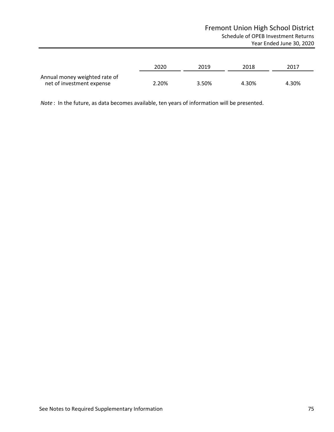|                                                            | 2020  | 2019  | 2018  | 2017  |
|------------------------------------------------------------|-------|-------|-------|-------|
| Annual money weighted rate of<br>net of investment expense | 2.20% | 3.50% | 4.30% | 4.30% |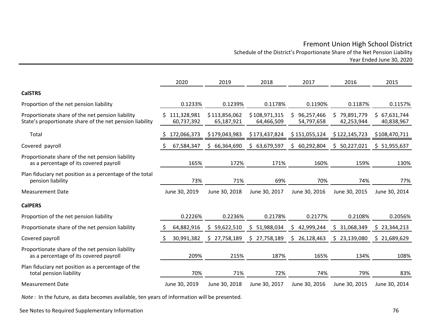# Fremont Union High School District Schedule of the District's Proportionate Share of the Net Pension Liability Year Ended June 30, 2020

|                                                                                                              | 2020                        | 2019                        | 2018                        | 2017                           | 2016                       | 2015                       |
|--------------------------------------------------------------------------------------------------------------|-----------------------------|-----------------------------|-----------------------------|--------------------------------|----------------------------|----------------------------|
| <b>CalSTRS</b>                                                                                               |                             |                             |                             |                                |                            |                            |
| Proportion of the net pension liability                                                                      | 0.1233%                     | 0.1239%                     | 0.1178%                     | 0.1190%                        | 0.1187%                    | 0.1157%                    |
| Proportionate share of the net pension liability<br>State's proportionate share of the net pension liability | \$111,328,981<br>60,737,392 | \$113,856,062<br>65,187,921 | \$108,971,315<br>64,466,509 | 96,257,466<br>S.<br>54,797,658 | \$79,891,779<br>42,253,944 | \$67,631,744<br>40,838,967 |
| Total                                                                                                        | 172,066,373                 | \$179,043,983               | \$173,437,824               | \$151,055,124                  | \$122,145,723              | \$108,470,711              |
| Covered payroll                                                                                              | 67,584,347                  | \$66,364,690                | \$63,679,597                | 60,292,804<br>S.               | \$50,227,021               | \$ 51,955,637              |
| Proportionate share of the net pension liability<br>as a percentage of its covered payroll                   | 165%                        | 172%                        | 171%                        | 160%                           | 159%                       | 130%                       |
| Plan fiduciary net position as a percentage of the total<br>pension liability                                | 73%                         | 71%                         | 69%                         | 70%                            | 74%                        | 77%                        |
| <b>Measurement Date</b>                                                                                      | June 30, 2019               | June 30, 2018               | June 30, 2017               | June 30, 2016                  | June 30, 2015              | June 30, 2014              |
| <b>CalPERS</b>                                                                                               |                             |                             |                             |                                |                            |                            |
| Proportion of the net pension liability                                                                      | 0.2226%                     | 0.2236%                     | 0.2178%                     | 0.2177%                        | 0.2108%                    | 0.2056%                    |
| Proportionate share of the net pension liability                                                             | 64,882,916                  | \$59,622,510                | \$1,988,034                 | 42,999,244                     | \$31,068,349               | \$23,344,213               |
| Covered payroll                                                                                              | 30,991,382                  | \$27,758,189                | \$27,758,189                | \$26,128,463                   | \$23,139,080               | \$21,689,629               |
| Proportionate share of the net pension liability<br>as a percentage of its covered payroll                   | 209%                        | 215%                        | 187%                        | 165%                           | 134%                       | 108%                       |
| Plan fiduciary net position as a percentage of the<br>total pension liability                                | 70%                         | 71%                         | 72%                         | 74%                            | 79%                        | 83%                        |
| <b>Measurement Date</b>                                                                                      | June 30, 2019               | June 30, 2018               | June 30, 2017               | June 30, 2016                  | June 30, 2015              | June 30, 2014              |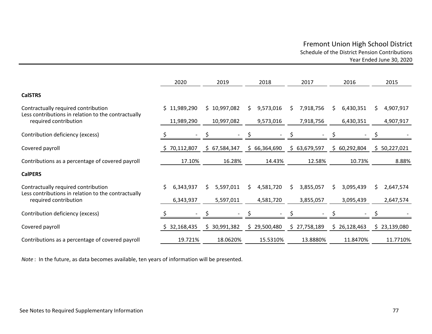|                                                                              | 2020             | 2019             | 2018              | 2017            | 2016            | 2015            |
|------------------------------------------------------------------------------|------------------|------------------|-------------------|-----------------|-----------------|-----------------|
| <b>CalSTRS</b>                                                               |                  |                  |                   |                 |                 |                 |
| Contractually required contribution                                          | \$11,989,290     | \$10,997,082     | 9,573,016<br>S.   | 7,918,756<br>S. | 6,430,351<br>S. | 4,907,917<br>S. |
| Less contributions in relation to the contractually<br>required contribution | 11,989,290       | 10,997,082       | 9,573,016         | 7,918,756       | 6,430,351       | 4,907,917       |
| Contribution deficiency (excess)                                             |                  |                  |                   |                 |                 |                 |
| Covered payroll                                                              | 70,112,807<br>S. | \$67,584,347     | \$66,364,690      | \$63,679,597    | \$60,292,804    | \$50,227,021    |
| Contributions as a percentage of covered payroll                             | 17.10%           | 16.28%           | 14.43%            | 12.58%          | 10.73%          | 8.88%           |
| <b>CalPERS</b>                                                               |                  |                  |                   |                 |                 |                 |
| Contractually required contribution                                          | \$<br>6,343,937  | 5,597,011<br>S   | 4,581,720<br>Ś.   | 3,855,057<br>S. | 3,095,439<br>S. | 2,647,574<br>S. |
| Less contributions in relation to the contractually<br>required contribution | 6,343,937        | 5,597,011        | 4,581,720         | 3,855,057       | 3,095,439       | 2,647,574       |
| Contribution deficiency (excess)                                             |                  |                  |                   |                 |                 |                 |
| Covered payroll                                                              | 32,168,435<br>-S | S.<br>30,991,382 | \$.<br>29,500,480 | \$27,758,189    | \$26,128,463    | \$23,139,080    |
| Contributions as a percentage of covered payroll                             | 19.721%          | 18.0620%         | 15.5310%          | 13.8880%        | 11.8470%        | 11.7710%        |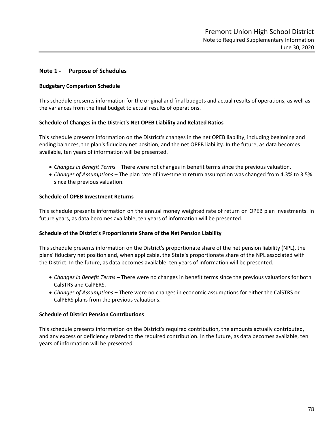# **Note 1 ‐ Purpose of Schedules**

#### **Budgetary Comparison Schedule**

This schedule presents information for the original and final budgets and actual results of operations, as well as the variances from the final budget to actual results of operations.

#### **Schedule of Changes in the District's Net OPEB Liability and Related Ratios**

This schedule presents information on the District's changes in the net OPEB liability, including beginning and ending balances, the plan's fiduciary net position, and the net OPEB liability. In the future, as data becomes available, ten years of information will be presented.

- *Changes in Benefit Terms* There were not changes in benefit terms since the previous valuation.
- *Changes of Assumptions* The plan rate of investment return assumption was changed from 4.3% to 3.5% since the previous valuation.

#### **Schedule of OPEB Investment Returns**

This schedule presents information on the annual money weighted rate of return on OPEB plan investments. In future years, as data becomes available, ten years of information will be presented.

#### **Schedule of the District's Proportionate Share of the Net Pension Liability**

This schedule presents information on the District's proportionate share of the net pension liability (NPL), the plans' fiduciary net position and, when applicable, the State's proportionate share of the NPL associated with the District. In the future, as data becomes available, ten years of information will be presented.

- *Changes in Benefit Terms –* There were no changes in benefit terms since the previous valuations for both CalSTRS and CalPERS.
- *Changes of Assumptions* There were no changes in economic assumptions for either the CalSTRS or CalPERS plans from the previous valuations.

#### **Schedule of District Pension Contributions**

This schedule presents information on the District's required contribution, the amounts actually contributed, and any excess or deficiency related to the required contribution. In the future, as data becomes available, ten years of information will be presented.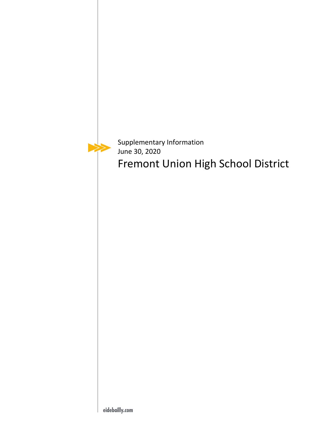Supplementary Information June 30, 2020 Fremont Union High School District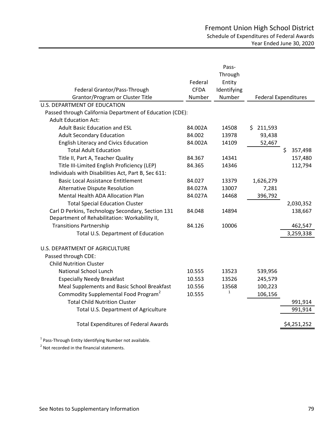|                                                          |             | Pass-        |           |                             |
|----------------------------------------------------------|-------------|--------------|-----------|-----------------------------|
|                                                          |             | Through      |           |                             |
|                                                          | Federal     | Entity       |           |                             |
| Federal Grantor/Pass-Through                             | <b>CFDA</b> | Identifying  |           |                             |
| Grantor/Program or Cluster Title                         | Number      | Number       |           | <b>Federal Expenditures</b> |
| U.S. DEPARTMENT OF EDUCATION                             |             |              |           |                             |
| Passed through California Department of Education (CDE): |             |              |           |                             |
| <b>Adult Education Act:</b>                              |             |              |           |                             |
| <b>Adult Basic Education and ESL</b>                     | 84.002A     | 14508        | \$211,593 |                             |
| <b>Adult Secondary Education</b>                         | 84.002      | 13978        | 93,438    |                             |
| <b>English Literacy and Civics Education</b>             | 84.002A     | 14109        | 52,467    |                             |
| <b>Total Adult Education</b>                             |             |              |           | \$<br>357,498               |
| Title II, Part A, Teacher Quality                        | 84.367      | 14341        |           | 157,480                     |
| Title III-Limited English Proficiency (LEP)              | 84.365      | 14346        |           | 112,794                     |
| Individuals with Disabilities Act, Part B, Sec 611:      |             |              |           |                             |
| <b>Basic Local Assistance Entitlement</b>                | 84.027      | 13379        | 1,626,279 |                             |
| Alternative Dispute Resolution                           | 84.027A     | 13007        | 7,281     |                             |
| <b>Mental Health ADA Allocation Plan</b>                 | 84.027A     | 14468        | 396,792   |                             |
| <b>Total Special Education Cluster</b>                   |             |              |           | 2,030,352                   |
| Carl D Perkins, Technology Secondary, Section 131        | 84.048      | 14894        |           | 138,667                     |
| Department of Rehabilitation: Workability II,            |             |              |           |                             |
| <b>Transitions Partnership</b>                           | 84.126      | 10006        |           | 462,547                     |
| Total U.S. Department of Education                       |             |              |           | 3,259,338                   |
|                                                          |             |              |           |                             |
| U.S. DEPARTMENT OF AGRICULTURE                           |             |              |           |                             |
| Passed through CDE:                                      |             |              |           |                             |
| <b>Child Nutrition Cluster</b>                           |             |              |           |                             |
| <b>National School Lunch</b>                             | 10.555      | 13523        | 539,956   |                             |
| <b>Especially Needy Breakfast</b>                        | 10.553      | 13526        | 245,579   |                             |
| Meal Supplements and Basic School Breakfast              | 10.556      | 13568        | 100,223   |                             |
| Commodity Supplemental Food Program <sup>2</sup>         | 10.555      | $\mathbf{1}$ | 106,156   |                             |
| <b>Total Child Nutrition Cluster</b>                     |             |              |           | 991,914                     |
| Total U.S. Department of Agriculture                     |             |              |           | 991,914                     |
| <b>Total Expenditures of Federal Awards</b>              |             |              |           | \$4,251,252                 |
|                                                          |             |              |           |                             |
|                                                          |             |              |           |                             |

 $1$  Pass-Through Entity Identifying Number not available.

<sup>2</sup> Not recorded in the financial statements.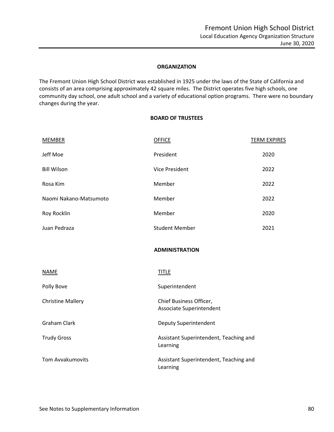#### **ORGANIZATION**

The Fremont Union High School District was established in 1925 under the laws of the State of California and consists of an area comprising approximately 42 square miles. The District operates five high schools, one community day school, one adult school and a variety of educational option programs. There were no boundary changes during the year.

#### **BOARD OF TRUSTEES**

| <b>MEMBER</b>            | <b>OFFICE</b>                                       | <b>TERM EXPIRES</b> |
|--------------------------|-----------------------------------------------------|---------------------|
| Jeff Moe                 | President                                           | 2020                |
| <b>Bill Wilson</b>       | <b>Vice President</b>                               | 2022                |
| Rosa Kim                 | Member                                              | 2022                |
| Naomi Nakano-Matsumoto   | Member                                              | 2022                |
| Roy Rocklin              | Member                                              | 2020                |
| Juan Pedraza             | <b>Student Member</b>                               | 2021                |
|                          | <b>ADMINISTRATION</b>                               |                     |
| <b>NAME</b>              | <b>TITLE</b>                                        |                     |
| Polly Bove               | Superintendent                                      |                     |
| <b>Christine Mallery</b> | Chief Business Officer,<br>Associate Superintendent |                     |
| <b>Graham Clark</b>      | Deputy Superintendent                               |                     |
| <b>Trudy Gross</b>       | Assistant Superintendent, Teaching and<br>Learning  |                     |
| Tom Avvakumovits         | Assistant Superintendent, Teaching and<br>Learning  |                     |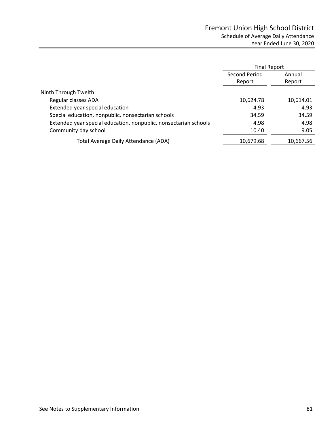|                                                                  | <b>Final Report</b>     |           |  |
|------------------------------------------------------------------|-------------------------|-----------|--|
|                                                                  | Second Period<br>Annual |           |  |
|                                                                  | Report                  | Report    |  |
| Ninth Through Twelth                                             |                         |           |  |
| Regular classes ADA                                              | 10,624.78               | 10,614.01 |  |
| Extended year special education                                  | 4.93                    | 4.93      |  |
| Special education, nonpublic, nonsectarian schools               | 34.59                   | 34.59     |  |
| Extended year special education, nonpublic, nonsectarian schools | 4.98                    | 4.98      |  |
| Community day school                                             | 10.40                   | 9.05      |  |
| Total Average Daily Attendance (ADA)                             | 10,679.68               | 10,667.56 |  |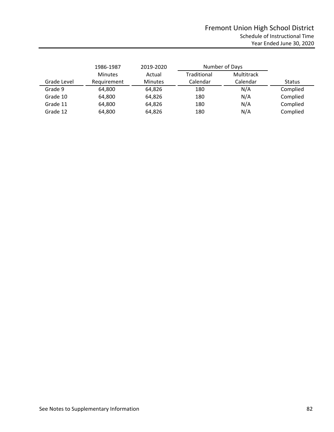|             | 1986-1987      | 2019-2020      | Number of Days |            |               |
|-------------|----------------|----------------|----------------|------------|---------------|
|             | <b>Minutes</b> | Actual         | Traditional    | Multitrack |               |
| Grade Level | Requirement    | <b>Minutes</b> | Calendar       | Calendar   | <b>Status</b> |
| Grade 9     | 64,800         | 64,826         | 180            | N/A        | Complied      |
| Grade 10    | 64,800         | 64,826         | 180            | N/A        | Complied      |
| Grade 11    | 64,800         | 64.826         | 180            | N/A        | Complied      |
| Grade 12    | 64,800         | 64,826         | 180            | N/A        | Complied      |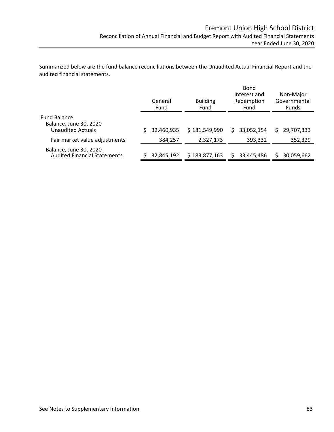Summarized below are the fund balance reconciliations between the Unaudited Actual Financial Report and the audited financial statements.

|                                                                           | General<br>Fund | <b>Building</b><br>Fund | <b>Bond</b><br>Interest and<br>Redemption<br>Fund | Non-Major<br>Governmental<br><b>Funds</b> |
|---------------------------------------------------------------------------|-----------------|-------------------------|---------------------------------------------------|-------------------------------------------|
| <b>Fund Balance</b><br>Balance, June 30, 2020<br><b>Unaudited Actuals</b> | 32,460,935      | \$181,549,990           | 33,052,154<br>S                                   | 29,707,333<br>S                           |
| Fair market value adjustments                                             | 384,257         | 2,327,173               | 393,332                                           | 352,329                                   |
| Balance, June 30, 2020<br><b>Audited Financial Statements</b>             | 32,845,192      | \$183,877,163           | 33,445,486                                        | 30,059,662                                |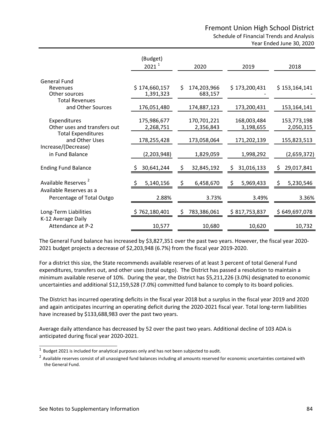# Fremont Union High School District Schedule of Financial Trends and Analysis

Year Ended June 30, 2020

|                                                                    | (Budget)<br>$2021^{1}$     | 2020                         | 2019                     | 2018                     |
|--------------------------------------------------------------------|----------------------------|------------------------------|--------------------------|--------------------------|
| <b>General Fund</b><br>Revenues<br>Other sources                   | \$174,660,157<br>1,391,323 | \$<br>174,203,966<br>683,157 | \$173,200,431            | \$153,164,141            |
| <b>Total Revenues</b><br>and Other Sources                         | 176,051,480                | 174,887,123                  | 173,200,431              | 153,164,141              |
| Expenditures<br>Other uses and transfers out                       | 175,986,677<br>2,268,751   | 170,701,221<br>2,356,843     | 168,003,484<br>3,198,655 | 153,773,198<br>2,050,315 |
| <b>Total Expenditures</b><br>and Other Uses<br>Increase/(Decrease) | 178,255,428                | 173,058,064                  | 171,202,139              | 155,823,513              |
| in Fund Balance                                                    | (2,203,948)                | 1,829,059                    | 1,998,292                | (2,659,372)              |
| <b>Ending Fund Balance</b>                                         | 30,641,244                 | \$<br>32,845,192             | \$<br>31,016,133         | \$<br>29,017,841         |
| Available Reserves <sup>2</sup>                                    | 5,140,156                  | \$<br>6,458,670              | \$<br>5,969,433          | \$<br>5,230,546          |
| Available Reserves as a<br>Percentage of Total Outgo               | 2.88%                      | 3.73%                        | 3.49%                    | 3.36%                    |
| Long-Term Liabilities                                              | \$762,180,401              | \$<br>783,386,061            | \$817,753,837            | \$649,697,078            |
| K-12 Average Daily<br>Attendance at P-2                            | 10,577                     | 10,680                       | 10,620                   | 10,732                   |

The General Fund balance has increased by \$3,827,351 over the past two years. However, the fiscal year 2020-2021 budget projects a decrease of \$2,203,948 (6.7%) from the fiscal year 2019‐2020.

For a district this size, the State recommends available reserves of at least 3 percent of total General Fund expenditures, transfers out, and other uses (total outgo). The District has passed a resolution to maintain a minimum available reserve of 10%. During the year, the District has \$5,211,226 (3.0%) designated to economic uncertainties and additional \$12,159,528 (7.0%) committed fund balance to comply to its board policies.

The District has incurred operating deficits in the fiscal year 2018 but a surplus in the fiscal year 2019 and 2020 and again anticipates incurring an operating deficit during the 2020‐2021 fiscal year. Total long‐term liabilities have increased by \$133,688,983 over the past two years.

Average daily attendance has decreased by 52 over the past two years. Additional decline of 103 ADA is anticipated during fiscal year 2020‐2021.

 $1$  Budget 2021 is included for analytical purposes only and has not been subjected to audit.

<sup>&</sup>lt;sup>2</sup> Available reserves consist of all unassigned fund balances including all amounts reserved for economic uncertainties contained with the General Fund.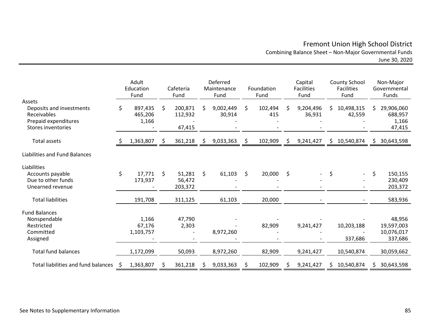# Fremont Union High School District

Combining Balance Sheet – Non‐Major Governmental Funds June 30, 2020

|                                                                                                 |     | Adult<br>Education<br>Fund   |    | Cafeteria<br>Fund            |    | Deferred<br>Maintenance<br>Fund |    | Foundation<br>Fund |    | Capital<br><b>Facilities</b><br>Fund |    | County School<br><b>Facilities</b><br>Fund |    | Non-Major<br>Governmental<br>Funds            |
|-------------------------------------------------------------------------------------------------|-----|------------------------------|----|------------------------------|----|---------------------------------|----|--------------------|----|--------------------------------------|----|--------------------------------------------|----|-----------------------------------------------|
| Assets<br>Deposits and investments<br>Receivables<br>Prepaid expenditures<br>Stores inventories | \$  | 897,435<br>465,206<br>1,166  | \$ | 200,871<br>112,932<br>47,415 | S  | 9,002,449<br>30,914             | \$ | 102,494<br>415     | Ś. | 9,204,496<br>36,931                  | Ś  | 10,498,315<br>42,559                       |    | 29,906,060<br>688,957<br>1,166<br>47,415      |
| <b>Total assets</b>                                                                             |     | 1,363,807                    | S  | 361,218                      | S  | 9,033,363                       | Ş  | 102,909            | S  | 9,241,427                            | \$ | 10,540,874                                 | S  | 30,643,598                                    |
| Liabilities and Fund Balances                                                                   |     |                              |    |                              |    |                                 |    |                    |    |                                      |    |                                            |    |                                               |
| Liabilities<br>Accounts payable<br>Due to other funds<br>Unearned revenue                       | \$  | 17,771<br>173,937            | \$ | 51,281<br>56,472<br>203,372  | \$ | 61,103                          | \$ | 20,000             | \$ |                                      | \$ |                                            | \$ | 150,155<br>230,409<br>203,372                 |
| <b>Total liabilities</b>                                                                        |     | 191,708                      |    | 311,125                      |    | 61,103                          |    | 20,000             |    |                                      |    |                                            |    | 583,936                                       |
| <b>Fund Balances</b><br>Nonspendable<br>Restricted<br>Committed<br>Assigned                     |     | 1,166<br>67,176<br>1,103,757 |    | 47,790<br>2,303              |    | 8,972,260                       |    | 82,909             |    | 9,241,427                            |    | 10,203,188<br>337,686                      |    | 48,956<br>19,597,003<br>10,076,017<br>337,686 |
| <b>Total fund balances</b>                                                                      |     | 1,172,099                    |    | 50,093                       |    | 8,972,260                       |    | 82,909             |    | 9,241,427                            |    | 10,540,874                                 |    | 30,059,662                                    |
| Total liabilities and fund balances                                                             | \$. | 1,363,807                    |    | 361,218                      |    | 9,033,363                       |    | 102,909            |    | 9,241,427                            | \$ | 10,540,874                                 |    | 30,643,598                                    |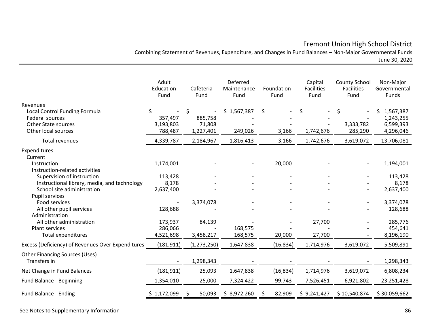# Fremont Union High School District

Combining Statement of Revenues, Expenditure, and Changes in Fund Balances – Non‐Major Governmental Funds June 30, 2020

|                                                                                                                                                                                                                                                                                                                                                  | Adult<br>Education<br>Fund                                                               | Cafeteria<br>Fund                    | Deferred<br>Maintenance<br>Fund | Foundation<br>Fund | Capital<br><b>Facilities</b><br>Fund | <b>County School</b><br><b>Facilities</b><br>Fund | Non-Major<br>Governmental<br>Funds                                                                    |
|--------------------------------------------------------------------------------------------------------------------------------------------------------------------------------------------------------------------------------------------------------------------------------------------------------------------------------------------------|------------------------------------------------------------------------------------------|--------------------------------------|---------------------------------|--------------------|--------------------------------------|---------------------------------------------------|-------------------------------------------------------------------------------------------------------|
| Revenues<br><b>Local Control Funding Formula</b><br>Federal sources<br><b>Other State sources</b><br>Other local sources                                                                                                                                                                                                                         | \$<br>357,497<br>3,193,803<br>788,487                                                    | \$<br>885,758<br>71,808<br>1,227,401 | \$1,567,387<br>249,026          | \$<br>3,166        | \$<br>1,742,676                      | \$<br>3,333,782<br>285,290                        | 1,567,387<br>\$<br>1,243,255<br>6,599,393<br>4,296,046                                                |
| Total revenues                                                                                                                                                                                                                                                                                                                                   | 4,339,787                                                                                | 2,184,967                            | 1,816,413                       | 3,166              | 1,742,676                            | 3,619,072                                         | 13,706,081                                                                                            |
| Expenditures<br>Current<br>Instruction<br>Instruction-related activities<br>Supervision of instruction<br>Instructional library, media, and technology<br>School site administration<br>Pupil services<br>Food services<br>All other pupil services<br>Administration<br>All other administration<br><b>Plant services</b><br>Total expenditures | 1,174,001<br>113,428<br>8,178<br>2,637,400<br>128,688<br>173,937<br>286,066<br>4,521,698 | 3,374,078<br>84,139<br>3,458,217     | 168,575<br>168,575              | 20,000<br>20,000   | 27,700<br>27,700                     |                                                   | 1,194,001<br>113,428<br>8,178<br>2,637,400<br>3,374,078<br>128,688<br>285,776<br>454,641<br>8,196,190 |
| Excess (Deficiency) of Revenues Over Expenditures                                                                                                                                                                                                                                                                                                | (181, 911)                                                                               | (1, 273, 250)                        | 1,647,838                       | (16, 834)          | 1,714,976                            | 3,619,072                                         | 5,509,891                                                                                             |
| <b>Other Financing Sources (Uses)</b><br>Transfers in                                                                                                                                                                                                                                                                                            |                                                                                          | 1,298,343                            |                                 |                    |                                      |                                                   | 1,298,343                                                                                             |
| Net Change in Fund Balances                                                                                                                                                                                                                                                                                                                      | (181, 911)                                                                               | 25,093                               | 1,647,838                       | (16, 834)          | 1,714,976                            | 3,619,072                                         | 6,808,234                                                                                             |
| Fund Balance - Beginning                                                                                                                                                                                                                                                                                                                         | 1,354,010                                                                                | 25,000                               | 7,324,422                       | 99,743             | 7,526,451                            | 6,921,802                                         | 23,251,428                                                                                            |
| Fund Balance - Ending                                                                                                                                                                                                                                                                                                                            | \$1,172,099                                                                              | 50,093<br>\$                         | \$8,972,260                     | 82,909<br>\$       | \$9,241,427                          | \$10,540,874                                      | \$30,059,662                                                                                          |

See Notes to Supplementary Information **86**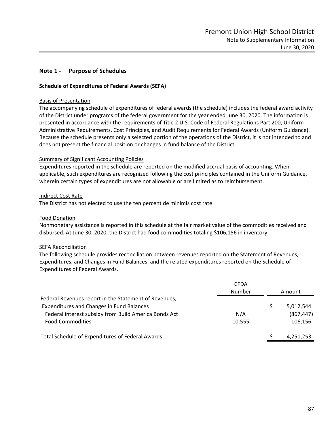# **Note 1 ‐ Purpose of Schedules**

#### **Schedule of Expenditures of Federal Awards (SEFA)**

#### Basis of Presentation

The accompanying schedule of expenditures of federal awards (the schedule) includes the federal award activity of the District under programs of the federal government for the year ended June 30, 2020. The information is presented in accordance with the requirements of Title 2 U.S. Code of Federal Regulations Part 200, Uniform Administrative Requirements, Cost Principles, and Audit Requirements for Federal Awards (Uniform Guidance). Because the schedule presents only a selected portion of the operations of the District, it is not intended to and does not present the financial position or changes in fund balance of the District.

#### Summary of Significant Accounting Policies

Expenditures reported in the schedule are reported on the modified accrual basis of accounting. When applicable, such expenditures are recognized following the cost principles contained in the Uniform Guidance, wherein certain types of expenditures are not allowable or are limited as to reimbursement.

#### Indirect Cost Rate

The District has not elected to use the ten percent de minimis cost rate.

#### Food Donation

Nonmonetary assistance is reported in this schedule at the fair market value of the commodities received and disbursed. At June 30, 2020, the District had food commodities totaling \$106,156 in inventory.

#### SEFA Reconciliation

The following schedule provides reconciliation between revenues reported on the Statement of Revenues, Expenditures, and Changes in Fund Balances, and the related expenditures reported on the Schedule of Expenditures of Federal Awards.

|                                                       | <b>CFDA</b> |            |
|-------------------------------------------------------|-------------|------------|
|                                                       | Number      | Amount     |
| Federal Revenues report in the Statement of Revenues, |             |            |
| <b>Expenditures and Changes in Fund Balances</b>      |             | 5,012,544  |
| Federal interest subsidy from Build America Bonds Act | N/A         | (867, 447) |
| <b>Food Commodities</b>                               | 10.555      | 106.156    |
| Total Schedule of Expenditures of Federal Awards      |             | 4.251.253  |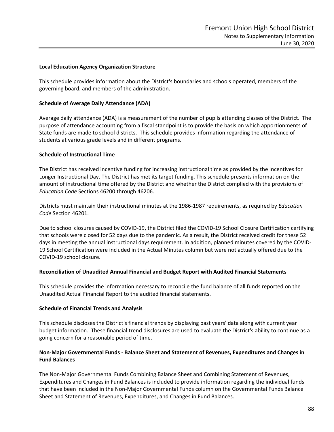#### **Local Education Agency Organization Structure**

This schedule provides information about the District's boundaries and schools operated, members of the governing board, and members of the administration.

#### **Schedule of Average Daily Attendance (ADA)**

Average daily attendance (ADA) is a measurement of the number of pupils attending classes of the District. The purpose of attendance accounting from a fiscal standpoint is to provide the basis on which apportionments of State funds are made to school districts. This schedule provides information regarding the attendance of students at various grade levels and in different programs.

#### **Schedule of Instructional Time**

The District has received incentive funding for increasing instructional time as provided by the Incentives for Longer Instructional Day. The District has met its target funding. This schedule presents information on the amount of instructional time offered by the District and whether the District complied with the provisions of *Education Code* Sections 46200 through 46206.

Districts must maintain their instructional minutes at the 1986‐1987 requirements, as required by *Education Code* Section 46201.

Due to school closures caused by COVID‐19, the District filed the COVID‐19 School Closure Certification certifying that schools were closed for 52 days due to the pandemic. As a result, the District received credit for these 52 days in meeting the annual instructional days requirement. In addition, planned minutes covered by the COVID‐ 19 School Certification were included in the Actual Minutes column but were not actually offered due to the COVID‐19 school closure.

#### **Reconciliation of Unaudited Annual Financial and Budget Report with Audited Financial Statements**

This schedule provides the information necessary to reconcile the fund balance of all funds reported on the Unaudited Actual Financial Report to the audited financial statements.

#### **Schedule of Financial Trends and Analysis**

This schedule discloses the District's financial trends by displaying past years' data along with current year budget information. These financial trend disclosures are used to evaluate the District's ability to continue as a going concern for a reasonable period of time.

# **Non‐Major Governmental Funds ‐ Balance Sheet and Statement of Revenues, Expenditures and Changes in Fund Balances**

The Non‐Major Governmental Funds Combining Balance Sheet and Combining Statement of Revenues, Expenditures and Changes in Fund Balances is included to provide information regarding the individual funds that have been included in the Non‐Major Governmental Funds column on the Governmental Funds Balance Sheet and Statement of Revenues, Expenditures, and Changes in Fund Balances.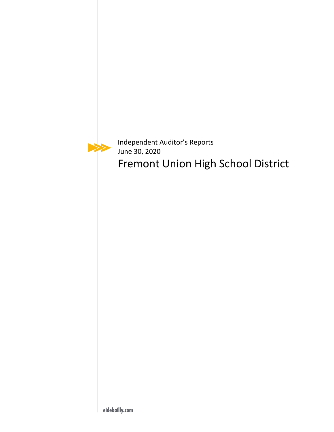Independent Auditor's Reports June 30, 2020 Fremont Union High School District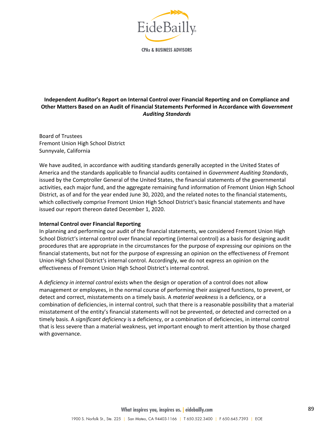

**CPAs & BUSINESS ADVISORS** 

# **Independent Auditor's Report on Internal Control over Financial Reporting and on Compliance and Other Matters Based on an Audit of Financial Statements Performed in Accordance with** *Government Auditing Standards*

Board of Trustees Fremont Union High School District Sunnyvale, California

We have audited, in accordance with auditing standards generally accepted in the United States of America and the standards applicable to financial audits contained in *Government Auditing Standards*, issued by the Comptroller General of the United States, the financial statements of the governmental activities, each major fund, and the aggregate remaining fund information of Fremont Union High School District, as of and for the year ended June 30, 2020, and the related notes to the financial statements, which collectively comprise Fremont Union High School District's basic financial statements and have issued our report thereon dated December 1, 2020.

#### **Internal Control over Financial Reporting**

In planning and performing our audit of the financial statements, we considered Fremont Union High School District's internal control over financial reporting (internal control) as a basis for designing audit procedures that are appropriate in the circumstances for the purpose of expressing our opinions on the financial statements, but not for the purpose of expressing an opinion on the effectiveness of Fremont Union High School District's internal control. Accordingly, we do not express an opinion on the effectiveness of Fremont Union High School District's internal control.

A *deficiency in internal control* exists when the design or operation of a control does not allow management or employees, in the normal course of performing their assigned functions, to prevent, or detect and correct, misstatements on a timely basis. A *material weakness* is a deficiency, or a combination of deficiencies, in internal control, such that there is a reasonable possibility that a material misstatement of the entity's financial statements will not be prevented, or detected and corrected on a timely basis. A *significant deficiency* is a deficiency, or a combination of deficiencies, in internal control that is less severe than a material weakness, yet important enough to merit attention by those charged with governance.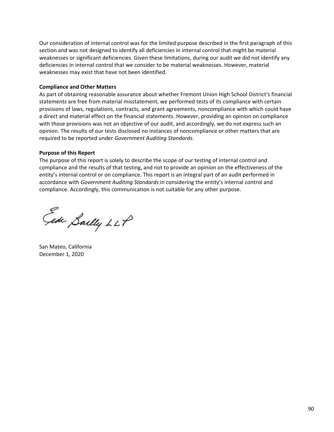Our consideration of internal control was for the limited purpose described in the first paragraph of this section and was not designed to identify all deficiencies in internal control that might be material weaknesses or significant deficiencies. Given these limitations, during our audit we did not identify any deficiencies in internal control that we consider to be material weaknesses. However, material weaknesses may exist that have not been identified.

#### **Compliance and Other Matters**

As part of obtaining reasonable assurance about whether Fremont Union High School District's financial statements are free from material misstatement, we performed tests of its compliance with certain provisions of laws, regulations, contracts, and grant agreements, noncompliance with which could have a direct and material effect on the financial statements. However, providing an opinion on compliance with those provisions was not an objective of our audit, and accordingly, we do not express such an opinion. The results of our tests disclosed no instances of noncompliance or other matters that are required to be reported under *Government Auditing Standards*.

# **Purpose of this Report**

The purpose of this report is solely to describe the scope of our testing of internal control and compliance and the results of that testing, and not to provide an opinion on the effectiveness of the entity's internal control or on compliance. This report is an integral part of an audit performed in accordance with *Government Auditing Standards* in considering the entity's internal control and compliance. Accordingly, this communication is not suitable for any other purpose.

Gide Sailly LLP

San Mateo, California December 1, 2020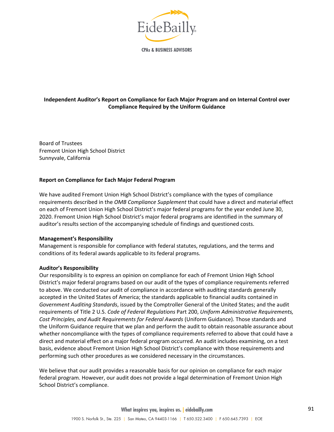

**CPAs & BUSINESS ADVISORS** 

# **Independent Auditor's Report on Compliance for Each Major Program and on Internal Control over Compliance Required by the Uniform Guidance**

Board of Trustees Fremont Union High School District Sunnyvale, California

#### **Report on Compliance for Each Major Federal Program**

We have audited Fremont Union High School District's compliance with the types of compliance requirements described in the *OMB Compliance Supplement* that could have a direct and material effect on each of Fremont Union High School District's major federal programs for the year ended June 30, 2020. Fremont Union High School District's major federal programs are identified in the summary of auditor's results section of the accompanying schedule of findings and questioned costs.

#### **Management's Responsibility**

Management is responsible for compliance with federal statutes, regulations, and the terms and conditions of its federal awards applicable to its federal programs.

#### **Auditor's Responsibility**

Our responsibility is to express an opinion on compliance for each of Fremont Union High School District's major federal programs based on our audit of the types of compliance requirements referred to above. We conducted our audit of compliance in accordance with auditing standards generally accepted in the United States of America; the standards applicable to financial audits contained in *Government Auditing Standards*, issued by the Comptroller General of the United States; and the audit requirements of Title 2 U.S. *Code of Federal Regulations* Part 200, *Uniform Administrative Requirements, Cost Principles, and Audit Requirements for Federal Awards* (Uniform Guidance). Those standards and the Uniform Guidance require that we plan and perform the audit to obtain reasonable assurance about whether noncompliance with the types of compliance requirements referred to above that could have a direct and material effect on a major federal program occurred. An audit includes examining, on a test basis, evidence about Fremont Union High School District's compliance with those requirements and performing such other procedures as we considered necessary in the circumstances.

We believe that our audit provides a reasonable basis for our opinion on compliance for each major federal program. However, our audit does not provide a legal determination of Fremont Union High School District's compliance.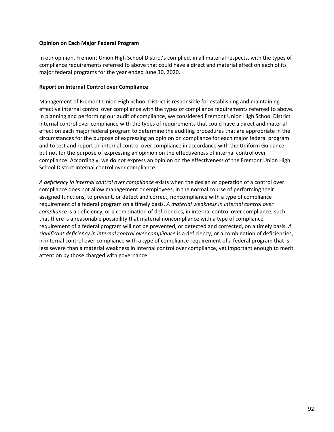#### **Opinion on Each Major Federal Program**

In our opinion, Fremont Union High School District's complied, in all material respects, with the types of compliance requirements referred to above that could have a direct and material effect on each of its major federal programs for the year ended June 30, 2020.

#### **Report on Internal Control over Compliance**

Management of Fremont Union High School District is responsible for establishing and maintaining effective internal control over compliance with the types of compliance requirements referred to above. In planning and performing our audit of compliance, we considered Fremont Union High School District internal control over compliance with the types of requirements that could have a direct and material effect on each major federal program to determine the auditing procedures that are appropriate in the circumstances for the purpose of expressing an opinion on compliance for each major federal program and to test and report on internal control over compliance in accordance with the Uniform Guidance, but not for the purpose of expressing an opinion on the effectiveness of internal control over compliance. Accordingly, we do not express an opinion on the effectiveness of the Fremont Union High School District internal control over compliance.

*A deficiency in internal control over compliance* exists when the design or operation of a control over compliance does not allow management or employees, in the normal course of performing their assigned functions, to prevent, or detect and correct, noncompliance with a type of compliance requirement of a federal program on a timely basis. *A material weakness in internal control over compliance* is a deficiency, or a combination of deficiencies, in internal control over compliance, such that there is a reasonable possibility that material noncompliance with a type of compliance requirement of a federal program will not be prevented, or detected and corrected, on a timely basis. *A significant deficiency in internal control over compliance* is a deficiency, or a combination of deficiencies, in internal control over compliance with a type of compliance requirement of a federal program that is less severe than a material weakness in internal control over compliance, yet important enough to merit attention by those charged with governance.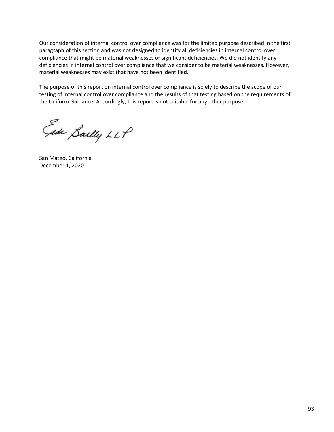Our consideration of internal control over compliance was for the limited purpose described in the first paragraph of this section and was not designed to identify all deficiencies in internal control over compliance that might be material weaknesses or significant deficiencies. We did not identify any deficiencies in internal control over compliance that we consider to be material weaknesses. However, material weaknesses may exist that have not been identified.

The purpose of this report on internal control over compliance is solely to describe the scope of our testing of internal control over compliance and the results of that testing based on the requirements of the Uniform Guidance. Accordingly, this report is not suitable for any other purpose.

Ede Sailly LLP

San Mateo, California December 1, 2020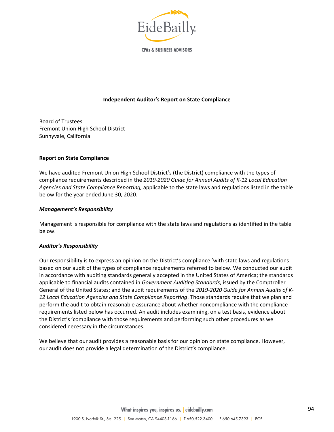

**CPAs & BUSINESS ADVISORS** 

#### **Independent Auditor's Report on State Compliance**

Board of Trustees Fremont Union High School District Sunnyvale, California

#### **Report on State Compliance**

We have audited Fremont Union High School District's (the District) compliance with the types of compliance requirements described in the *2019‐2020 Guide for Annual Audits of K‐12 Local Education Agencies and State Compliance Reporting,* applicable to the state laws and regulations listed in the table below for the year ended June 30, 2020.

#### *Management's Responsibility*

Management is responsible for compliance with the state laws and regulations as identified in the table below.

#### *Auditor's Responsibility*

Our responsibility is to express an opinion on the District's compliance 'with state laws and regulations based on our audit of the types of compliance requirements referred to below. We conducted our audit in accordance with auditing standards generally accepted in the United States of America; the standards applicable to financial audits contained in *Government Auditing Standards*, issued by the Comptroller General of the United States; and the audit requirements of the *2019‐2020 Guide for Annual Audits of K‐ 12 Local Education Agencies and State Compliance Reporting*. Those standards require that we plan and perform the audit to obtain reasonable assurance about whether noncompliance with the compliance requirements listed below has occurred. An audit includes examining, on a test basis, evidence about the District's 'compliance with those requirements and performing such other procedures as we considered necessary in the circumstances.

We believe that our audit provides a reasonable basis for our opinion on state compliance. However, our audit does not provide a legal determination of the District's compliance.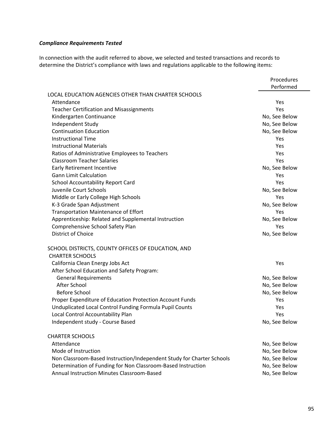# *Compliance Requirements Tested*

In connection with the audit referred to above, we selected and tested transactions and records to determine the District's compliance with laws and regulations applicable to the following items:

|                                                                       | Procedures    |
|-----------------------------------------------------------------------|---------------|
|                                                                       | Performed     |
| LOCAL EDUCATION AGENCIES OTHER THAN CHARTER SCHOOLS                   |               |
| Attendance                                                            | Yes           |
| <b>Teacher Certification and Misassignments</b>                       | Yes           |
| Kindergarten Continuance                                              | No, See Below |
| Independent Study                                                     | No, See Below |
| <b>Continuation Education</b>                                         | No, See Below |
| <b>Instructional Time</b>                                             | Yes           |
| <b>Instructional Materials</b>                                        | Yes           |
| Ratios of Administrative Employees to Teachers                        | Yes           |
| <b>Classroom Teacher Salaries</b>                                     | Yes           |
| <b>Early Retirement Incentive</b>                                     | No, See Below |
| <b>Gann Limit Calculation</b>                                         | Yes           |
| School Accountability Report Card                                     | Yes           |
| Juvenile Court Schools                                                | No, See Below |
| Middle or Early College High Schools                                  | Yes           |
| K-3 Grade Span Adjustment                                             | No, See Below |
| <b>Transportation Maintenance of Effort</b>                           | Yes           |
| Apprenticeship: Related and Supplemental Instruction                  | No, See Below |
| Comprehensive School Safety Plan                                      | Yes           |
| <b>District of Choice</b>                                             | No, See Below |
| SCHOOL DISTRICTS, COUNTY OFFICES OF EDUCATION, AND                    |               |
| <b>CHARTER SCHOOLS</b>                                                |               |
| California Clean Energy Jobs Act                                      | Yes           |
| After School Education and Safety Program:                            |               |
| <b>General Requirements</b>                                           | No, See Below |
| After School                                                          | No, See Below |
| <b>Before School</b>                                                  | No, See Below |
| Proper Expenditure of Education Protection Account Funds              | Yes           |
| Unduplicated Local Control Funding Formula Pupil Counts               | Yes           |
| Local Control Accountability Plan                                     | Yes           |
| Independent study - Course Based                                      | No, See Below |
| <b>CHARTER SCHOOLS</b>                                                |               |
| Attendance                                                            | No, See Below |
| Mode of Instruction                                                   | No, See Below |
| Non Classroom-Based Instruction/Independent Study for Charter Schools | No, See Below |
| Determination of Funding for Non Classroom-Based Instruction          | No, See Below |
| <b>Annual Instruction Minutes Classroom-Based</b>                     | No, See Below |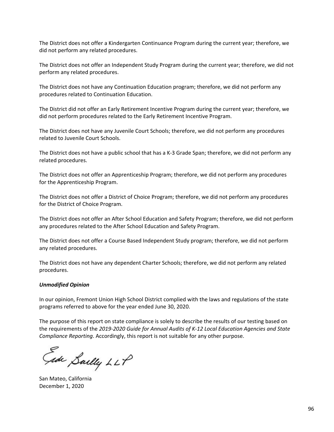The District does not offer a Kindergarten Continuance Program during the current year; therefore, we did not perform any related procedures.

The District does not offer an Independent Study Program during the current year; therefore, we did not perform any related procedures.

The District does not have any Continuation Education program; therefore, we did not perform any procedures related to Continuation Education.

The District did not offer an Early Retirement Incentive Program during the current year; therefore, we did not perform procedures related to the Early Retirement Incentive Program.

The District does not have any Juvenile Court Schools; therefore, we did not perform any procedures related to Juvenile Court Schools.

The District does not have a public school that has a K‐3 Grade Span; therefore, we did not perform any related procedures.

The District does not offer an Apprenticeship Program; therefore, we did not perform any procedures for the Apprenticeship Program.

The District does not offer a District of Choice Program; therefore, we did not perform any procedures for the District of Choice Program.

The District does not offer an After School Education and Safety Program; therefore, we did not perform any procedures related to the After School Education and Safety Program.

The District does not offer a Course Based Independent Study program; therefore, we did not perform any related procedures.

The District does not have any dependent Charter Schools; therefore, we did not perform any related procedures.

#### *Unmodified Opinion*

In our opinion, Fremont Union High School District complied with the laws and regulations of the state programs referred to above for the year ended June 30, 2020.

The purpose of this report on state compliance is solely to describe the results of our testing based on the requirements of the *2019‐2020 Guide for Annual Audits of K‐12 Local Education Agencies and State Compliance Reporting*. Accordingly, this report is not suitable for any other purpose.

Gide Sailly LLP

San Mateo, California December 1, 2020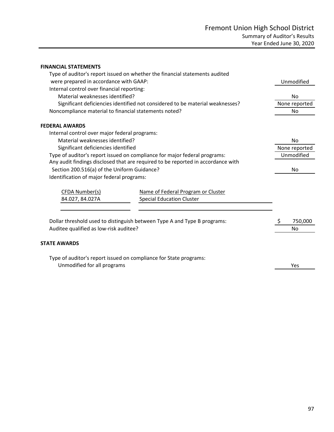| <b>FINANCIAL STATEMENTS</b>                                               |                                                                                  |                    |
|---------------------------------------------------------------------------|----------------------------------------------------------------------------------|--------------------|
|                                                                           | Type of auditor's report issued on whether the financial statements audited      |                    |
| were prepared in accordance with GAAP:                                    |                                                                                  | Unmodified         |
| Internal control over financial reporting:                                |                                                                                  |                    |
| Material weaknesses identified?                                           |                                                                                  | <b>No</b>          |
|                                                                           | Significant deficiencies identified not considered to be material weaknesses?    | None reported      |
| Noncompliance material to financial statements noted?                     |                                                                                  | No                 |
| <b>FEDERAL AWARDS</b>                                                     |                                                                                  |                    |
| Internal control over major federal programs:                             |                                                                                  |                    |
| Material weaknesses identified?                                           |                                                                                  | No                 |
| Significant deficiencies identified                                       |                                                                                  | None reported      |
| Type of auditor's report issued on compliance for major federal programs: | Unmodified                                                                       |                    |
|                                                                           | Any audit findings disclosed that are required to be reported in accordance with |                    |
| Section 200.516(a) of the Uniform Guidance?                               | No                                                                               |                    |
| Identification of major federal programs:                                 |                                                                                  |                    |
| CFDA Number(s)                                                            | Name of Federal Program or Cluster                                               |                    |
| 84.027, 84.027A                                                           | <b>Special Education Cluster</b>                                                 |                    |
|                                                                           |                                                                                  |                    |
| Auditee qualified as low-risk auditee?                                    | Dollar threshold used to distinguish between Type A and Type B programs:         | 750,000<br>S<br>No |
| <b>STATE AWARDS</b>                                                       |                                                                                  |                    |
|                                                                           | Type of auditor's report issued on compliance for State programs:                |                    |
| Unmodified for all programs                                               |                                                                                  | Yes                |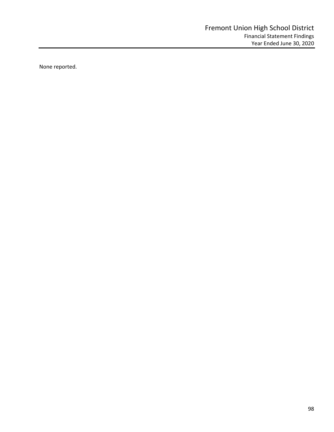None reported.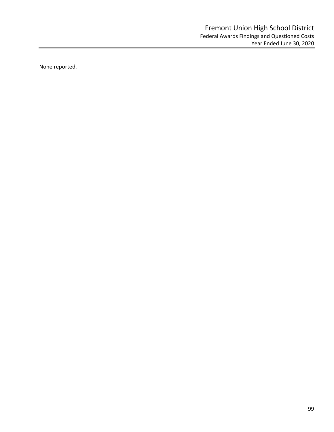None reported.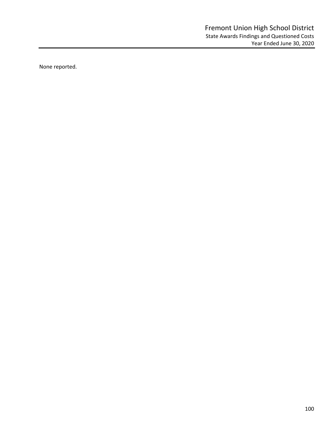None reported.